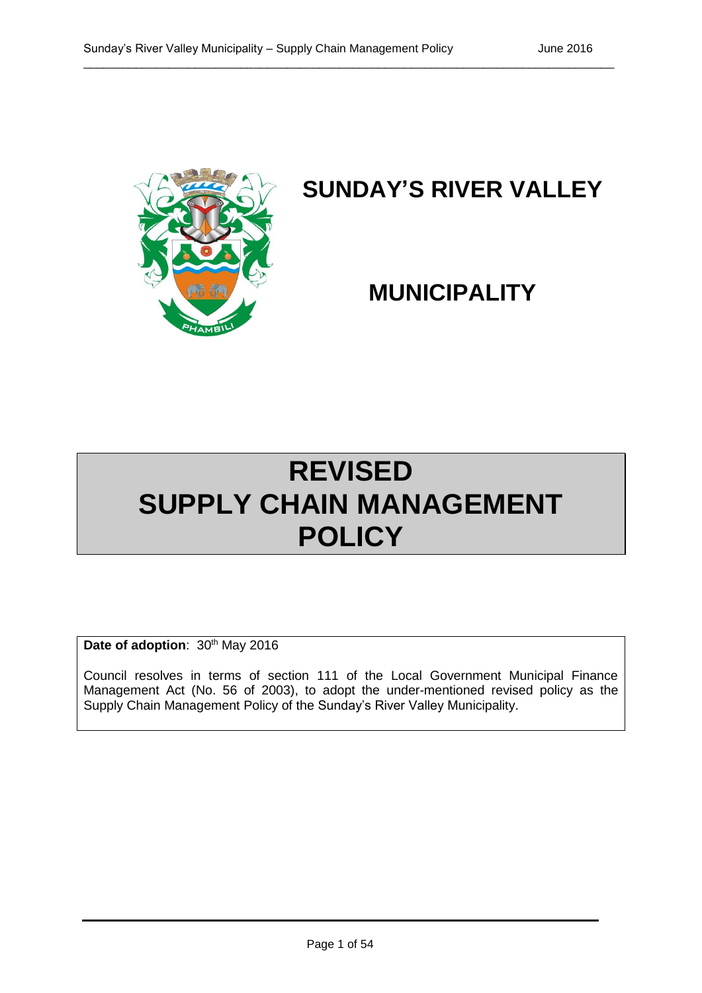

# **SUNDAY'S RIVER VALLEY**

# **MUNICIPALITY**

# **REVISED SUPPLY CHAIN MANAGEMENT POLICY**

Date of adoption: 30<sup>th</sup> May 2016

Council resolves in terms of section 111 of the Local Government Municipal Finance Management Act (No. 56 of 2003), to adopt the under-mentioned revised policy as the Supply Chain Management Policy of the Sunday's River Valley Municipality.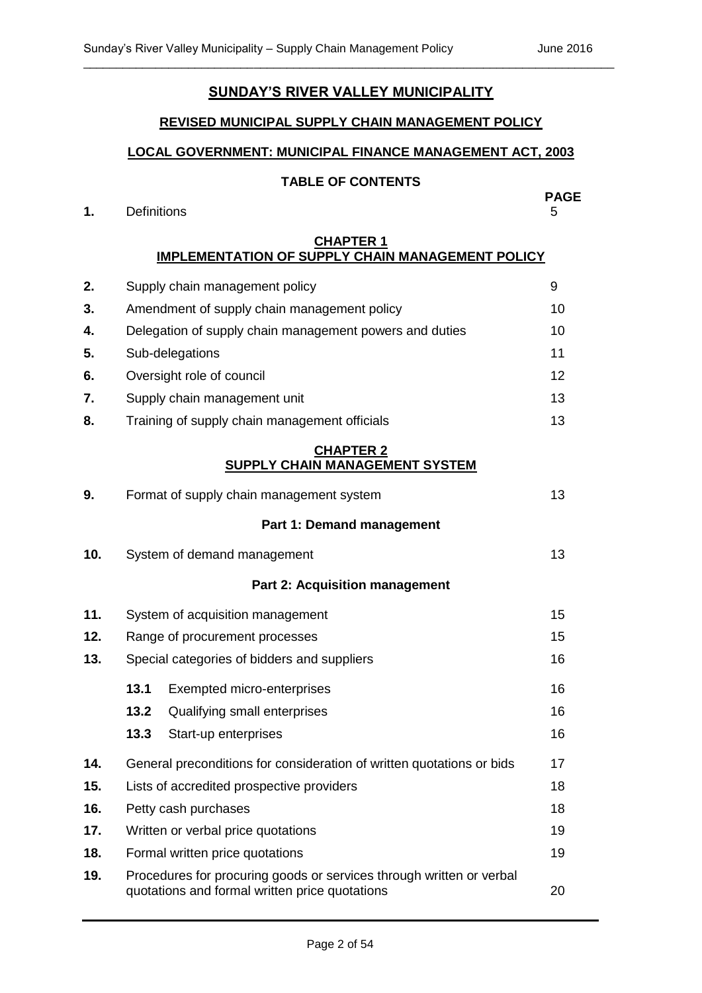## **SUNDAY'S RIVER VALLEY MUNICIPALITY**

\_\_\_\_\_\_\_\_\_\_\_\_\_\_\_\_\_\_\_\_\_\_\_\_\_\_\_\_\_\_\_\_\_\_\_\_\_\_\_\_\_\_\_\_\_\_\_\_\_\_\_\_\_\_\_\_\_\_\_\_\_\_\_\_\_\_\_\_\_\_\_\_\_\_\_\_\_\_\_\_\_

#### **REVISED MUNICIPAL SUPPLY CHAIN MANAGEMENT POLICY**

### **LOCAL GOVERNMENT: MUNICIPAL FINANCE MANAGEMENT ACT, 2003**

#### **TABLE OF CONTENTS**

#### **1.** Definitions 5

# **PAGE**

#### **CHAPTER 1 IMPLEMENTATION OF SUPPLY CHAIN MANAGEMENT POLICY**

| 2.  |                                | Supply chain management policy                                                                                         | 9  |  |  |
|-----|--------------------------------|------------------------------------------------------------------------------------------------------------------------|----|--|--|
| 3.  |                                | Amendment of supply chain management policy                                                                            | 10 |  |  |
| 4.  |                                | Delegation of supply chain management powers and duties                                                                | 10 |  |  |
| 5.  |                                | Sub-delegations                                                                                                        | 11 |  |  |
| 6.  |                                | Oversight role of council                                                                                              | 12 |  |  |
| 7.  |                                | Supply chain management unit                                                                                           | 13 |  |  |
| 8.  |                                | Training of supply chain management officials                                                                          | 13 |  |  |
|     |                                | <b>CHAPTER 2</b><br><b>SUPPLY CHAIN MANAGEMENT SYSTEM</b>                                                              |    |  |  |
| 9.  |                                | Format of supply chain management system                                                                               | 13 |  |  |
|     |                                | Part 1: Demand management                                                                                              |    |  |  |
| 10. |                                | System of demand management                                                                                            | 13 |  |  |
|     |                                | <b>Part 2: Acquisition management</b>                                                                                  |    |  |  |
| 11. |                                | System of acquisition management                                                                                       | 15 |  |  |
| 12. | Range of procurement processes |                                                                                                                        |    |  |  |
| 13. |                                | 16<br>Special categories of bidders and suppliers                                                                      |    |  |  |
|     | 13.1                           | Exempted micro-enterprises                                                                                             | 16 |  |  |
|     | 13.2                           | Qualifying small enterprises                                                                                           | 16 |  |  |
|     | 13.3                           | Start-up enterprises                                                                                                   | 16 |  |  |
| 14. |                                | General preconditions for consideration of written quotations or bids                                                  | 17 |  |  |
| 15. |                                | Lists of accredited prospective providers                                                                              | 18 |  |  |
| 16. |                                | Petty cash purchases                                                                                                   | 18 |  |  |
| 17. |                                | Written or verbal price quotations                                                                                     | 19 |  |  |
| 18. |                                | Formal written price quotations                                                                                        | 19 |  |  |
| 19. |                                | Procedures for procuring goods or services through written or verbal<br>quotations and formal written price quotations | 20 |  |  |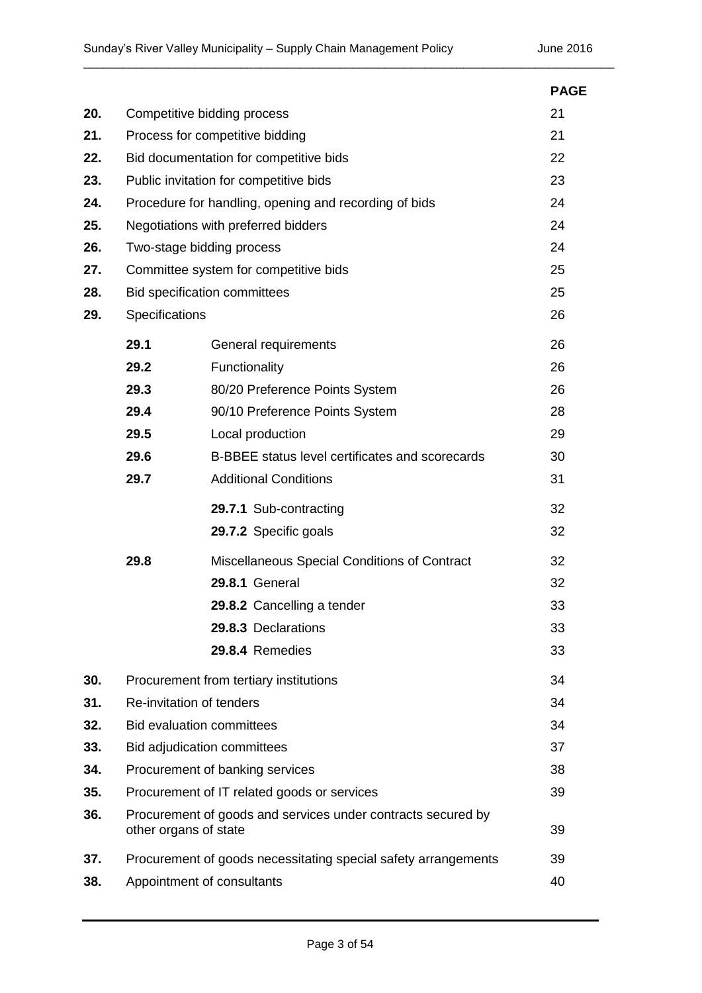|     |                                                                                             |                                                                | <b>PAGE</b> |  |
|-----|---------------------------------------------------------------------------------------------|----------------------------------------------------------------|-------------|--|
| 20. | Competitive bidding process                                                                 | 21                                                             |             |  |
| 21. | Process for competitive bidding                                                             | 21                                                             |             |  |
| 22. |                                                                                             | Bid documentation for competitive bids                         |             |  |
| 23. |                                                                                             | Public invitation for competitive bids                         |             |  |
| 24. |                                                                                             | Procedure for handling, opening and recording of bids          |             |  |
| 25. |                                                                                             | Negotiations with preferred bidders                            | 24          |  |
| 26. |                                                                                             | Two-stage bidding process                                      | 24          |  |
| 27. |                                                                                             | Committee system for competitive bids                          | 25          |  |
| 28. |                                                                                             | Bid specification committees                                   | 25          |  |
| 29. | Specifications                                                                              |                                                                | 26          |  |
|     | 29.1                                                                                        | General requirements                                           | 26          |  |
|     | 29.2                                                                                        | Functionality                                                  | 26          |  |
|     | 29.3                                                                                        | 80/20 Preference Points System                                 | 26          |  |
|     | 29.4                                                                                        | 90/10 Preference Points System                                 | 28          |  |
|     | 29.5                                                                                        | Local production                                               | 29          |  |
|     | 29.6                                                                                        | B-BBEE status level certificates and scorecards                | 30          |  |
|     | 29.7                                                                                        | <b>Additional Conditions</b>                                   | 31          |  |
|     |                                                                                             | 29.7.1 Sub-contracting                                         | 32          |  |
|     |                                                                                             | 29.7.2 Specific goals                                          | 32          |  |
|     | 29.8                                                                                        | Miscellaneous Special Conditions of Contract                   | 32          |  |
|     |                                                                                             | <b>29.8.1 General</b>                                          | 32          |  |
|     |                                                                                             | 29.8.2 Cancelling a tender                                     | 33          |  |
|     |                                                                                             | 29.8.3 Declarations                                            | 33          |  |
|     |                                                                                             | 29.8.4 Remedies                                                | 33          |  |
| 30. |                                                                                             | Procurement from tertiary institutions                         | 34          |  |
| 31. |                                                                                             | Re-invitation of tenders                                       | 34          |  |
| 32. |                                                                                             | <b>Bid evaluation committees</b>                               | 34          |  |
| 33. |                                                                                             | Bid adjudication committees                                    |             |  |
| 34. |                                                                                             | Procurement of banking services                                |             |  |
| 35. |                                                                                             | Procurement of IT related goods or services                    | 39          |  |
| 36. | Procurement of goods and services under contracts secured by<br>39<br>other organs of state |                                                                |             |  |
| 37. |                                                                                             | Procurement of goods necessitating special safety arrangements | 39          |  |
| 38. |                                                                                             | Appointment of consultants                                     | 40          |  |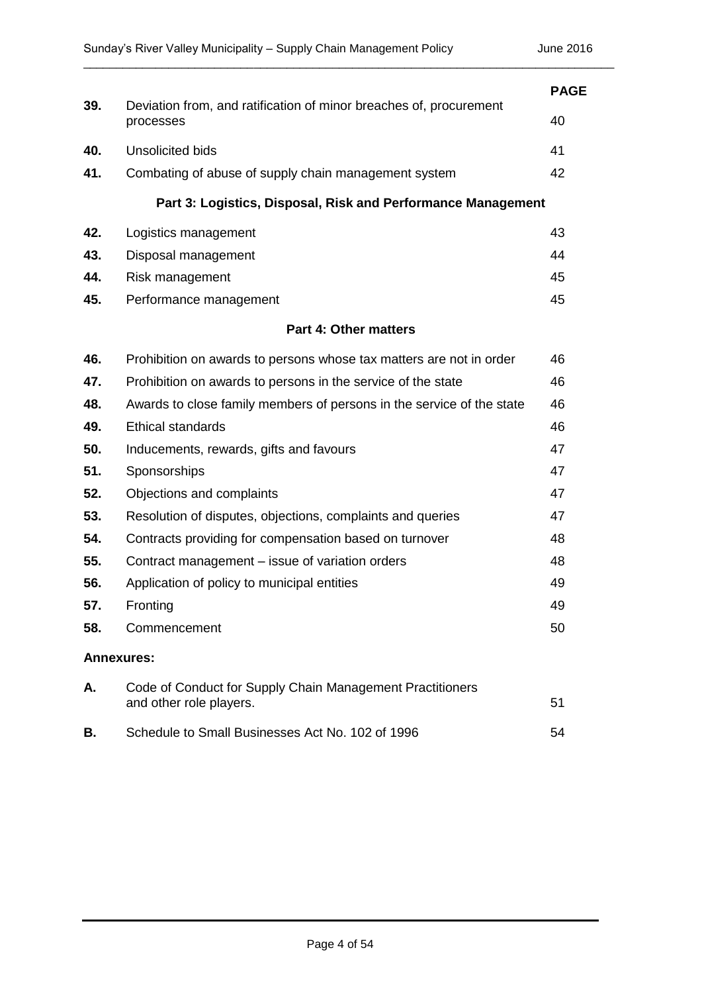|                   |                                                                                      | <b>PAGE</b> |
|-------------------|--------------------------------------------------------------------------------------|-------------|
| 39.               | Deviation from, and ratification of minor breaches of, procurement<br>processes      | 40          |
| 40.               | <b>Unsolicited bids</b>                                                              | 41          |
| 41.               | Combating of abuse of supply chain management system                                 | 42          |
|                   | Part 3: Logistics, Disposal, Risk and Performance Management                         |             |
| 42.               | Logistics management                                                                 | 43          |
| 43.               | Disposal management                                                                  | 44          |
| 44.               | Risk management                                                                      | 45          |
| 45.               | Performance management                                                               | 45          |
|                   | <b>Part 4: Other matters</b>                                                         |             |
| 46.               | Prohibition on awards to persons whose tax matters are not in order                  | 46          |
| 47.               | Prohibition on awards to persons in the service of the state                         | 46          |
| 48.               | Awards to close family members of persons in the service of the state                | 46          |
| 49.               | <b>Ethical standards</b>                                                             | 46          |
| 50.               | Inducements, rewards, gifts and favours                                              | 47          |
| 51.               | Sponsorships                                                                         | 47          |
| 52.               | Objections and complaints                                                            | 47          |
| 53.               | Resolution of disputes, objections, complaints and queries                           | 47          |
| 54.               | Contracts providing for compensation based on turnover                               | 48          |
| 55.               | Contract management - issue of variation orders                                      | 48          |
| 56.               | Application of policy to municipal entities                                          | 49          |
| 57.               | Fronting                                                                             | 49          |
| 58.               | Commencement                                                                         | 50          |
| <b>Annexures:</b> |                                                                                      |             |
| Α.                | Code of Conduct for Supply Chain Management Practitioners<br>and other role players. | 51          |
| В.                | Schedule to Small Businesses Act No. 102 of 1996                                     | 54          |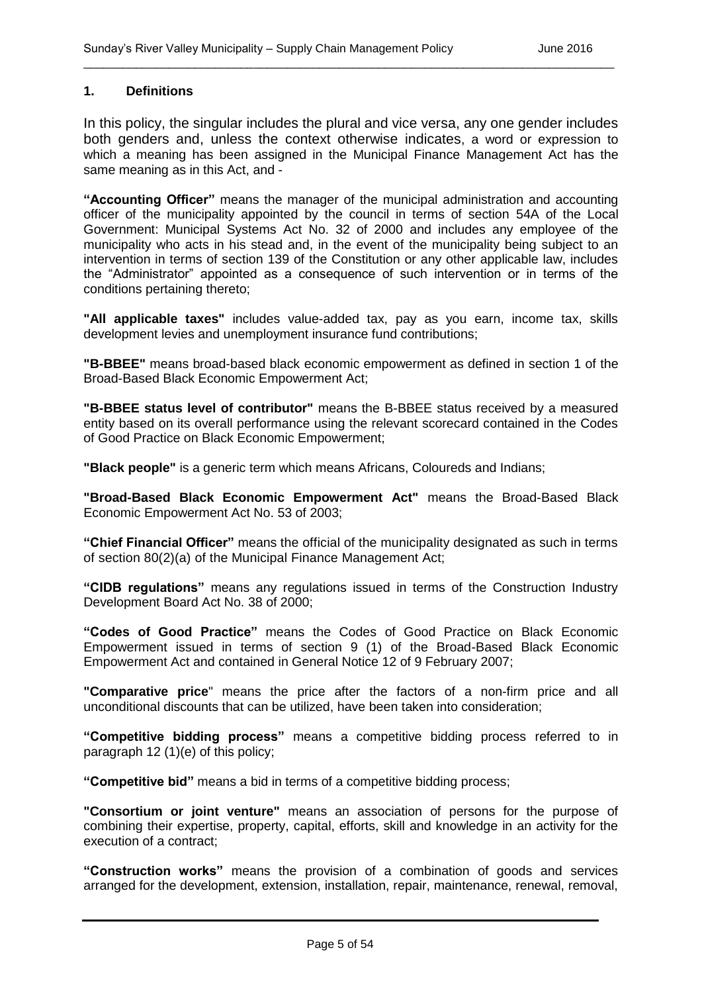#### **1. Definitions**

In this policy, the singular includes the plural and vice versa, any one gender includes both genders and, unless the context otherwise indicates, a word or expression to which a meaning has been assigned in the Municipal Finance Management Act has the same meaning as in this Act, and -

\_\_\_\_\_\_\_\_\_\_\_\_\_\_\_\_\_\_\_\_\_\_\_\_\_\_\_\_\_\_\_\_\_\_\_\_\_\_\_\_\_\_\_\_\_\_\_\_\_\_\_\_\_\_\_\_\_\_\_\_\_\_\_\_\_\_\_\_\_\_\_\_\_\_\_\_\_\_\_\_\_

**"Accounting Officer"** means the manager of the municipal administration and accounting officer of the municipality appointed by the council in terms of section 54A of the Local Government: Municipal Systems Act No. 32 of 2000 and includes any employee of the municipality who acts in his stead and, in the event of the municipality being subject to an intervention in terms of section 139 of the Constitution or any other applicable law, includes the "Administrator" appointed as a consequence of such intervention or in terms of the conditions pertaining thereto;

**"All applicable taxes"** includes value-added tax, pay as you earn, income tax, skills development levies and unemployment insurance fund contributions;

**"B-BBEE"** means broad-based black economic empowerment as defined in section 1 of the Broad-Based Black Economic Empowerment Act;

**"B-BBEE status level of contributor"** means the B-BBEE status received by a measured entity based on its overall performance using the relevant scorecard contained in the Codes of Good Practice on Black Economic Empowerment;

**"Black people"** is a generic term which means Africans, Coloureds and Indians;

**"Broad-Based Black Economic Empowerment Act"** means the Broad-Based Black Economic Empowerment Act No. 53 of 2003;

**"Chief Financial Officer"** means the official of the municipality designated as such in terms of section 80(2)(a) of the Municipal Finance Management Act;

**"CIDB regulations"** means any regulations issued in terms of the Construction Industry Development Board Act No. 38 of 2000;

**"Codes of Good Practice"** means the Codes of Good Practice on Black Economic Empowerment issued in terms of section 9 (1) of the Broad-Based Black Economic Empowerment Act and contained in General Notice 12 of 9 February 2007;

**"Comparative price**" means the price after the factors of a non-firm price and all unconditional discounts that can be utilized, have been taken into consideration;

**"Competitive bidding process"** means a competitive bidding process referred to in paragraph 12 (1)(e) of this policy;

**"Competitive bid"** means a bid in terms of a competitive bidding process;

**"Consortium or joint venture"** means an association of persons for the purpose of combining their expertise, property, capital, efforts, skill and knowledge in an activity for the execution of a contract;

**"Construction works"** means the provision of a combination of goods and services arranged for the development, extension, installation, repair, maintenance, renewal, removal,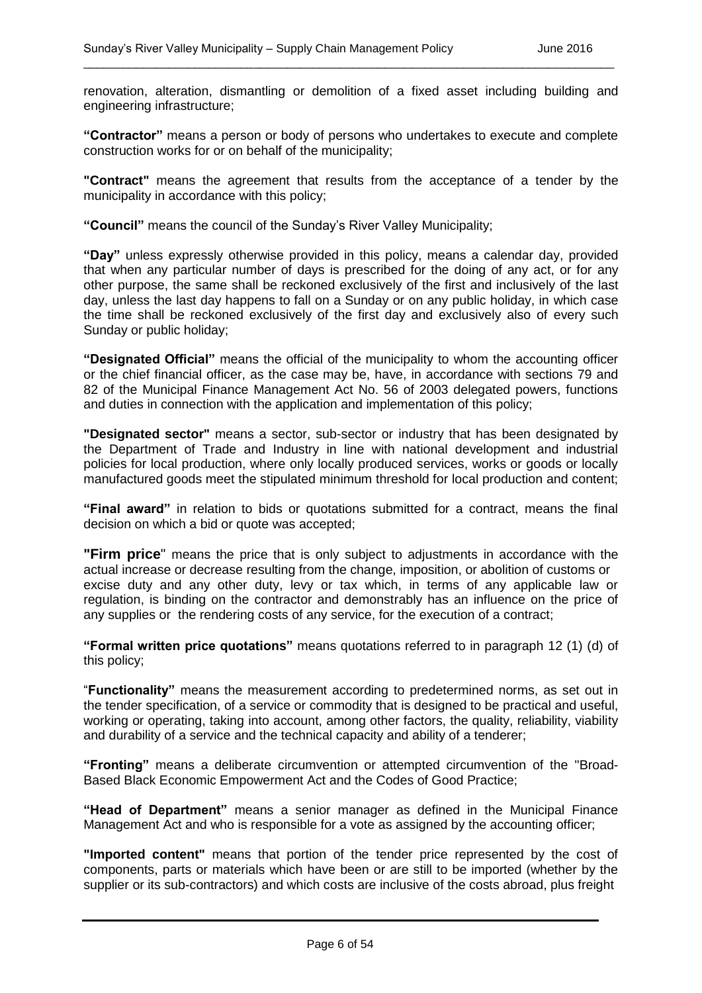renovation, alteration, dismantling or demolition of a fixed asset including building and engineering infrastructure;

\_\_\_\_\_\_\_\_\_\_\_\_\_\_\_\_\_\_\_\_\_\_\_\_\_\_\_\_\_\_\_\_\_\_\_\_\_\_\_\_\_\_\_\_\_\_\_\_\_\_\_\_\_\_\_\_\_\_\_\_\_\_\_\_\_\_\_\_\_\_\_\_\_\_\_\_\_\_\_\_\_

**"Contractor"** means a person or body of persons who undertakes to execute and complete construction works for or on behalf of the municipality;

**"Contract"** means the agreement that results from the acceptance of a tender by the municipality in accordance with this policy;

**"Council"** means the council of the Sunday's River Valley Municipality;

**"Day"** unless expressly otherwise provided in this policy, means a calendar day, provided that when any particular number of days is prescribed for the doing of any act, or for any other purpose, the same shall be reckoned exclusively of the first and inclusively of the last day, unless the last day happens to fall on a Sunday or on any public holiday, in which case the time shall be reckoned exclusively of the first day and exclusively also of every such Sunday or public holiday;

**"Designated Official"** means the official of the municipality to whom the accounting officer or the chief financial officer, as the case may be, have, in accordance with sections 79 and 82 of the Municipal Finance Management Act No. 56 of 2003 delegated powers, functions and duties in connection with the application and implementation of this policy;

**"Designated sector"** means a sector, sub-sector or industry that has been designated by the Department of Trade and Industry in line with national development and industrial policies for local production, where only locally produced services, works or goods or locally manufactured goods meet the stipulated minimum threshold for local production and content;

**"Final award"** in relation to bids or quotations submitted for a contract, means the final decision on which a bid or quote was accepted;

**"Firm price**" means the price that is only subject to adjustments in accordance with the actual increase or decrease resulting from the change, imposition, or abolition of customs or excise duty and any other duty, levy or tax which, in terms of any applicable law or regulation, is binding on the contractor and demonstrably has an influence on the price of any supplies or the rendering costs of any service, for the execution of a contract;

**"Formal written price quotations"** means quotations referred to in paragraph 12 (1) (d) of this policy;

"**Functionality"** means the measurement according to predetermined norms, as set out in the tender specification, of a service or commodity that is designed to be practical and useful, working or operating, taking into account, among other factors, the quality, reliability, viability and durability of a service and the technical capacity and ability of a tenderer;

**"Fronting"** means a deliberate circumvention or attempted circumvention of the "Broad-Based Black Economic Empowerment Act and the Codes of Good Practice;

**"Head of Department"** means a senior manager as defined in the Municipal Finance Management Act and who is responsible for a vote as assigned by the accounting officer;

**"Imported content"** means that portion of the tender price represented by the cost of components, parts or materials which have been or are still to be imported (whether by the supplier or its sub-contractors) and which costs are inclusive of the costs abroad, plus freight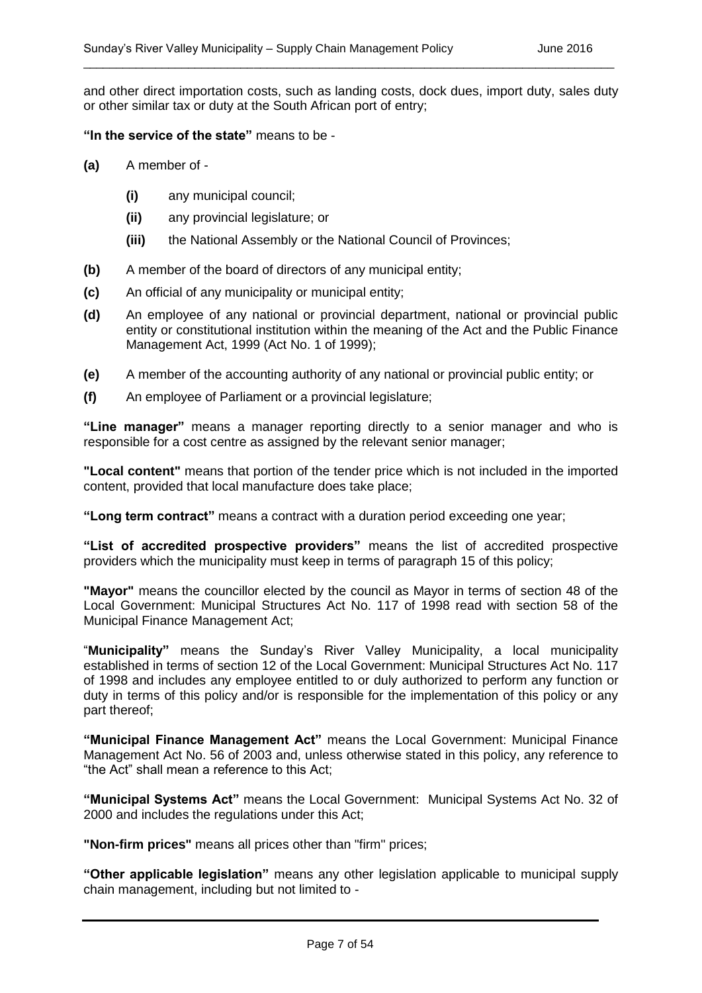and other direct importation costs, such as landing costs, dock dues, import duty, sales duty or other similar tax or duty at the South African port of entry;

\_\_\_\_\_\_\_\_\_\_\_\_\_\_\_\_\_\_\_\_\_\_\_\_\_\_\_\_\_\_\_\_\_\_\_\_\_\_\_\_\_\_\_\_\_\_\_\_\_\_\_\_\_\_\_\_\_\_\_\_\_\_\_\_\_\_\_\_\_\_\_\_\_\_\_\_\_\_\_\_\_

#### **"In the service of the state"** means to be -

- **(a)** A member of
	- **(i)** any municipal council;
	- **(ii)** any provincial legislature; or
	- **(iii)** the National Assembly or the National Council of Provinces;
- **(b)** A member of the board of directors of any municipal entity;
- **(c)** An official of any municipality or municipal entity;
- **(d)** An employee of any national or provincial department, national or provincial public entity or constitutional institution within the meaning of the Act and the Public Finance Management Act, 1999 (Act No. 1 of 1999);
- **(e)** A member of the accounting authority of any national or provincial public entity; or
- **(f)** An employee of Parliament or a provincial legislature;

**"Line manager"** means a manager reporting directly to a senior manager and who is responsible for a cost centre as assigned by the relevant senior manager;

**"Local content"** means that portion of the tender price which is not included in the imported content, provided that local manufacture does take place;

**"Long term contract"** means a contract with a duration period exceeding one year;

**"List of accredited prospective providers"** means the list of accredited prospective providers which the municipality must keep in terms of paragraph 15 of this policy;

**"Mayor"** means the councillor elected by the council as Mayor in terms of section 48 of the Local Government: Municipal Structures Act No. 117 of 1998 read with section 58 of the Municipal Finance Management Act;

"**Municipality"** means the Sunday's River Valley Municipality, a local municipality established in terms of section 12 of the Local Government: Municipal Structures Act No. 117 of 1998 and includes any employee entitled to or duly authorized to perform any function or duty in terms of this policy and/or is responsible for the implementation of this policy or any part thereof;

**"Municipal Finance Management Act"** means the Local Government: Municipal Finance Management Act No. 56 of 2003 and, unless otherwise stated in this policy, any reference to "the Act" shall mean a reference to this Act;

**"Municipal Systems Act"** means the Local Government: Municipal Systems Act No. 32 of 2000 and includes the regulations under this Act;

**"Non-firm prices"** means all prices other than "firm" prices;

**"Other applicable legislation"** means any other legislation applicable to municipal supply chain management, including but not limited to -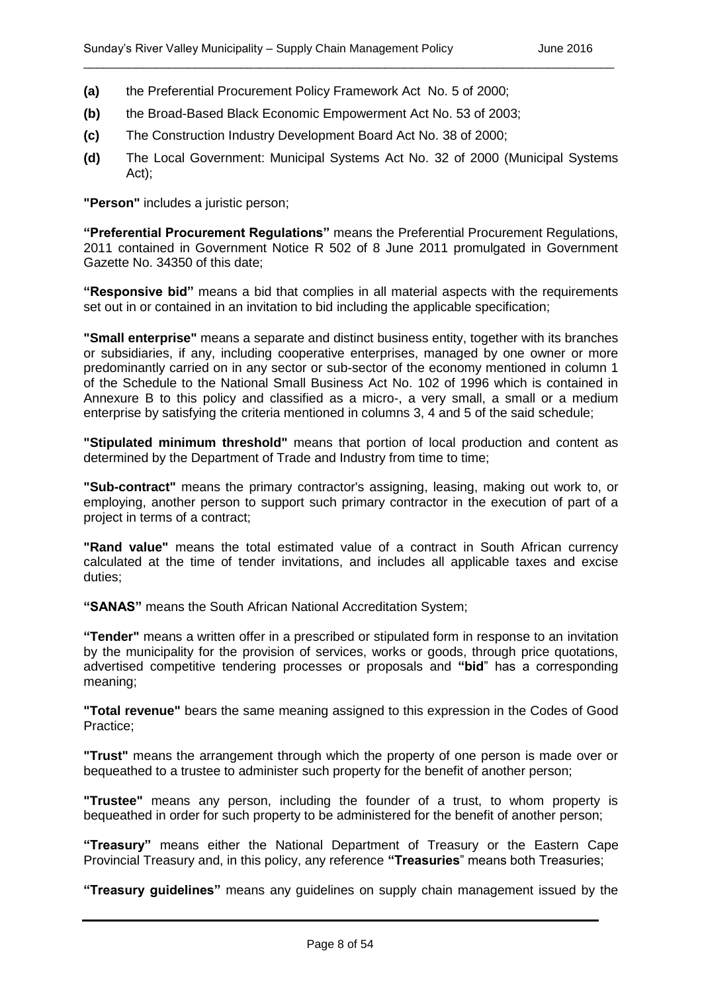- **(a)** the Preferential Procurement Policy Framework Act No. 5 of 2000;
- **(b)** the Broad-Based Black Economic Empowerment Act No. 53 of 2003;
- **(c)** The Construction Industry Development Board Act No. 38 of 2000;
- **(d)** The Local Government: Municipal Systems Act No. 32 of 2000 (Municipal Systems Act);

**"Person"** includes a juristic person;

**"Preferential Procurement Regulations"** means the Preferential Procurement Regulations, 2011 contained in Government Notice R 502 of 8 June 2011 promulgated in Government Gazette No. 34350 of this date;

**"Responsive bid"** means a bid that complies in all material aspects with the requirements set out in or contained in an invitation to bid including the applicable specification;

**"Small enterprise"** means a separate and distinct business entity, together with its branches or subsidiaries, if any, including cooperative enterprises, managed by one owner or more predominantly carried on in any sector or sub-sector of the economy mentioned in column 1 of the Schedule to the National Small Business Act No. 102 of 1996 which is contained in Annexure B to this policy and classified as a micro-, a very small, a small or a medium enterprise by satisfying the criteria mentioned in columns 3, 4 and 5 of the said schedule;

**"Stipulated minimum threshold"** means that portion of local production and content as determined by the Department of Trade and Industry from time to time;

**"Sub-contract"** means the primary contractor's assigning, leasing, making out work to, or employing, another person to support such primary contractor in the execution of part of a project in terms of a contract;

**"Rand value"** means the total estimated value of a contract in South African currency calculated at the time of tender invitations, and includes all applicable taxes and excise duties;

**"SANAS"** means the South African National Accreditation System;

**"Tender"** means a written offer in a prescribed or stipulated form in response to an invitation by the municipality for the provision of services, works or goods, through price quotations, advertised competitive tendering processes or proposals and **"bid**" has a corresponding meaning;

**"Total revenue"** bears the same meaning assigned to this expression in the Codes of Good Practice;

**"Trust"** means the arrangement through which the property of one person is made over or bequeathed to a trustee to administer such property for the benefit of another person;

**"Trustee"** means any person, including the founder of a trust, to whom property is bequeathed in order for such property to be administered for the benefit of another person;

**"Treasury"** means either the National Department of Treasury or the Eastern Cape Provincial Treasury and, in this policy, any reference **"Treasuries**" means both Treasuries;

**"Treasury guidelines"** means any guidelines on supply chain management issued by the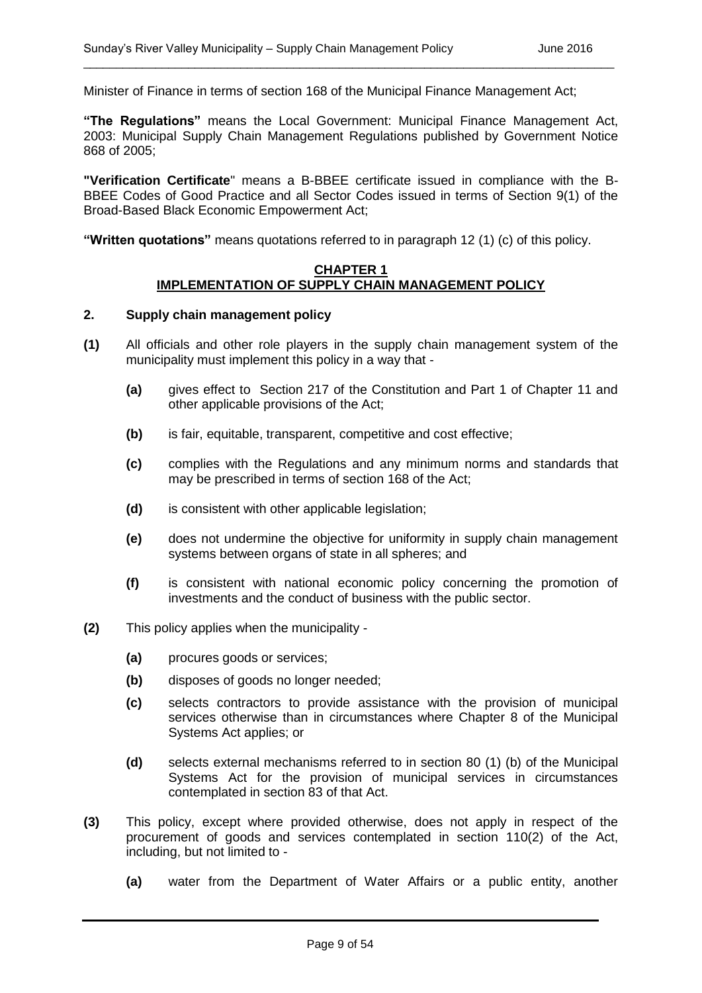Minister of Finance in terms of section 168 of the Municipal Finance Management Act;

**"The Regulations"** means the Local Government: Municipal Finance Management Act, 2003: Municipal Supply Chain Management Regulations published by Government Notice 868 of 2005;

\_\_\_\_\_\_\_\_\_\_\_\_\_\_\_\_\_\_\_\_\_\_\_\_\_\_\_\_\_\_\_\_\_\_\_\_\_\_\_\_\_\_\_\_\_\_\_\_\_\_\_\_\_\_\_\_\_\_\_\_\_\_\_\_\_\_\_\_\_\_\_\_\_\_\_\_\_\_\_\_\_

**"Verification Certificate**" means a B-BBEE certificate issued in compliance with the B-BBEE Codes of Good Practice and all Sector Codes issued in terms of Section 9(1) of the Broad-Based Black Economic Empowerment Act;

**"Written quotations"** means quotations referred to in paragraph 12 (1) (c) of this policy.

#### **CHAPTER 1 IMPLEMENTATION OF SUPPLY CHAIN MANAGEMENT POLICY**

#### **2. Supply chain management policy**

- **(1)** All officials and other role players in the supply chain management system of the municipality must implement this policy in a way that -
	- **(a)** gives effect to Section 217 of the Constitution and Part 1 of Chapter 11 and other applicable provisions of the Act;
	- **(b)** is fair, equitable, transparent, competitive and cost effective;
	- **(c)** complies with the Regulations and any minimum norms and standards that may be prescribed in terms of section 168 of the Act;
	- **(d)** is consistent with other applicable legislation;
	- **(e)** does not undermine the objective for uniformity in supply chain management systems between organs of state in all spheres; and
	- **(f)** is consistent with national economic policy concerning the promotion of investments and the conduct of business with the public sector.
- **(2)** This policy applies when the municipality
	- **(a)** procures goods or services;
	- **(b)** disposes of goods no longer needed;
	- **(c)** selects contractors to provide assistance with the provision of municipal services otherwise than in circumstances where Chapter 8 of the Municipal Systems Act applies; or
	- **(d)** selects external mechanisms referred to in section 80 (1) (b) of the Municipal Systems Act for the provision of municipal services in circumstances contemplated in section 83 of that Act.
- **(3)** This policy, except where provided otherwise, does not apply in respect of the procurement of goods and services contemplated in section 110(2) of the Act, including, but not limited to -
	- **(a)** water from the Department of Water Affairs or a public entity, another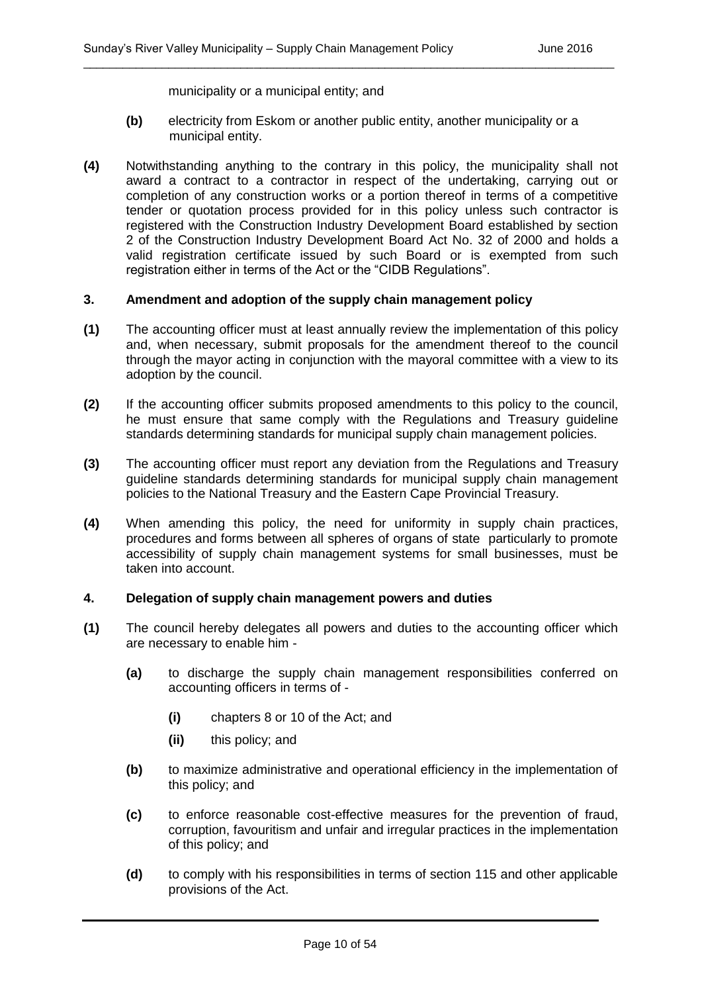municipality or a municipal entity; and

**(b)** electricity from Eskom or another public entity, another municipality or a municipal entity.

\_\_\_\_\_\_\_\_\_\_\_\_\_\_\_\_\_\_\_\_\_\_\_\_\_\_\_\_\_\_\_\_\_\_\_\_\_\_\_\_\_\_\_\_\_\_\_\_\_\_\_\_\_\_\_\_\_\_\_\_\_\_\_\_\_\_\_\_\_\_\_\_\_\_\_\_\_\_\_\_\_

**(4)** Notwithstanding anything to the contrary in this policy, the municipality shall not award a contract to a contractor in respect of the undertaking, carrying out or completion of any construction works or a portion thereof in terms of a competitive tender or quotation process provided for in this policy unless such contractor is registered with the Construction Industry Development Board established by section 2 of the Construction Industry Development Board Act No. 32 of 2000 and holds a valid registration certificate issued by such Board or is exempted from such registration either in terms of the Act or the "CIDB Regulations".

#### **3. Amendment and adoption of the supply chain management policy**

- **(1)** The accounting officer must at least annually review the implementation of this policy and, when necessary, submit proposals for the amendment thereof to the council through the mayor acting in conjunction with the mayoral committee with a view to its adoption by the council.
- **(2)** If the accounting officer submits proposed amendments to this policy to the council, he must ensure that same comply with the Regulations and Treasury guideline standards determining standards for municipal supply chain management policies.
- **(3)** The accounting officer must report any deviation from the Regulations and Treasury guideline standards determining standards for municipal supply chain management policies to the National Treasury and the Eastern Cape Provincial Treasury.
- **(4)** When amending this policy, the need for uniformity in supply chain practices, procedures and forms between all spheres of organs of state particularly to promote accessibility of supply chain management systems for small businesses, must be taken into account.

#### **4. Delegation of supply chain management powers and duties**

- **(1)** The council hereby delegates all powers and duties to the accounting officer which are necessary to enable him -
	- **(a)** to discharge the supply chain management responsibilities conferred on accounting officers in terms of -
		- **(i)** chapters 8 or 10 of the Act; and
		- **(ii)** this policy; and
	- **(b)** to maximize administrative and operational efficiency in the implementation of this policy; and
	- **(c)** to enforce reasonable cost-effective measures for the prevention of fraud, corruption, favouritism and unfair and irregular practices in the implementation of this policy; and
	- **(d)** to comply with his responsibilities in terms of section 115 and other applicable provisions of the Act.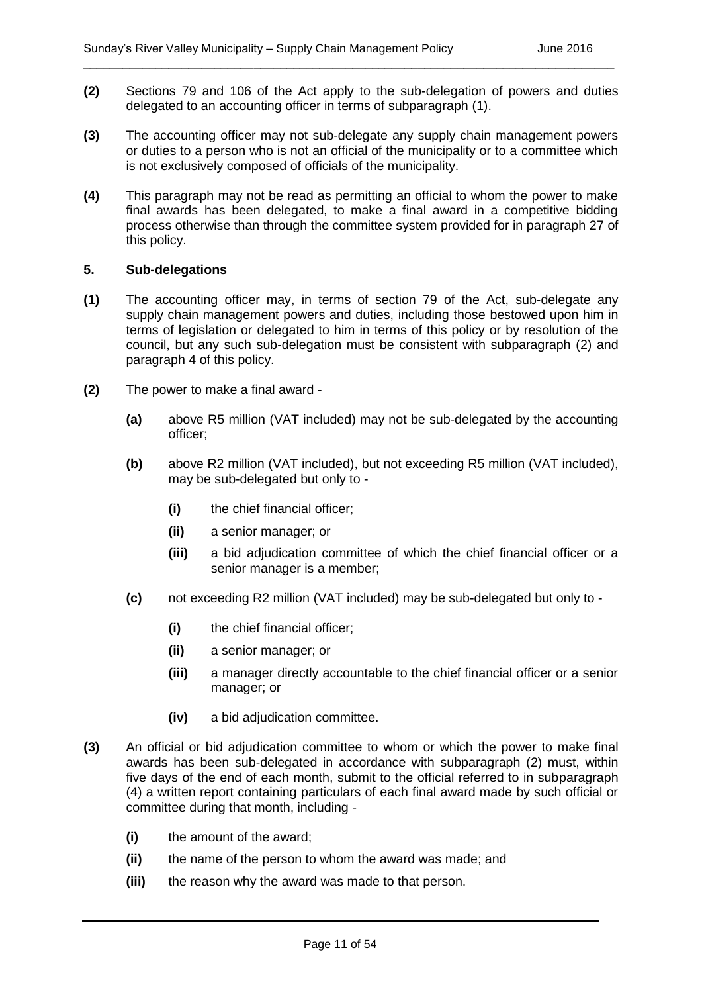**(2)** Sections 79 and 106 of the Act apply to the sub-delegation of powers and duties delegated to an accounting officer in terms of subparagraph (1).

\_\_\_\_\_\_\_\_\_\_\_\_\_\_\_\_\_\_\_\_\_\_\_\_\_\_\_\_\_\_\_\_\_\_\_\_\_\_\_\_\_\_\_\_\_\_\_\_\_\_\_\_\_\_\_\_\_\_\_\_\_\_\_\_\_\_\_\_\_\_\_\_\_\_\_\_\_\_\_\_\_

- **(3)** The accounting officer may not sub-delegate any supply chain management powers or duties to a person who is not an official of the municipality or to a committee which is not exclusively composed of officials of the municipality.
- **(4)** This paragraph may not be read as permitting an official to whom the power to make final awards has been delegated, to make a final award in a competitive bidding process otherwise than through the committee system provided for in paragraph 27 of this policy.

#### **5. Sub-delegations**

- **(1)** The accounting officer may, in terms of section 79 of the Act, sub-delegate any supply chain management powers and duties, including those bestowed upon him in terms of legislation or delegated to him in terms of this policy or by resolution of the council, but any such sub-delegation must be consistent with subparagraph (2) and paragraph 4 of this policy.
- **(2)** The power to make a final award
	- **(a)** above R5 million (VAT included) may not be sub-delegated by the accounting officer;
	- **(b)** above R2 million (VAT included), but not exceeding R5 million (VAT included), may be sub-delegated but only to -
		- **(i)** the chief financial officer;
		- **(ii)** a senior manager; or
		- **(iii)** a bid adjudication committee of which the chief financial officer or a senior manager is a member;
	- **(c)** not exceeding R2 million (VAT included) may be sub-delegated but only to
		- **(i)** the chief financial officer;
		- **(ii)** a senior manager; or
		- **(iii)** a manager directly accountable to the chief financial officer or a senior manager; or
		- **(iv)** a bid adjudication committee.
- **(3)** An official or bid adjudication committee to whom or which the power to make final awards has been sub-delegated in accordance with subparagraph (2) must, within five days of the end of each month, submit to the official referred to in subparagraph (4) a written report containing particulars of each final award made by such official or committee during that month, including -
	- **(i)** the amount of the award;
	- **(ii)** the name of the person to whom the award was made; and
	- **(iii)** the reason why the award was made to that person.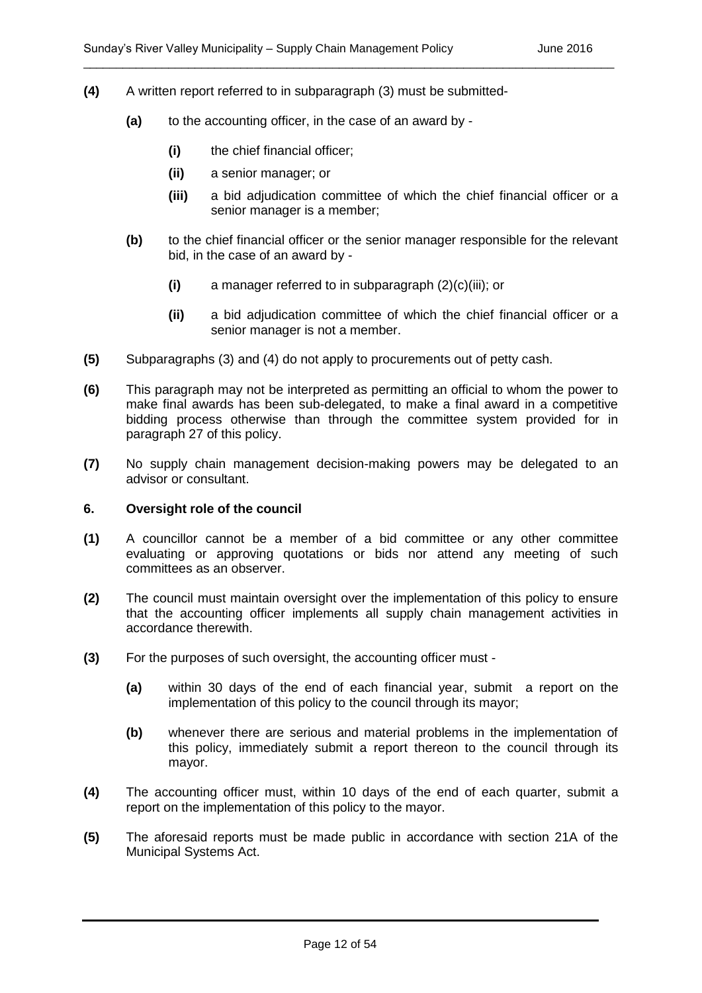- **(4)** A written report referred to in subparagraph (3) must be submitted-
	- **(a)** to the accounting officer, in the case of an award by
		- **(i)** the chief financial officer;
		- **(ii)** a senior manager; or
		- **(iii)** a bid adjudication committee of which the chief financial officer or a senior manager is a member;
	- **(b)** to the chief financial officer or the senior manager responsible for the relevant bid, in the case of an award by -
		- **(i)** a manager referred to in subparagraph (2)(c)(iii); or

- **(ii)** a bid adjudication committee of which the chief financial officer or a senior manager is not a member.
- **(5)** Subparagraphs (3) and (4) do not apply to procurements out of petty cash.
- **(6)** This paragraph may not be interpreted as permitting an official to whom the power to make final awards has been sub-delegated, to make a final award in a competitive bidding process otherwise than through the committee system provided for in paragraph 27 of this policy.
- **(7)** No supply chain management decision-making powers may be delegated to an advisor or consultant.

#### **6. Oversight role of the council**

- **(1)** A councillor cannot be a member of a bid committee or any other committee evaluating or approving quotations or bids nor attend any meeting of such committees as an observer.
- **(2)** The council must maintain oversight over the implementation of this policy to ensure that the accounting officer implements all supply chain management activities in accordance therewith.
- **(3)** For the purposes of such oversight, the accounting officer must
	- **(a)** within 30 days of the end of each financial year, submit a report on the implementation of this policy to the council through its mayor;
	- **(b)** whenever there are serious and material problems in the implementation of this policy, immediately submit a report thereon to the council through its mayor.
- **(4)** The accounting officer must, within 10 days of the end of each quarter, submit a report on the implementation of this policy to the mayor.
- **(5)** The aforesaid reports must be made public in accordance with section 21A of the Municipal Systems Act.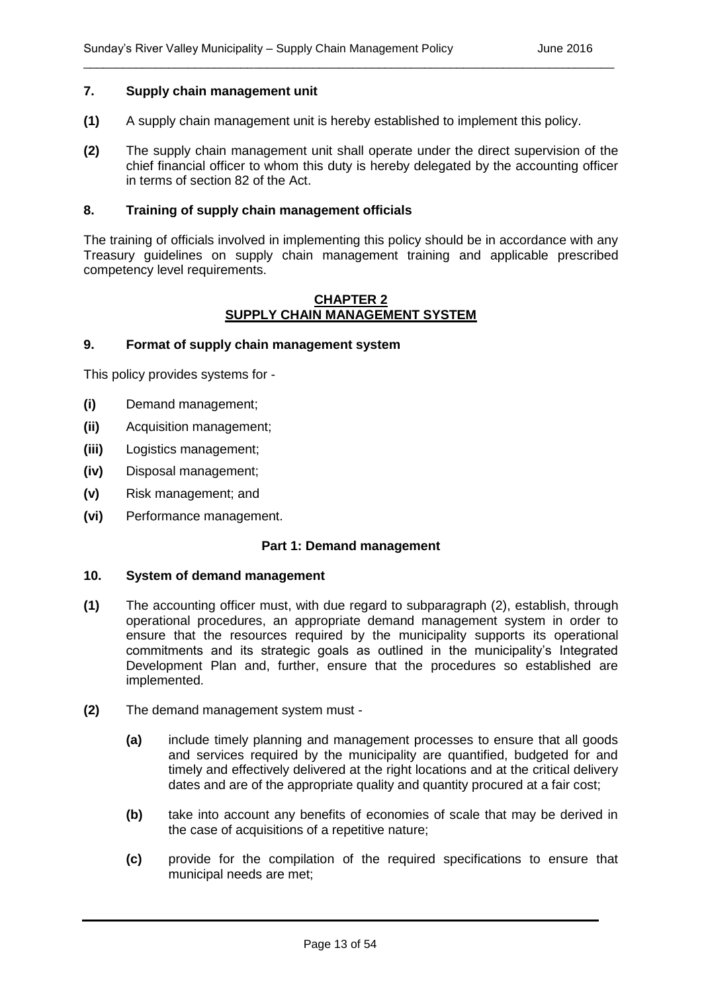#### **7. Supply chain management unit**

- **(1)** A supply chain management unit is hereby established to implement this policy.
- **(2)** The supply chain management unit shall operate under the direct supervision of the chief financial officer to whom this duty is hereby delegated by the accounting officer in terms of section 82 of the Act.

\_\_\_\_\_\_\_\_\_\_\_\_\_\_\_\_\_\_\_\_\_\_\_\_\_\_\_\_\_\_\_\_\_\_\_\_\_\_\_\_\_\_\_\_\_\_\_\_\_\_\_\_\_\_\_\_\_\_\_\_\_\_\_\_\_\_\_\_\_\_\_\_\_\_\_\_\_\_\_\_\_

#### **8. Training of supply chain management officials**

The training of officials involved in implementing this policy should be in accordance with any Treasury guidelines on supply chain management training and applicable prescribed competency level requirements.

#### **CHAPTER 2 SUPPLY CHAIN MANAGEMENT SYSTEM**

#### **9. Format of supply chain management system**

This policy provides systems for -

- **(i)** Demand management;
- **(ii)** Acquisition management;
- **(iii)** Logistics management;
- **(iv)** Disposal management;
- **(v)** Risk management; and
- **(vi)** Performance management.

#### **Part 1: Demand management**

#### **10. System of demand management**

- **(1)** The accounting officer must, with due regard to subparagraph (2), establish, through operational procedures, an appropriate demand management system in order to ensure that the resources required by the municipality supports its operational commitments and its strategic goals as outlined in the municipality's Integrated Development Plan and, further, ensure that the procedures so established are implemented.
- **(2)** The demand management system must
	- **(a)** include timely planning and management processes to ensure that all goods and services required by the municipality are quantified, budgeted for and timely and effectively delivered at the right locations and at the critical delivery dates and are of the appropriate quality and quantity procured at a fair cost;
	- **(b)** take into account any benefits of economies of scale that may be derived in the case of acquisitions of a repetitive nature;
	- **(c)** provide for the compilation of the required specifications to ensure that municipal needs are met;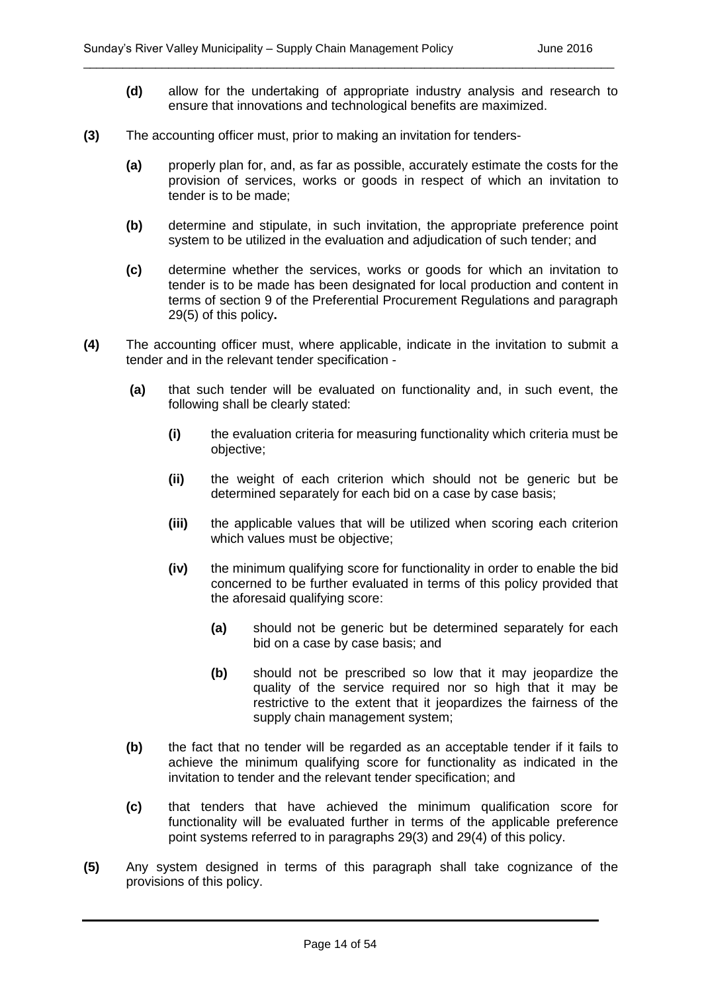**(d)** allow for the undertaking of appropriate industry analysis and research to ensure that innovations and technological benefits are maximized.

\_\_\_\_\_\_\_\_\_\_\_\_\_\_\_\_\_\_\_\_\_\_\_\_\_\_\_\_\_\_\_\_\_\_\_\_\_\_\_\_\_\_\_\_\_\_\_\_\_\_\_\_\_\_\_\_\_\_\_\_\_\_\_\_\_\_\_\_\_\_\_\_\_\_\_\_\_\_\_\_\_

- **(3)** The accounting officer must, prior to making an invitation for tenders-
	- **(a)** properly plan for, and, as far as possible, accurately estimate the costs for the provision of services, works or goods in respect of which an invitation to tender is to be made;
	- **(b)** determine and stipulate, in such invitation, the appropriate preference point system to be utilized in the evaluation and adjudication of such tender; and
	- **(c)** determine whether the services, works or goods for which an invitation to tender is to be made has been designated for local production and content in terms of section 9 of the Preferential Procurement Regulations and paragraph 29(5) of this policy**.**
- **(4)** The accounting officer must, where applicable, indicate in the invitation to submit a tender and in the relevant tender specification -
	- **(a)** that such tender will be evaluated on functionality and, in such event, the following shall be clearly stated:
		- **(i)** the evaluation criteria for measuring functionality which criteria must be objective;
		- **(ii)** the weight of each criterion which should not be generic but be determined separately for each bid on a case by case basis;
		- **(iii)** the applicable values that will be utilized when scoring each criterion which values must be objective;
		- **(iv)** the minimum qualifying score for functionality in order to enable the bid concerned to be further evaluated in terms of this policy provided that the aforesaid qualifying score:
			- **(a)** should not be generic but be determined separately for each bid on a case by case basis; and
			- **(b)** should not be prescribed so low that it may jeopardize the quality of the service required nor so high that it may be restrictive to the extent that it jeopardizes the fairness of the supply chain management system;
	- **(b)** the fact that no tender will be regarded as an acceptable tender if it fails to achieve the minimum qualifying score for functionality as indicated in the invitation to tender and the relevant tender specification; and
	- **(c)** that tenders that have achieved the minimum qualification score for functionality will be evaluated further in terms of the applicable preference point systems referred to in paragraphs 29(3) and 29(4) of this policy.
- **(5)** Any system designed in terms of this paragraph shall take cognizance of the provisions of this policy.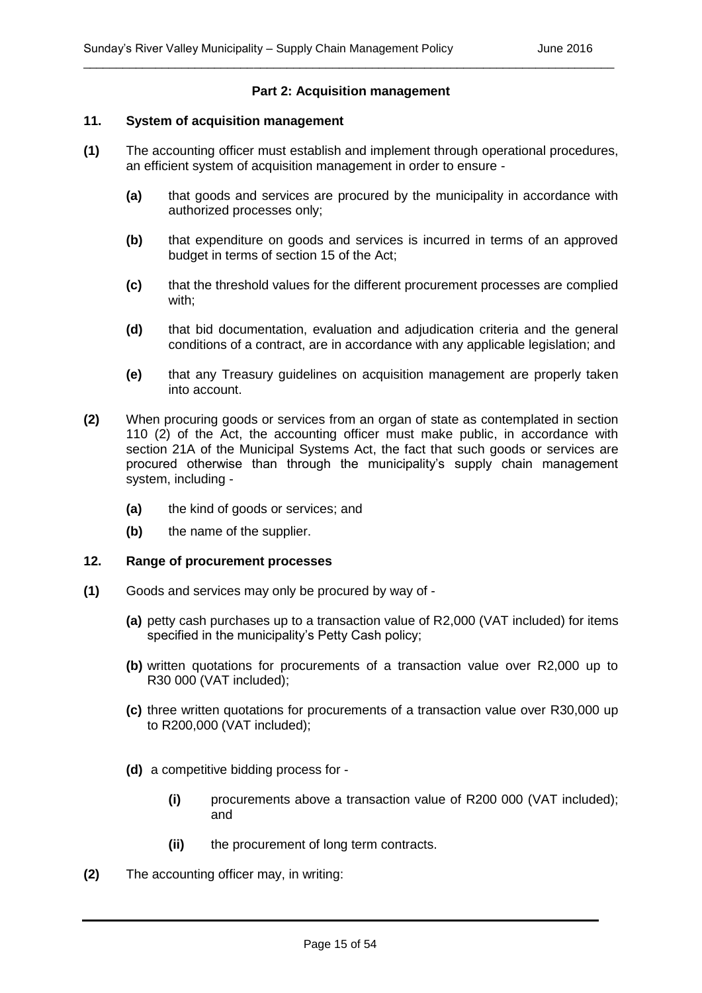#### **Part 2: Acquisition management**

\_\_\_\_\_\_\_\_\_\_\_\_\_\_\_\_\_\_\_\_\_\_\_\_\_\_\_\_\_\_\_\_\_\_\_\_\_\_\_\_\_\_\_\_\_\_\_\_\_\_\_\_\_\_\_\_\_\_\_\_\_\_\_\_\_\_\_\_\_\_\_\_\_\_\_\_\_\_\_\_\_

#### **11. System of acquisition management**

- **(1)** The accounting officer must establish and implement through operational procedures, an efficient system of acquisition management in order to ensure -
	- **(a)** that goods and services are procured by the municipality in accordance with authorized processes only;
	- **(b)** that expenditure on goods and services is incurred in terms of an approved budget in terms of section 15 of the Act;
	- **(c)** that the threshold values for the different procurement processes are complied with;
	- **(d)** that bid documentation, evaluation and adjudication criteria and the general conditions of a contract, are in accordance with any applicable legislation; and
	- **(e)** that any Treasury guidelines on acquisition management are properly taken into account.
- **(2)** When procuring goods or services from an organ of state as contemplated in section 110 (2) of the Act, the accounting officer must make public, in accordance with section 21A of the Municipal Systems Act, the fact that such goods or services are procured otherwise than through the municipality's supply chain management system, including -
	- **(a)** the kind of goods or services; and
	- **(b)** the name of the supplier.

#### **12. Range of procurement processes**

- **(1)** Goods and services may only be procured by way of
	- **(a)** petty cash purchases up to a transaction value of R2,000 (VAT included) for items specified in the municipality's Petty Cash policy;
	- **(b)** written quotations for procurements of a transaction value over R2,000 up to R30 000 (VAT included);
	- **(c)** three written quotations for procurements of a transaction value over R30,000 up to R200,000 (VAT included);
	- **(d)** a competitive bidding process for
		- **(i)** procurements above a transaction value of R200 000 (VAT included); and
		- **(ii)** the procurement of long term contracts.
- **(2)** The accounting officer may, in writing: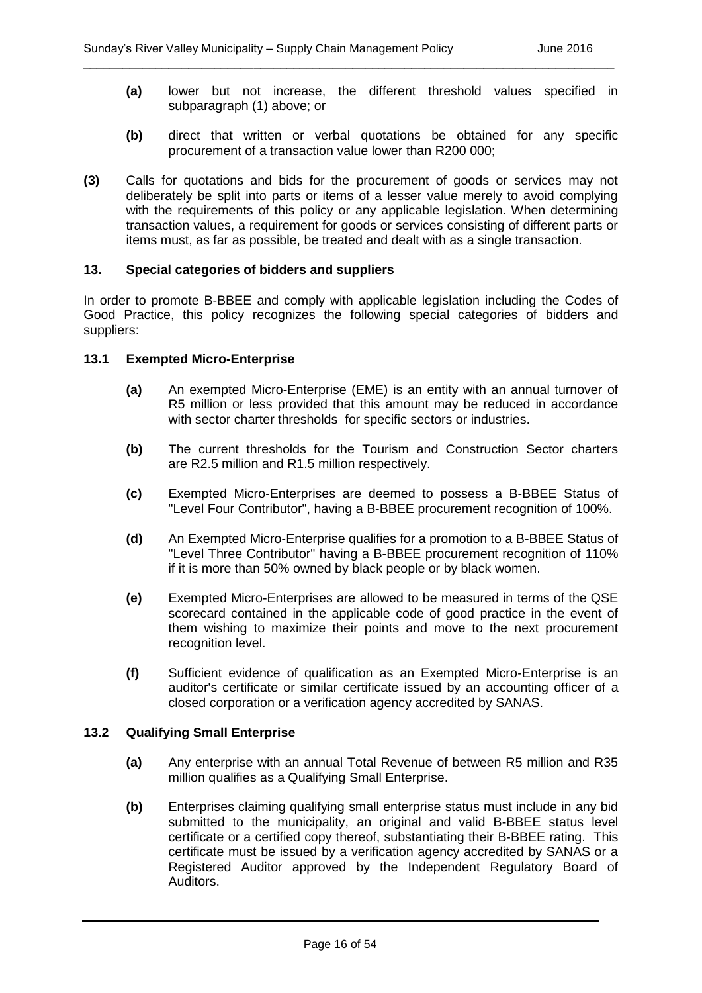**(a)** lower but not increase, the different threshold values specified in subparagraph (1) above; or

\_\_\_\_\_\_\_\_\_\_\_\_\_\_\_\_\_\_\_\_\_\_\_\_\_\_\_\_\_\_\_\_\_\_\_\_\_\_\_\_\_\_\_\_\_\_\_\_\_\_\_\_\_\_\_\_\_\_\_\_\_\_\_\_\_\_\_\_\_\_\_\_\_\_\_\_\_\_\_\_\_

- **(b)** direct that written or verbal quotations be obtained for any specific procurement of a transaction value lower than R200 000;
- **(3)** Calls for quotations and bids for the procurement of goods or services may not deliberately be split into parts or items of a lesser value merely to avoid complying with the requirements of this policy or any applicable legislation. When determining transaction values, a requirement for goods or services consisting of different parts or items must, as far as possible, be treated and dealt with as a single transaction.

#### **13. Special categories of bidders and suppliers**

In order to promote B-BBEE and comply with applicable legislation including the Codes of Good Practice, this policy recognizes the following special categories of bidders and suppliers:

#### **13.1 Exempted Micro-Enterprise**

- **(a)** An exempted Micro-Enterprise (EME) is an entity with an annual turnover of R5 million or less provided that this amount may be reduced in accordance with sector charter thresholds for specific sectors or industries.
- **(b)** The current thresholds for the Tourism and Construction Sector charters are R2.5 million and R1.5 million respectively.
- **(c)** Exempted Micro-Enterprises are deemed to possess a B-BBEE Status of "Level Four Contributor", having a B-BBEE procurement recognition of 100%.
- **(d)** An Exempted Micro-Enterprise qualifies for a promotion to a B-BBEE Status of "Level Three Contributor" having a B-BBEE procurement recognition of 110% if it is more than 50% owned by black people or by black women.
- **(e)** Exempted Micro-Enterprises are allowed to be measured in terms of the QSE scorecard contained in the applicable code of good practice in the event of them wishing to maximize their points and move to the next procurement recognition level.
- **(f)** Sufficient evidence of qualification as an Exempted Micro-Enterprise is an auditor's certificate or similar certificate issued by an accounting officer of a closed corporation or a verification agency accredited by SANAS.

#### **13.2 Qualifying Small Enterprise**

- **(a)** Any enterprise with an annual Total Revenue of between R5 million and R35 million qualifies as a Qualifying Small Enterprise.
- **(b)** Enterprises claiming qualifying small enterprise status must include in any bid submitted to the municipality, an original and valid B-BBEE status level certificate or a certified copy thereof, substantiating their B-BBEE rating. This certificate must be issued by a verification agency accredited by SANAS or a Registered Auditor approved by the Independent Regulatory Board of Auditors.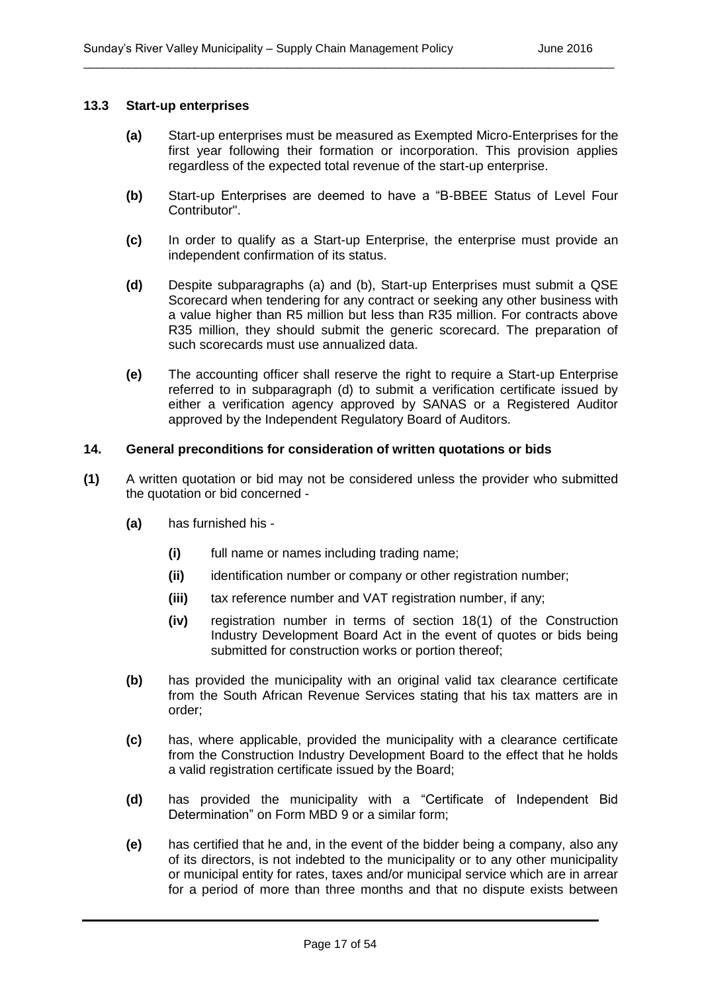#### **13.3 Start-up enterprises**

**(a)** Start-up enterprises must be measured as Exempted Micro-Enterprises for the first year following their formation or incorporation. This provision applies regardless of the expected total revenue of the start-up enterprise.

\_\_\_\_\_\_\_\_\_\_\_\_\_\_\_\_\_\_\_\_\_\_\_\_\_\_\_\_\_\_\_\_\_\_\_\_\_\_\_\_\_\_\_\_\_\_\_\_\_\_\_\_\_\_\_\_\_\_\_\_\_\_\_\_\_\_\_\_\_\_\_\_\_\_\_\_\_\_\_\_\_

- **(b)** Start-up Enterprises are deemed to have a "B-BBEE Status of Level Four Contributor".
- **(c)** In order to qualify as a Start-up Enterprise, the enterprise must provide an independent confirmation of its status.
- **(d)** Despite subparagraphs (a) and (b), Start-up Enterprises must submit a QSE Scorecard when tendering for any contract or seeking any other business with a value higher than R5 million but less than R35 million. For contracts above R35 million, they should submit the generic scorecard. The preparation of such scorecards must use annualized data.
- **(e)** The accounting officer shall reserve the right to require a Start-up Enterprise referred to in subparagraph (d) to submit a verification certificate issued by either a verification agency approved by SANAS or a Registered Auditor approved by the Independent Regulatory Board of Auditors.

#### **14. General preconditions for consideration of written quotations or bids**

- **(1)** A written quotation or bid may not be considered unless the provider who submitted the quotation or bid concerned -
	- **(a)** has furnished his
		- **(i)** full name or names including trading name;
		- **(ii)** identification number or company or other registration number;
		- **(iii)** tax reference number and VAT registration number, if any;
		- **(iv)** registration number in terms of section 18(1) of the Construction Industry Development Board Act in the event of quotes or bids being submitted for construction works or portion thereof;
	- **(b)** has provided the municipality with an original valid tax clearance certificate from the South African Revenue Services stating that his tax matters are in order;
	- **(c)** has, where applicable, provided the municipality with a clearance certificate from the Construction Industry Development Board to the effect that he holds a valid registration certificate issued by the Board;
	- **(d)** has provided the municipality with a "Certificate of Independent Bid Determination" on Form MBD 9 or a similar form;
	- **(e)** has certified that he and, in the event of the bidder being a company, also any of its directors, is not indebted to the municipality or to any other municipality or municipal entity for rates, taxes and/or municipal service which are in arrear for a period of more than three months and that no dispute exists between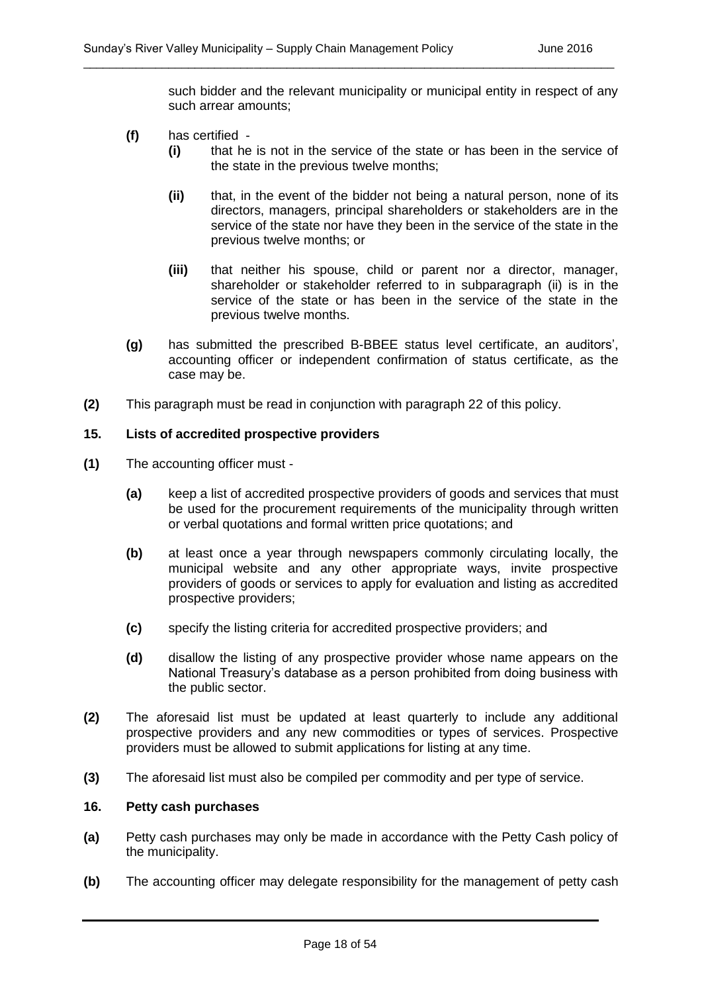such bidder and the relevant municipality or municipal entity in respect of any such arrear amounts;

\_\_\_\_\_\_\_\_\_\_\_\_\_\_\_\_\_\_\_\_\_\_\_\_\_\_\_\_\_\_\_\_\_\_\_\_\_\_\_\_\_\_\_\_\_\_\_\_\_\_\_\_\_\_\_\_\_\_\_\_\_\_\_\_\_\_\_\_\_\_\_\_\_\_\_\_\_\_\_\_\_

- **(f)** has certified
	- **(i)** that he is not in the service of the state or has been in the service of the state in the previous twelve months;
	- **(ii)** that, in the event of the bidder not being a natural person, none of its directors, managers, principal shareholders or stakeholders are in the service of the state nor have they been in the service of the state in the previous twelve months; or
	- **(iii)** that neither his spouse, child or parent nor a director, manager, shareholder or stakeholder referred to in subparagraph (ii) is in the service of the state or has been in the service of the state in the previous twelve months.
- **(g)** has submitted the prescribed B-BBEE status level certificate, an auditors', accounting officer or independent confirmation of status certificate, as the case may be.
- **(2)** This paragraph must be read in conjunction with paragraph 22 of this policy.

#### **15. Lists of accredited prospective providers**

- **(1)** The accounting officer must
	- **(a)** keep a list of accredited prospective providers of goods and services that must be used for the procurement requirements of the municipality through written or verbal quotations and formal written price quotations; and
	- **(b)** at least once a year through newspapers commonly circulating locally, the municipal website and any other appropriate ways, invite prospective providers of goods or services to apply for evaluation and listing as accredited prospective providers;
	- **(c)** specify the listing criteria for accredited prospective providers; and
	- **(d)** disallow the listing of any prospective provider whose name appears on the National Treasury's database as a person prohibited from doing business with the public sector.
- **(2)** The aforesaid list must be updated at least quarterly to include any additional prospective providers and any new commodities or types of services. Prospective providers must be allowed to submit applications for listing at any time.
- **(3)** The aforesaid list must also be compiled per commodity and per type of service.

#### **16. Petty cash purchases**

- **(a)** Petty cash purchases may only be made in accordance with the Petty Cash policy of the municipality.
- **(b)** The accounting officer may delegate responsibility for the management of petty cash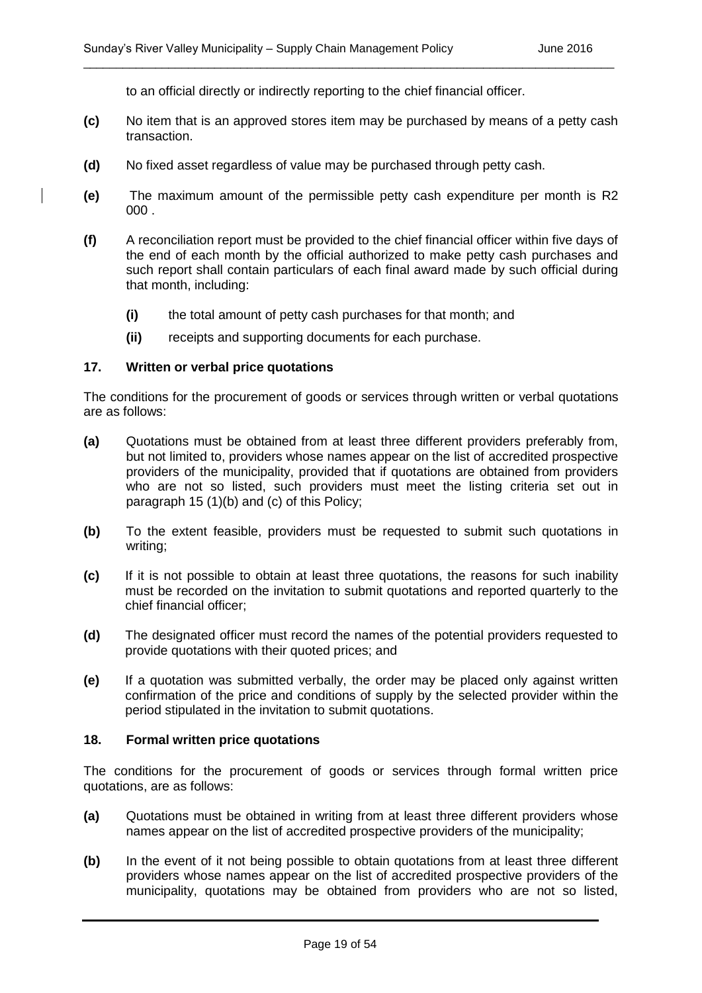to an official directly or indirectly reporting to the chief financial officer.

**(c)** No item that is an approved stores item may be purchased by means of a petty cash transaction.

\_\_\_\_\_\_\_\_\_\_\_\_\_\_\_\_\_\_\_\_\_\_\_\_\_\_\_\_\_\_\_\_\_\_\_\_\_\_\_\_\_\_\_\_\_\_\_\_\_\_\_\_\_\_\_\_\_\_\_\_\_\_\_\_\_\_\_\_\_\_\_\_\_\_\_\_\_\_\_\_\_

- **(d)** No fixed asset regardless of value may be purchased through petty cash.
- **(e)** The maximum amount of the permissible petty cash expenditure per month is R2 000 .
- **(f)** A reconciliation report must be provided to the chief financial officer within five days of the end of each month by the official authorized to make petty cash purchases and such report shall contain particulars of each final award made by such official during that month, including:
	- **(i)** the total amount of petty cash purchases for that month; and
	- **(ii)** receipts and supporting documents for each purchase.

#### **17. Written or verbal price quotations**

The conditions for the procurement of goods or services through written or verbal quotations are as follows:

- **(a)** Quotations must be obtained from at least three different providers preferably from, but not limited to, providers whose names appear on the list of accredited prospective providers of the municipality, provided that if quotations are obtained from providers who are not so listed, such providers must meet the listing criteria set out in paragraph 15 (1)(b) and (c) of this Policy;
- **(b)** To the extent feasible, providers must be requested to submit such quotations in writing;
- **(c)** If it is not possible to obtain at least three quotations, the reasons for such inability must be recorded on the invitation to submit quotations and reported quarterly to the chief financial officer;
- **(d)** The designated officer must record the names of the potential providers requested to provide quotations with their quoted prices; and
- **(e)** If a quotation was submitted verbally, the order may be placed only against written confirmation of the price and conditions of supply by the selected provider within the period stipulated in the invitation to submit quotations.

#### **18. Formal written price quotations**

The conditions for the procurement of goods or services through formal written price quotations, are as follows:

- **(a)** Quotations must be obtained in writing from at least three different providers whose names appear on the list of accredited prospective providers of the municipality;
- **(b)** In the event of it not being possible to obtain quotations from at least three different providers whose names appear on the list of accredited prospective providers of the municipality, quotations may be obtained from providers who are not so listed,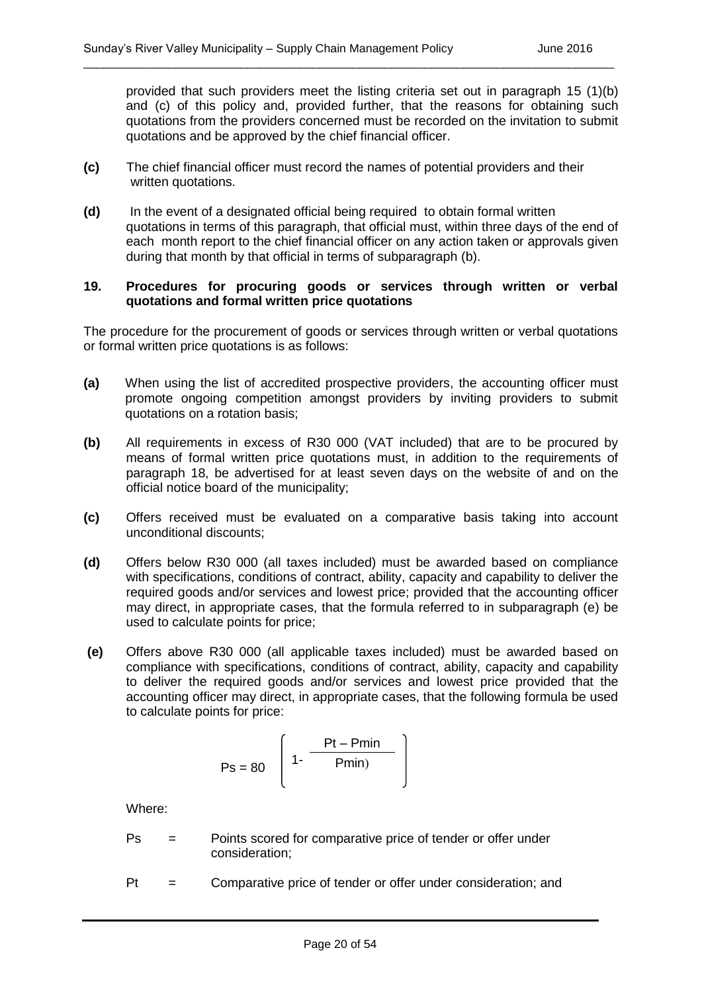provided that such providers meet the listing criteria set out in paragraph 15 (1)(b) and (c) of this policy and, provided further, that the reasons for obtaining such quotations from the providers concerned must be recorded on the invitation to submit quotations and be approved by the chief financial officer.

**(c)** The chief financial officer must record the names of potential providers and their written quotations.

\_\_\_\_\_\_\_\_\_\_\_\_\_\_\_\_\_\_\_\_\_\_\_\_\_\_\_\_\_\_\_\_\_\_\_\_\_\_\_\_\_\_\_\_\_\_\_\_\_\_\_\_\_\_\_\_\_\_\_\_\_\_\_\_\_\_\_\_\_\_\_\_\_\_\_\_\_\_\_\_\_

**(d)** In the event of a designated official being required to obtain formal written quotations in terms of this paragraph, that official must, within three days of the end of each month report to the chief financial officer on any action taken or approvals given during that month by that official in terms of subparagraph (b).

#### **19. Procedures for procuring goods or services through written or verbal quotations and formal written price quotations**

The procedure for the procurement of goods or services through written or verbal quotations or formal written price quotations is as follows:

- **(a)** When using the list of accredited prospective providers, the accounting officer must promote ongoing competition amongst providers by inviting providers to submit quotations on a rotation basis;
- **(b)** All requirements in excess of R30 000 (VAT included) that are to be procured by means of formal written price quotations must, in addition to the requirements of paragraph 18, be advertised for at least seven days on the website of and on the official notice board of the municipality;
- **(c)** Offers received must be evaluated on a comparative basis taking into account unconditional discounts;
- **(d)** Offers below R30 000 (all taxes included) must be awarded based on compliance with specifications, conditions of contract, ability, capacity and capability to deliver the required goods and/or services and lowest price; provided that the accounting officer may direct, in appropriate cases, that the formula referred to in subparagraph (e) be used to calculate points for price;
- **(e)** Offers above R30 000 (all applicable taxes included) must be awarded based on compliance with specifications, conditions of contract, ability, capacity and capability to deliver the required goods and/or services and lowest price provided that the accounting officer may direct, in appropriate cases, that the following formula be used to calculate points for price:

$$
Ps = 80 \left( 1 - \frac{Pt - Pmin}{Pmin} \right)
$$

Where:

- Ps = Points scored for comparative price of tender or offer under consideration;
- Pt = Comparative price of tender or offer under consideration; and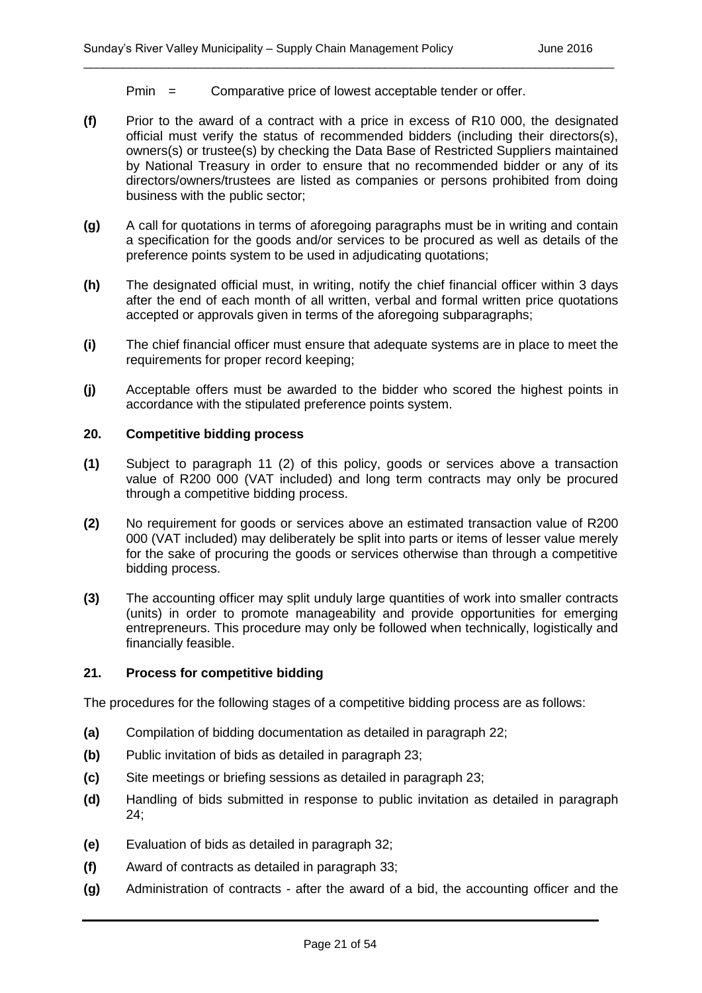Pmin = Comparative price of lowest acceptable tender or offer.

**(f)** Prior to the award of a contract with a price in excess of R10 000, the designated official must verify the status of recommended bidders (including their directors(s), owners(s) or trustee(s) by checking the Data Base of Restricted Suppliers maintained by National Treasury in order to ensure that no recommended bidder or any of its directors/owners/trustees are listed as companies or persons prohibited from doing business with the public sector;

\_\_\_\_\_\_\_\_\_\_\_\_\_\_\_\_\_\_\_\_\_\_\_\_\_\_\_\_\_\_\_\_\_\_\_\_\_\_\_\_\_\_\_\_\_\_\_\_\_\_\_\_\_\_\_\_\_\_\_\_\_\_\_\_\_\_\_\_\_\_\_\_\_\_\_\_\_\_\_\_\_

- **(g)** A call for quotations in terms of aforegoing paragraphs must be in writing and contain a specification for the goods and/or services to be procured as well as details of the preference points system to be used in adjudicating quotations;
- **(h)** The designated official must, in writing, notify the chief financial officer within 3 days after the end of each month of all written, verbal and formal written price quotations accepted or approvals given in terms of the aforegoing subparagraphs;
- **(i)** The chief financial officer must ensure that adequate systems are in place to meet the requirements for proper record keeping;
- **(j)** Acceptable offers must be awarded to the bidder who scored the highest points in accordance with the stipulated preference points system.

#### **20. Competitive bidding process**

- **(1)** Subject to paragraph 11 (2) of this policy, goods or services above a transaction value of R200 000 (VAT included) and long term contracts may only be procured through a competitive bidding process.
- **(2)** No requirement for goods or services above an estimated transaction value of R200 000 (VAT included) may deliberately be split into parts or items of lesser value merely for the sake of procuring the goods or services otherwise than through a competitive bidding process.
- **(3)** The accounting officer may split unduly large quantities of work into smaller contracts (units) in order to promote manageability and provide opportunities for emerging entrepreneurs. This procedure may only be followed when technically, logistically and financially feasible.

#### **21. Process for competitive bidding**

The procedures for the following stages of a competitive bidding process are as follows:

- **(a)** Compilation of bidding documentation as detailed in paragraph 22;
- **(b)** Public invitation of bids as detailed in paragraph 23;
- **(c)** Site meetings or briefing sessions as detailed in paragraph 23;
- **(d)** Handling of bids submitted in response to public invitation as detailed in paragraph 24;
- **(e)** Evaluation of bids as detailed in paragraph 32;
- **(f)** Award of contracts as detailed in paragraph 33;
- **(g)** Administration of contracts after the award of a bid, the accounting officer and the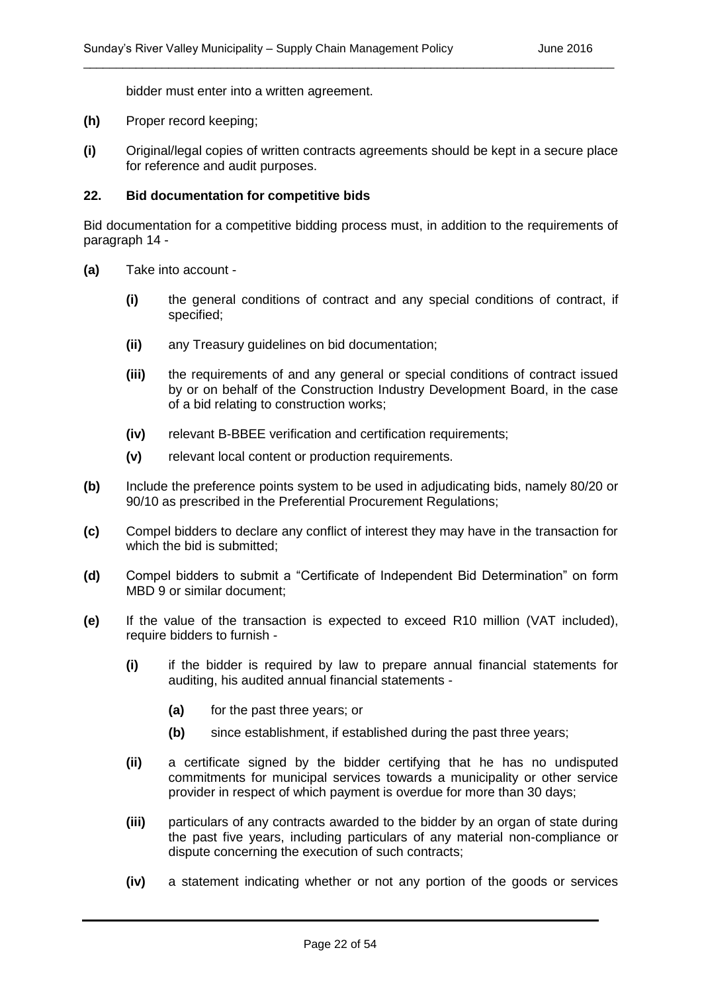bidder must enter into a written agreement.

- **(h)** Proper record keeping;
- **(i)** Original/legal copies of written contracts agreements should be kept in a secure place for reference and audit purposes.

\_\_\_\_\_\_\_\_\_\_\_\_\_\_\_\_\_\_\_\_\_\_\_\_\_\_\_\_\_\_\_\_\_\_\_\_\_\_\_\_\_\_\_\_\_\_\_\_\_\_\_\_\_\_\_\_\_\_\_\_\_\_\_\_\_\_\_\_\_\_\_\_\_\_\_\_\_\_\_\_\_

#### **22. Bid documentation for competitive bids**

Bid documentation for a competitive bidding process must, in addition to the requirements of paragraph 14 -

- **(a)** Take into account
	- **(i)** the general conditions of contract and any special conditions of contract, if specified;
	- **(ii)** any Treasury guidelines on bid documentation;
	- **(iii)** the requirements of and any general or special conditions of contract issued by or on behalf of the Construction Industry Development Board, in the case of a bid relating to construction works;
	- **(iv)** relevant B-BBEE verification and certification requirements;
	- **(v)** relevant local content or production requirements.
- **(b)** Include the preference points system to be used in adjudicating bids, namely 80/20 or 90/10 as prescribed in the Preferential Procurement Regulations;
- **(c)** Compel bidders to declare any conflict of interest they may have in the transaction for which the bid is submitted;
- **(d)** Compel bidders to submit a "Certificate of Independent Bid Determination" on form MBD 9 or similar document;
- **(e)** If the value of the transaction is expected to exceed R10 million (VAT included), require bidders to furnish -
	- **(i)** if the bidder is required by law to prepare annual financial statements for auditing, his audited annual financial statements -
		- **(a)** for the past three years; or
		- **(b)** since establishment, if established during the past three years;
	- **(ii)** a certificate signed by the bidder certifying that he has no undisputed commitments for municipal services towards a municipality or other service provider in respect of which payment is overdue for more than 30 days;
	- **(iii)** particulars of any contracts awarded to the bidder by an organ of state during the past five years, including particulars of any material non-compliance or dispute concerning the execution of such contracts;
	- **(iv)** a statement indicating whether or not any portion of the goods or services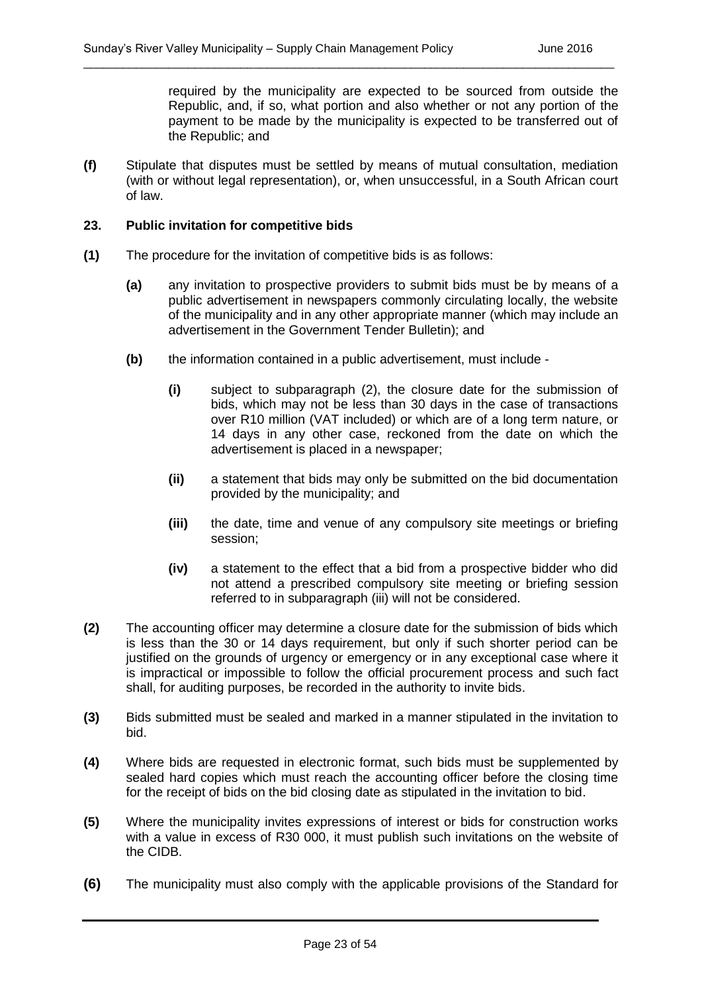required by the municipality are expected to be sourced from outside the Republic, and, if so, what portion and also whether or not any portion of the payment to be made by the municipality is expected to be transferred out of the Republic; and

**(f)** Stipulate that disputes must be settled by means of mutual consultation, mediation (with or without legal representation), or, when unsuccessful, in a South African court of law.

\_\_\_\_\_\_\_\_\_\_\_\_\_\_\_\_\_\_\_\_\_\_\_\_\_\_\_\_\_\_\_\_\_\_\_\_\_\_\_\_\_\_\_\_\_\_\_\_\_\_\_\_\_\_\_\_\_\_\_\_\_\_\_\_\_\_\_\_\_\_\_\_\_\_\_\_\_\_\_\_\_

#### **23. Public invitation for competitive bids**

- **(1)** The procedure for the invitation of competitive bids is as follows:
	- **(a)** any invitation to prospective providers to submit bids must be by means of a public advertisement in newspapers commonly circulating locally, the website of the municipality and in any other appropriate manner (which may include an advertisement in the Government Tender Bulletin); and
	- **(b)** the information contained in a public advertisement, must include
		- **(i)** subject to subparagraph (2), the closure date for the submission of bids, which may not be less than 30 days in the case of transactions over R10 million (VAT included) or which are of a long term nature, or 14 days in any other case, reckoned from the date on which the advertisement is placed in a newspaper;
		- **(ii)** a statement that bids may only be submitted on the bid documentation provided by the municipality; and
		- **(iii)** the date, time and venue of any compulsory site meetings or briefing session;
		- **(iv)** a statement to the effect that a bid from a prospective bidder who did not attend a prescribed compulsory site meeting or briefing session referred to in subparagraph (iii) will not be considered.
- **(2)** The accounting officer may determine a closure date for the submission of bids which is less than the 30 or 14 days requirement, but only if such shorter period can be justified on the grounds of urgency or emergency or in any exceptional case where it is impractical or impossible to follow the official procurement process and such fact shall, for auditing purposes, be recorded in the authority to invite bids.
- **(3)** Bids submitted must be sealed and marked in a manner stipulated in the invitation to bid.
- **(4)** Where bids are requested in electronic format, such bids must be supplemented by sealed hard copies which must reach the accounting officer before the closing time for the receipt of bids on the bid closing date as stipulated in the invitation to bid.
- **(5)** Where the municipality invites expressions of interest or bids for construction works with a value in excess of R30 000, it must publish such invitations on the website of the CIDB.
- **(6)** The municipality must also comply with the applicable provisions of the Standard for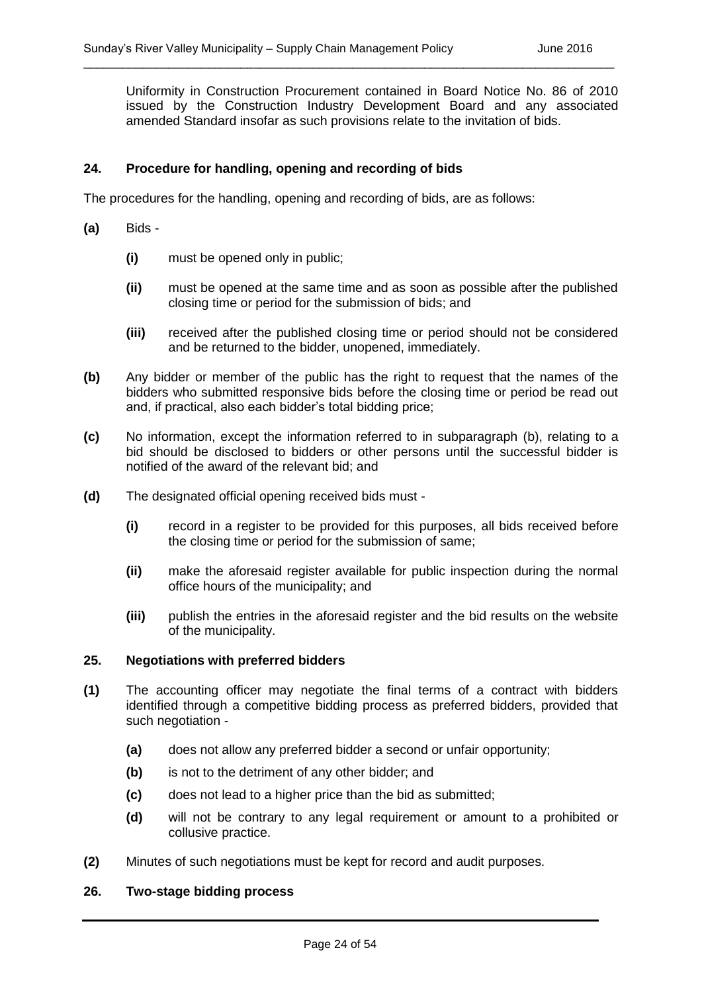Uniformity in Construction Procurement contained in Board Notice No. 86 of 2010 issued by the Construction Industry Development Board and any associated amended Standard insofar as such provisions relate to the invitation of bids.

\_\_\_\_\_\_\_\_\_\_\_\_\_\_\_\_\_\_\_\_\_\_\_\_\_\_\_\_\_\_\_\_\_\_\_\_\_\_\_\_\_\_\_\_\_\_\_\_\_\_\_\_\_\_\_\_\_\_\_\_\_\_\_\_\_\_\_\_\_\_\_\_\_\_\_\_\_\_\_\_\_

#### **24. Procedure for handling, opening and recording of bids**

The procedures for the handling, opening and recording of bids, are as follows:

- **(a)** Bids
	- **(i)** must be opened only in public;
	- **(ii)** must be opened at the same time and as soon as possible after the published closing time or period for the submission of bids; and
	- **(iii)** received after the published closing time or period should not be considered and be returned to the bidder, unopened, immediately.
- **(b)** Any bidder or member of the public has the right to request that the names of the bidders who submitted responsive bids before the closing time or period be read out and, if practical, also each bidder's total bidding price;
- **(c)** No information, except the information referred to in subparagraph (b), relating to a bid should be disclosed to bidders or other persons until the successful bidder is notified of the award of the relevant bid; and
- **(d)** The designated official opening received bids must
	- **(i)** record in a register to be provided for this purposes, all bids received before the closing time or period for the submission of same;
	- **(ii)** make the aforesaid register available for public inspection during the normal office hours of the municipality; and
	- **(iii)** publish the entries in the aforesaid register and the bid results on the website of the municipality.

#### **25. Negotiations with preferred bidders**

- **(1)** The accounting officer may negotiate the final terms of a contract with bidders identified through a competitive bidding process as preferred bidders, provided that such negotiation -
	- **(a)** does not allow any preferred bidder a second or unfair opportunity;
	- **(b)** is not to the detriment of any other bidder; and
	- **(c)** does not lead to a higher price than the bid as submitted;
	- **(d)** will not be contrary to any legal requirement or amount to a prohibited or collusive practice.
- **(2)** Minutes of such negotiations must be kept for record and audit purposes.

#### **26. Two-stage bidding process**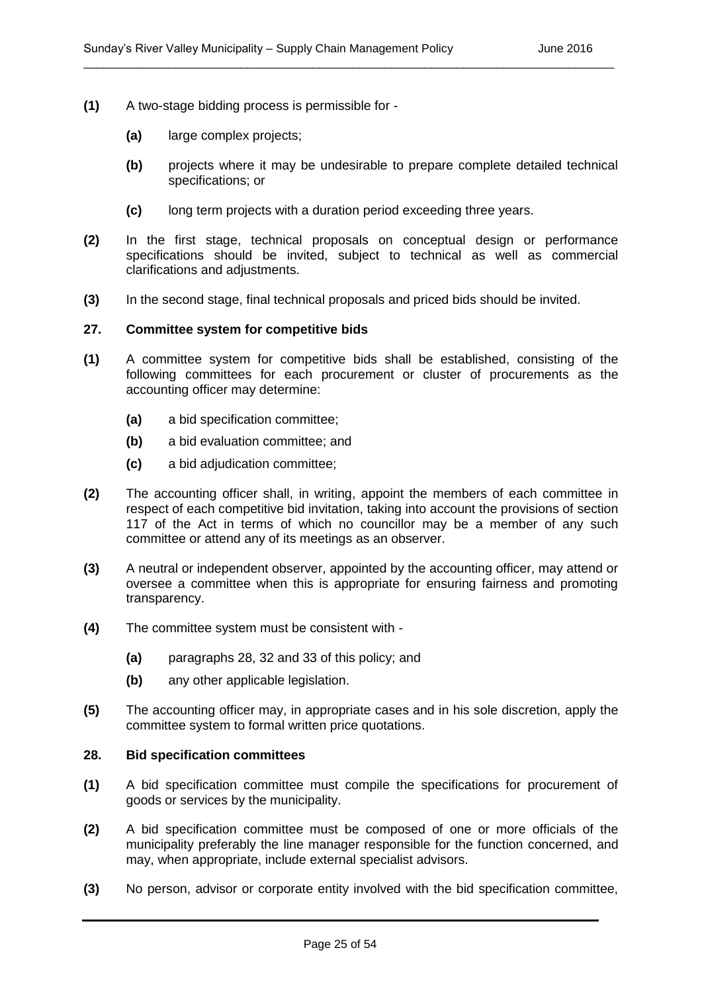- **(1)** A two-stage bidding process is permissible for
	- **(a)** large complex projects;
	- **(b)** projects where it may be undesirable to prepare complete detailed technical specifications; or
	- **(c)** long term projects with a duration period exceeding three years.
- **(2)** In the first stage, technical proposals on conceptual design or performance specifications should be invited, subject to technical as well as commercial clarifications and adjustments.

**(3)** In the second stage, final technical proposals and priced bids should be invited.

#### **27. Committee system for competitive bids**

- **(1)** A committee system for competitive bids shall be established, consisting of the following committees for each procurement or cluster of procurements as the accounting officer may determine:
	- **(a)** a bid specification committee;
	- **(b)** a bid evaluation committee; and
	- **(c)** a bid adjudication committee;
- **(2)** The accounting officer shall, in writing, appoint the members of each committee in respect of each competitive bid invitation, taking into account the provisions of section 117 of the Act in terms of which no councillor may be a member of any such committee or attend any of its meetings as an observer.
- **(3)** A neutral or independent observer, appointed by the accounting officer, may attend or oversee a committee when this is appropriate for ensuring fairness and promoting transparency.
- **(4)** The committee system must be consistent with
	- **(a)** paragraphs 28, 32 and 33 of this policy; and
	- **(b)** any other applicable legislation.
- **(5)** The accounting officer may, in appropriate cases and in his sole discretion, apply the committee system to formal written price quotations.

#### **28. Bid specification committees**

- **(1)** A bid specification committee must compile the specifications for procurement of goods or services by the municipality.
- **(2)** A bid specification committee must be composed of one or more officials of the municipality preferably the line manager responsible for the function concerned, and may, when appropriate, include external specialist advisors.
- **(3)** No person, advisor or corporate entity involved with the bid specification committee,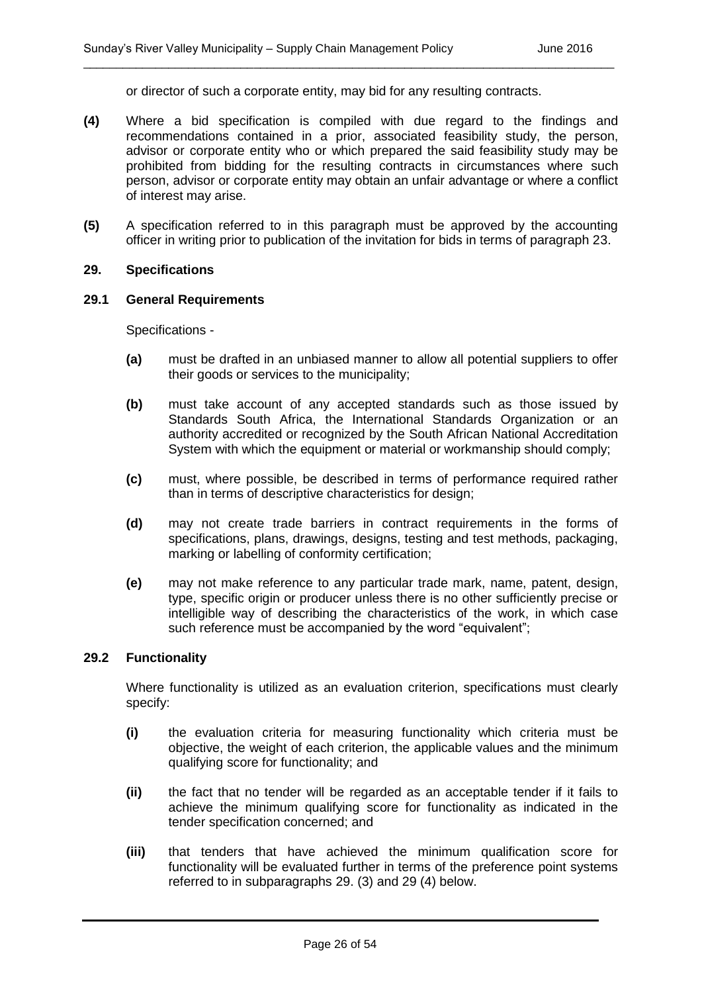or director of such a corporate entity, may bid for any resulting contracts.

\_\_\_\_\_\_\_\_\_\_\_\_\_\_\_\_\_\_\_\_\_\_\_\_\_\_\_\_\_\_\_\_\_\_\_\_\_\_\_\_\_\_\_\_\_\_\_\_\_\_\_\_\_\_\_\_\_\_\_\_\_\_\_\_\_\_\_\_\_\_\_\_\_\_\_\_\_\_\_\_\_

- **(4)** Where a bid specification is compiled with due regard to the findings and recommendations contained in a prior, associated feasibility study, the person, advisor or corporate entity who or which prepared the said feasibility study may be prohibited from bidding for the resulting contracts in circumstances where such person, advisor or corporate entity may obtain an unfair advantage or where a conflict of interest may arise.
- **(5)** A specification referred to in this paragraph must be approved by the accounting officer in writing prior to publication of the invitation for bids in terms of paragraph 23.

#### **29. Specifications**

#### **29.1 General Requirements**

Specifications -

- **(a)** must be drafted in an unbiased manner to allow all potential suppliers to offer their goods or services to the municipality;
- **(b)** must take account of any accepted standards such as those issued by Standards South Africa, the International Standards Organization or an authority accredited or recognized by the South African National Accreditation System with which the equipment or material or workmanship should comply;
- **(c)** must, where possible, be described in terms of performance required rather than in terms of descriptive characteristics for design;
- **(d)** may not create trade barriers in contract requirements in the forms of specifications, plans, drawings, designs, testing and test methods, packaging, marking or labelling of conformity certification;
- **(e)** may not make reference to any particular trade mark, name, patent, design, type, specific origin or producer unless there is no other sufficiently precise or intelligible way of describing the characteristics of the work, in which case such reference must be accompanied by the word "equivalent";

#### **29.2 Functionality**

Where functionality is utilized as an evaluation criterion, specifications must clearly specify:

- **(i)** the evaluation criteria for measuring functionality which criteria must be objective, the weight of each criterion, the applicable values and the minimum qualifying score for functionality; and
- **(ii)** the fact that no tender will be regarded as an acceptable tender if it fails to achieve the minimum qualifying score for functionality as indicated in the tender specification concerned; and
- **(iii)** that tenders that have achieved the minimum qualification score for functionality will be evaluated further in terms of the preference point systems referred to in subparagraphs 29. (3) and 29 (4) below.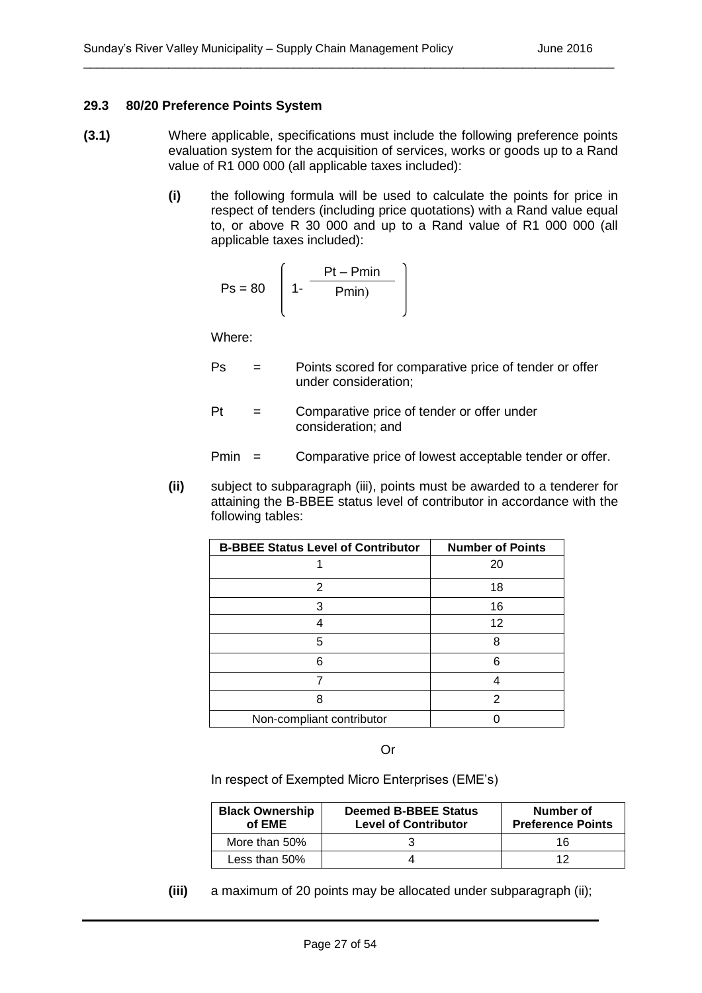#### **29.3 80/20 Preference Points System**

**(3.1)** Where applicable, specifications must include the following preference points evaluation system for the acquisition of services, works or goods up to a Rand value of R1 000 000 (all applicable taxes included):

\_\_\_\_\_\_\_\_\_\_\_\_\_\_\_\_\_\_\_\_\_\_\_\_\_\_\_\_\_\_\_\_\_\_\_\_\_\_\_\_\_\_\_\_\_\_\_\_\_\_\_\_\_\_\_\_\_\_\_\_\_\_\_\_\_\_\_\_\_\_\_\_\_\_\_\_\_\_\_\_\_

**(i)** the following formula will be used to calculate the points for price in respect of tenders (including price quotations) with a Rand value equal to, or above R 30 000 and up to a Rand value of R1 000 000 (all applicable taxes included):

$$
Ps = 80 \left[ 1 - \frac{Pt - Pmin}{Pmin} \right]
$$

Where:

- Ps = Points scored for comparative price of tender or offer under consideration;
- Pt = Comparative price of tender or offer under consideration; and

Pmin = Comparative price of lowest acceptable tender or offer.

**(ii)** subject to subparagraph (iii), points must be awarded to a tenderer for attaining the B-BBEE status level of contributor in accordance with the following tables:

| <b>B-BBEE Status Level of Contributor</b> | <b>Number of Points</b> |  |
|-------------------------------------------|-------------------------|--|
|                                           | 20                      |  |
| 2                                         | 18                      |  |
| З                                         | 16                      |  |
|                                           | 12                      |  |
| 5                                         | 8                       |  |
| 6                                         | 6                       |  |
|                                           |                         |  |
| 8                                         | 2                       |  |
| Non-compliant contributor                 |                         |  |

Or

In respect of Exempted Micro Enterprises (EME's)

| <b>Black Ownership</b><br>of EME | <b>Deemed B-BBEE Status</b><br><b>Level of Contributor</b> | Number of<br><b>Preference Points</b> |  |
|----------------------------------|------------------------------------------------------------|---------------------------------------|--|
| More than 50%                    |                                                            | 16                                    |  |
| Less than 50%                    |                                                            |                                       |  |

**(iii)** a maximum of 20 points may be allocated under subparagraph (ii);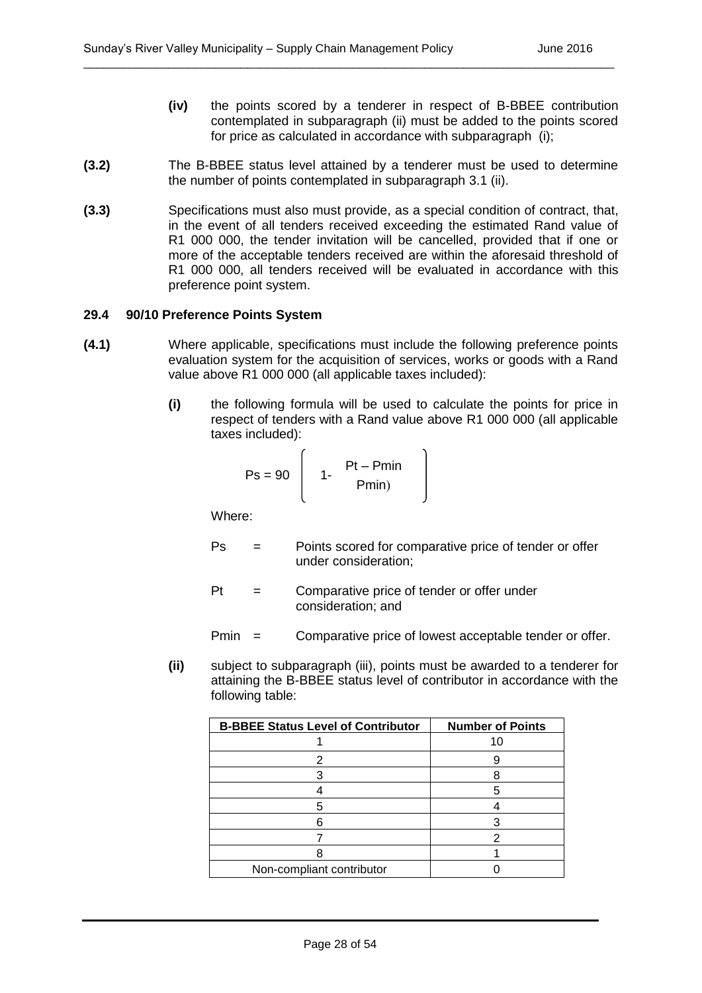- **(iv)** the points scored by a tenderer in respect of B-BBEE contribution contemplated in subparagraph (ii) must be added to the points scored for price as calculated in accordance with subparagraph (i);
- **(3.2)** The B-BBEE status level attained by a tenderer must be used to determine the number of points contemplated in subparagraph 3.1 (ii).

**(3.3)** Specifications must also must provide, as a special condition of contract, that, in the event of all tenders received exceeding the estimated Rand value of R1 000 000, the tender invitation will be cancelled, provided that if one or more of the acceptable tenders received are within the aforesaid threshold of R1 000 000, all tenders received will be evaluated in accordance with this preference point system.

#### **29.4 90/10 Preference Points System**

- **(4.1)** Where applicable, specifications must include the following preference points evaluation system for the acquisition of services, works or goods with a Rand value above R1 000 000 (all applicable taxes included):
	- **(i)** the following formula will be used to calculate the points for price in respect of tenders with a Rand value above R1 000 000 (all applicable taxes included):

$$
Ps = 90 \left[ 1 - \frac{Pt - Pmin}{Pmin} \right]
$$

Where:

- Ps = Points scored for comparative price of tender or offer under consideration;
- Pt = Comparative price of tender or offer under consideration; and

Pmin = Comparative price of lowest acceptable tender or offer.

**(ii)** subject to subparagraph (iii), points must be awarded to a tenderer for attaining the B-BBEE status level of contributor in accordance with the following table:

| <b>B-BBEE Status Level of Contributor</b> | <b>Number of Points</b> |
|-------------------------------------------|-------------------------|
|                                           |                         |
|                                           |                         |
|                                           |                         |
|                                           |                         |
|                                           |                         |
|                                           |                         |
|                                           |                         |
|                                           |                         |
| Non-compliant contributor                 |                         |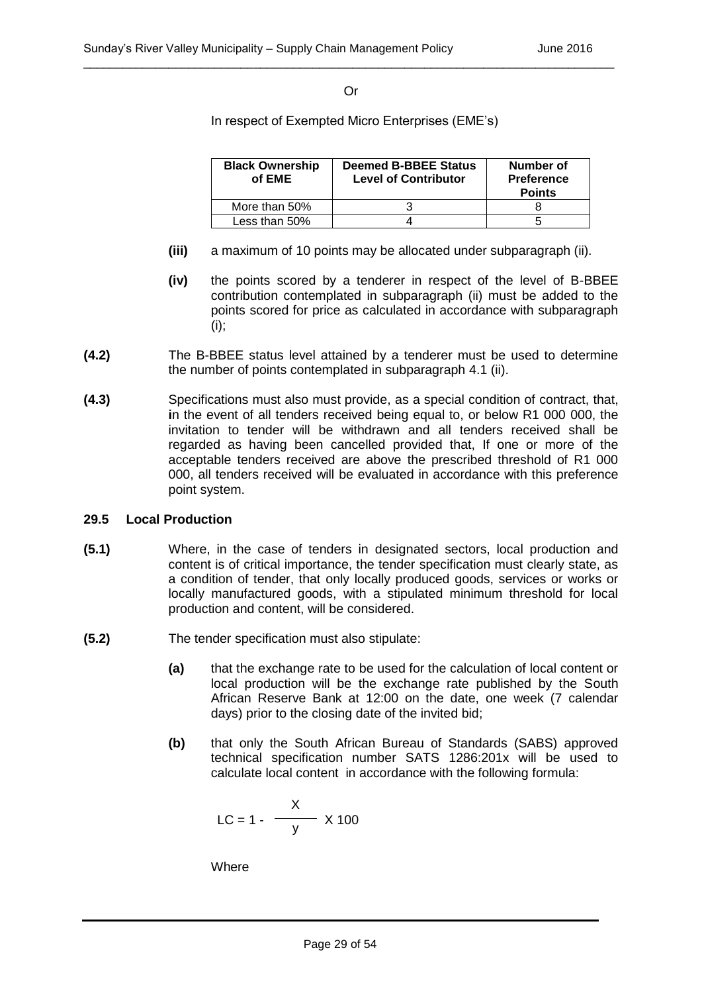#### Or

\_\_\_\_\_\_\_\_\_\_\_\_\_\_\_\_\_\_\_\_\_\_\_\_\_\_\_\_\_\_\_\_\_\_\_\_\_\_\_\_\_\_\_\_\_\_\_\_\_\_\_\_\_\_\_\_\_\_\_\_\_\_\_\_\_\_\_\_\_\_\_\_\_\_\_\_\_\_\_\_\_

In respect of Exempted Micro Enterprises (EME's)

| <b>Black Ownership</b><br>of EME | <b>Deemed B-BBEE Status</b><br><b>Level of Contributor</b> | Number of<br><b>Preference</b><br><b>Points</b> |  |
|----------------------------------|------------------------------------------------------------|-------------------------------------------------|--|
| More than 50%                    |                                                            |                                                 |  |
| Less than 50%                    |                                                            |                                                 |  |

- **(iii)** a maximum of 10 points may be allocated under subparagraph (ii).
- **(iv)** the points scored by a tenderer in respect of the level of B-BBEE contribution contemplated in subparagraph (ii) must be added to the points scored for price as calculated in accordance with subparagraph (i);
- **(4.2)** The B-BBEE status level attained by a tenderer must be used to determine the number of points contemplated in subparagraph 4.1 (ii).
- **(4.3)** Specifications must also must provide, as a special condition of contract, that, **i**n the event of all tenders received being equal to, or below R1 000 000, the invitation to tender will be withdrawn and all tenders received shall be regarded as having been cancelled provided that, If one or more of the acceptable tenders received are above the prescribed threshold of R1 000 000, all tenders received will be evaluated in accordance with this preference point system.

#### **29.5 Local Production**

- **(5.1)** Where, in the case of tenders in designated sectors, local production and content is of critical importance, the tender specification must clearly state, as a condition of tender, that only locally produced goods, services or works or locally manufactured goods, with a stipulated minimum threshold for local production and content, will be considered.
- **(5.2)** The tender specification must also stipulate:
	- **(a)** that the exchange rate to be used for the calculation of local content or local production will be the exchange rate published by the South African Reserve Bank at 12:00 on the date, one week (7 calendar days) prior to the closing date of the invited bid;
	- **(b)** that only the South African Bureau of Standards (SABS) approved technical specification number SATS 1286:201x will be used to calculate local content in accordance with the following formula:

$$
LC = 1 - \frac{X}{y} \times 100
$$

**Where**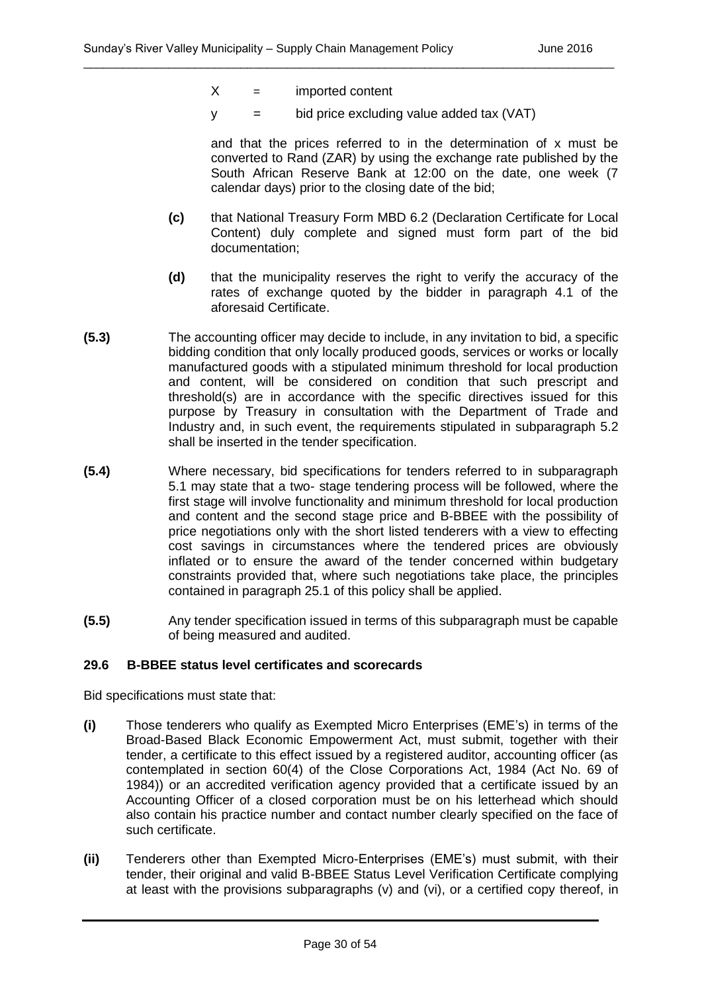- $X =$  imported content
- $y = bi$  bid price excluding value added tax (VAT)

and that the prices referred to in the determination of x must be converted to Rand (ZAR) by using the exchange rate published by the South African Reserve Bank at 12:00 on the date, one week (7 calendar days) prior to the closing date of the bid;

- **(c)** that National Treasury Form MBD 6.2 (Declaration Certificate for Local Content) duly complete and signed must form part of the bid documentation;
- **(d)** that the municipality reserves the right to verify the accuracy of the rates of exchange quoted by the bidder in paragraph 4.1 of the aforesaid Certificate.
- **(5.3)** The accounting officer may decide to include, in any invitation to bid, a specific bidding condition that only locally produced goods, services or works or locally manufactured goods with a stipulated minimum threshold for local production and content, will be considered on condition that such prescript and threshold(s) are in accordance with the specific directives issued for this purpose by Treasury in consultation with the Department of Trade and Industry and, in such event, the requirements stipulated in subparagraph 5.2 shall be inserted in the tender specification.
- **(5.4)** Where necessary, bid specifications for tenders referred to in subparagraph 5.1 may state that a two- stage tendering process will be followed, where the first stage will involve functionality and minimum threshold for local production and content and the second stage price and B-BBEE with the possibility of price negotiations only with the short listed tenderers with a view to effecting cost savings in circumstances where the tendered prices are obviously inflated or to ensure the award of the tender concerned within budgetary constraints provided that, where such negotiations take place, the principles contained in paragraph 25.1 of this policy shall be applied.
- **(5.5)** Any tender specification issued in terms of this subparagraph must be capable of being measured and audited.

#### **29.6 B-BBEE status level certificates and scorecards**

Bid specifications must state that:

- **(i)** Those tenderers who qualify as Exempted Micro Enterprises (EME's) in terms of the Broad-Based Black Economic Empowerment Act, must submit, together with their tender, a certificate to this effect issued by a registered auditor, accounting officer (as contemplated in section 60(4) of the Close Corporations Act, 1984 (Act No. 69 of 1984)) or an accredited verification agency provided that a certificate issued by an Accounting Officer of a closed corporation must be on his letterhead which should also contain his practice number and contact number clearly specified on the face of such certificate.
- **(ii)** Tenderers other than Exempted Micro-Enterprises (EME's) must submit, with their tender, their original and valid B-BBEE Status Level Verification Certificate complying at least with the provisions subparagraphs (v) and (vi), or a certified copy thereof, in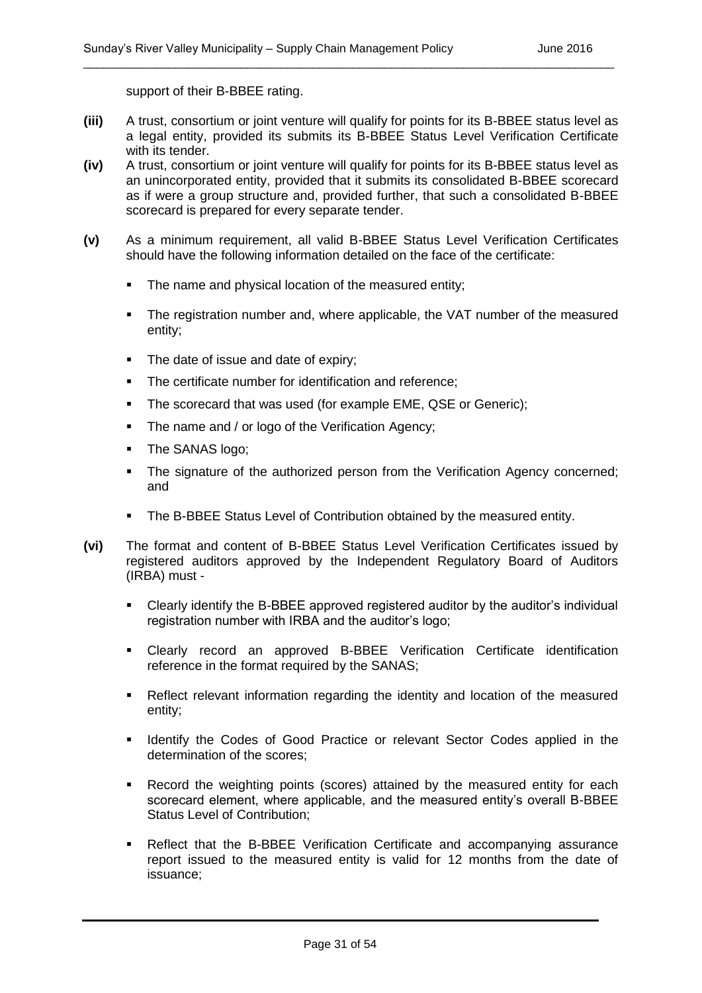support of their B-BBEE rating.

**(iii)** A trust, consortium or joint venture will qualify for points for its B-BBEE status level as a legal entity, provided its submits its B-BBEE Status Level Verification Certificate with its tender.

\_\_\_\_\_\_\_\_\_\_\_\_\_\_\_\_\_\_\_\_\_\_\_\_\_\_\_\_\_\_\_\_\_\_\_\_\_\_\_\_\_\_\_\_\_\_\_\_\_\_\_\_\_\_\_\_\_\_\_\_\_\_\_\_\_\_\_\_\_\_\_\_\_\_\_\_\_\_\_\_\_

- **(iv)** A trust, consortium or joint venture will qualify for points for its B-BBEE status level as an unincorporated entity, provided that it submits its consolidated B-BBEE scorecard as if were a group structure and, provided further, that such a consolidated B-BBEE scorecard is prepared for every separate tender.
- **(v)** As a minimum requirement, all valid B-BBEE Status Level Verification Certificates should have the following information detailed on the face of the certificate:
	- The name and physical location of the measured entity;
	- The registration number and, where applicable, the VAT number of the measured entity;
	- The date of issue and date of expiry;
	- The certificate number for identification and reference:
	- The scorecard that was used (for example EME, QSE or Generic);
	- The name and / or logo of the Verification Agency;
	- The SANAS logo;
	- The signature of the authorized person from the Verification Agency concerned; and
	- The B-BBEE Status Level of Contribution obtained by the measured entity.
- **(vi)** The format and content of B-BBEE Status Level Verification Certificates issued by registered auditors approved by the Independent Regulatory Board of Auditors (IRBA) must -
	- Clearly identify the B-BBEE approved registered auditor by the auditor's individual registration number with IRBA and the auditor's logo;
	- Clearly record an approved B-BBEE Verification Certificate identification reference in the format required by the SANAS;
	- Reflect relevant information regarding the identity and location of the measured entity;
	- **IDENTIFY THE CODES OF Good Practice or relevant Sector Codes applied in the** determination of the scores;
	- Record the weighting points (scores) attained by the measured entity for each scorecard element, where applicable, and the measured entity's overall B-BBEE Status Level of Contribution;
	- Reflect that the B-BBEE Verification Certificate and accompanying assurance report issued to the measured entity is valid for 12 months from the date of issuance;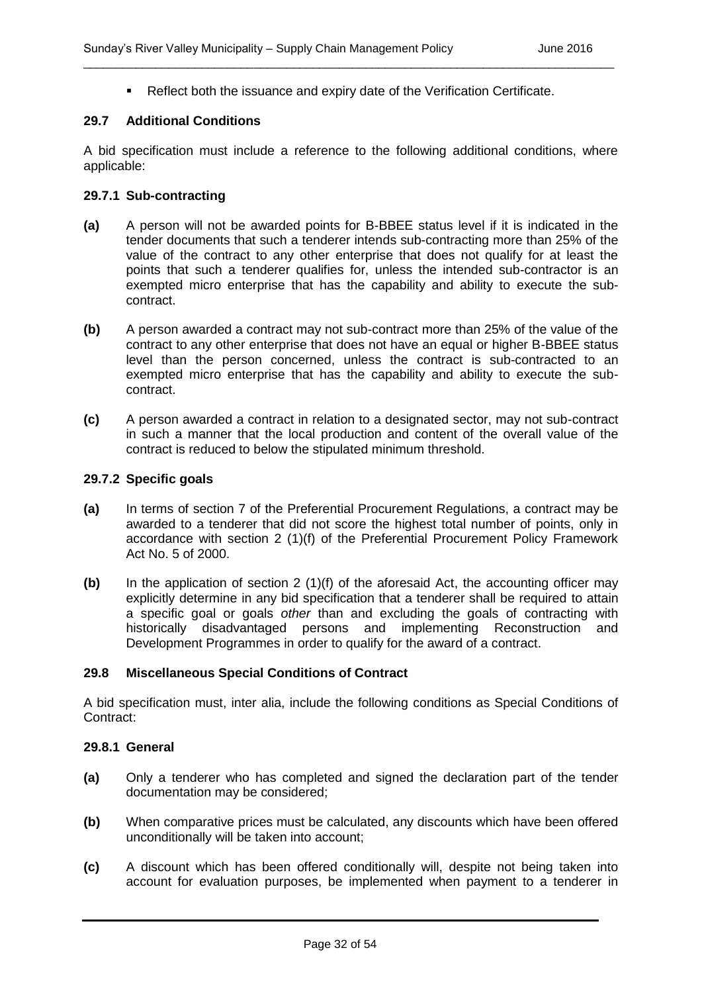Reflect both the issuance and expiry date of the Verification Certificate.

\_\_\_\_\_\_\_\_\_\_\_\_\_\_\_\_\_\_\_\_\_\_\_\_\_\_\_\_\_\_\_\_\_\_\_\_\_\_\_\_\_\_\_\_\_\_\_\_\_\_\_\_\_\_\_\_\_\_\_\_\_\_\_\_\_\_\_\_\_\_\_\_\_\_\_\_\_\_\_\_\_

#### **29.7 Additional Conditions**

A bid specification must include a reference to the following additional conditions, where applicable:

#### **29.7.1 Sub-contracting**

- **(a)** A person will not be awarded points for B-BBEE status level if it is indicated in the tender documents that such a tenderer intends sub-contracting more than 25% of the value of the contract to any other enterprise that does not qualify for at least the points that such a tenderer qualifies for, unless the intended sub-contractor is an exempted micro enterprise that has the capability and ability to execute the subcontract.
- **(b)** A person awarded a contract may not sub-contract more than 25% of the value of the contract to any other enterprise that does not have an equal or higher B-BBEE status level than the person concerned, unless the contract is sub-contracted to an exempted micro enterprise that has the capability and ability to execute the subcontract.
- **(c)** A person awarded a contract in relation to a designated sector, may not sub-contract in such a manner that the local production and content of the overall value of the contract is reduced to below the stipulated minimum threshold.

#### **29.7.2 Specific goals**

- **(a)** In terms of section 7 of the Preferential Procurement Regulations, a contract may be awarded to a tenderer that did not score the highest total number of points, only in accordance with section 2 (1)(f) of the Preferential Procurement Policy Framework Act No. 5 of 2000.
- **(b)** In the application of section 2 (1)(f) of the aforesaid Act, the accounting officer may explicitly determine in any bid specification that a tenderer shall be required to attain a specific goal or goals *other* than and excluding the goals of contracting with historically disadvantaged persons and implementing Reconstruction and Development Programmes in order to qualify for the award of a contract.

#### **29.8 Miscellaneous Special Conditions of Contract**

A bid specification must, inter alia, include the following conditions as Special Conditions of Contract:

#### **29.8.1 General**

- **(a)** Only a tenderer who has completed and signed the declaration part of the tender documentation may be considered;
- **(b)** When comparative prices must be calculated, any discounts which have been offered unconditionally will be taken into account;
- **(c)** A discount which has been offered conditionally will, despite not being taken into account for evaluation purposes, be implemented when payment to a tenderer in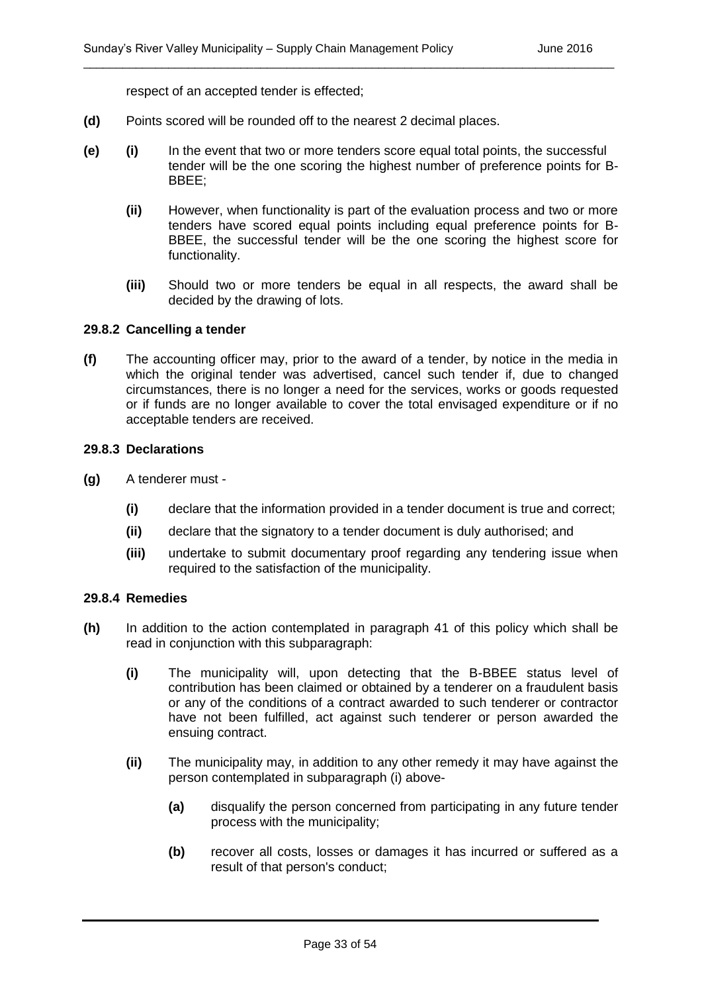respect of an accepted tender is effected;

- **(d)** Points scored will be rounded off to the nearest 2 decimal places.
- **(e) (i)** In the event that two or more tenders score equal total points, the successful tender will be the one scoring the highest number of preference points for B-BBEE;

\_\_\_\_\_\_\_\_\_\_\_\_\_\_\_\_\_\_\_\_\_\_\_\_\_\_\_\_\_\_\_\_\_\_\_\_\_\_\_\_\_\_\_\_\_\_\_\_\_\_\_\_\_\_\_\_\_\_\_\_\_\_\_\_\_\_\_\_\_\_\_\_\_\_\_\_\_\_\_\_\_

- **(ii)** However, when functionality is part of the evaluation process and two or more tenders have scored equal points including equal preference points for B-BBEE, the successful tender will be the one scoring the highest score for functionality.
- **(iii)** Should two or more tenders be equal in all respects, the award shall be decided by the drawing of lots.

#### **29.8.2 Cancelling a tender**

**(f)** The accounting officer may, prior to the award of a tender, by notice in the media in which the original tender was advertised, cancel such tender if, due to changed circumstances, there is no longer a need for the services, works or goods requested or if funds are no longer available to cover the total envisaged expenditure or if no acceptable tenders are received.

#### **29.8.3 Declarations**

- **(g)** A tenderer must
	- **(i)** declare that the information provided in a tender document is true and correct;
	- **(ii)** declare that the signatory to a tender document is duly authorised; and
	- **(iii)** undertake to submit documentary proof regarding any tendering issue when required to the satisfaction of the municipality.

#### **29.8.4 Remedies**

- **(h)** In addition to the action contemplated in paragraph 41 of this policy which shall be read in conjunction with this subparagraph:
	- **(i)** The municipality will, upon detecting that the B-BBEE status level of contribution has been claimed or obtained by a tenderer on a fraudulent basis or any of the conditions of a contract awarded to such tenderer or contractor have not been fulfilled, act against such tenderer or person awarded the ensuing contract.
	- **(ii)** The municipality may, in addition to any other remedy it may have against the person contemplated in subparagraph (i) above-
		- **(a)** disqualify the person concerned from participating in any future tender process with the municipality;
		- **(b)** recover all costs, losses or damages it has incurred or suffered as a result of that person's conduct;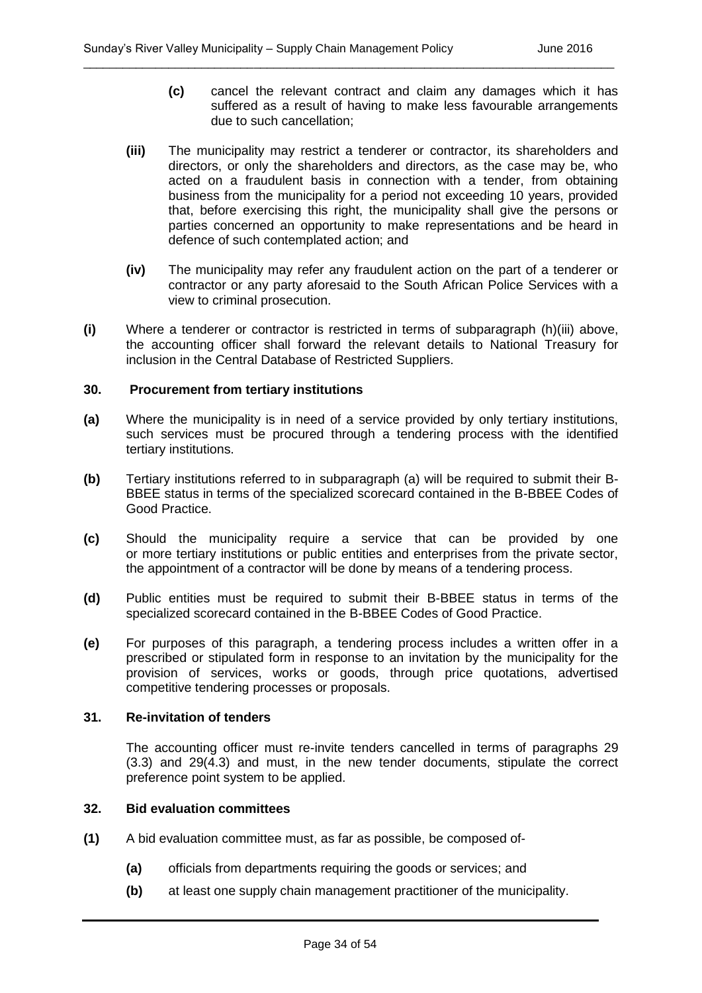- **(c)** cancel the relevant contract and claim any damages which it has suffered as a result of having to make less favourable arrangements due to such cancellation;
- **(iii)** The municipality may restrict a tenderer or contractor, its shareholders and directors, or only the shareholders and directors, as the case may be, who acted on a fraudulent basis in connection with a tender, from obtaining business from the municipality for a period not exceeding 10 years, provided that, before exercising this right, the municipality shall give the persons or parties concerned an opportunity to make representations and be heard in defence of such contemplated action; and

- **(iv)** The municipality may refer any fraudulent action on the part of a tenderer or contractor or any party aforesaid to the South African Police Services with a view to criminal prosecution.
- **(i)** Where a tenderer or contractor is restricted in terms of subparagraph (h)(iii) above, the accounting officer shall forward the relevant details to National Treasury for inclusion in the Central Database of Restricted Suppliers.

#### **30. Procurement from tertiary institutions**

- **(a)** Where the municipality is in need of a service provided by only tertiary institutions, such services must be procured through a tendering process with the identified tertiary institutions.
- **(b)** Tertiary institutions referred to in subparagraph (a) will be required to submit their B-BBEE status in terms of the specialized scorecard contained in the B-BBEE Codes of Good Practice.
- **(c)** Should the municipality require a service that can be provided by one or more tertiary institutions or public entities and enterprises from the private sector, the appointment of a contractor will be done by means of a tendering process.
- **(d)** Public entities must be required to submit their B-BBEE status in terms of the specialized scorecard contained in the B-BBEE Codes of Good Practice.
- **(e)** For purposes of this paragraph, a tendering process includes a written offer in a prescribed or stipulated form in response to an invitation by the municipality for the provision of services, works or goods, through price quotations, advertised competitive tendering processes or proposals.

#### **31. Re-invitation of tenders**

The accounting officer must re-invite tenders cancelled in terms of paragraphs 29 (3.3) and 29(4.3) and must, in the new tender documents, stipulate the correct preference point system to be applied.

#### **32. Bid evaluation committees**

- **(1)** A bid evaluation committee must, as far as possible, be composed of-
	- **(a)** officials from departments requiring the goods or services; and
	- **(b)** at least one supply chain management practitioner of the municipality.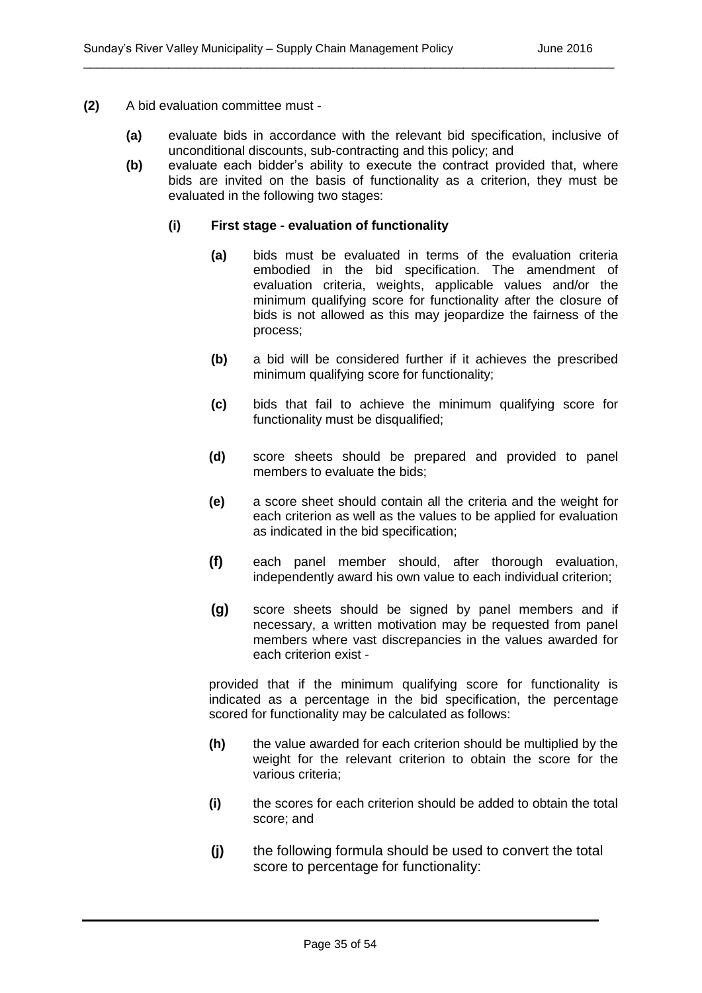- **(2)** A bid evaluation committee must
	- **(a)** evaluate bids in accordance with the relevant bid specification, inclusive of unconditional discounts, sub-contracting and this policy; and

**(b)** evaluate each bidder's ability to execute the contract provided that, where bids are invited on the basis of functionality as a criterion, they must be evaluated in the following two stages:

#### **(i) First stage - evaluation of functionality**

- **(a)** bids must be evaluated in terms of the evaluation criteria embodied in the bid specification. The amendment of evaluation criteria, weights, applicable values and/or the minimum qualifying score for functionality after the closure of bids is not allowed as this may jeopardize the fairness of the process;
- **(b)** a bid will be considered further if it achieves the prescribed minimum qualifying score for functionality;
- **(c)** bids that fail to achieve the minimum qualifying score for functionality must be disqualified;
- **(d)** score sheets should be prepared and provided to panel members to evaluate the bids;
- **(e)** a score sheet should contain all the criteria and the weight for each criterion as well as the values to be applied for evaluation as indicated in the bid specification;
- **(f)** each panel member should, after thorough evaluation, independently award his own value to each individual criterion;
- **(g)** score sheets should be signed by panel members and if necessary, a written motivation may be requested from panel members where vast discrepancies in the values awarded for each criterion exist -

provided that if the minimum qualifying score for functionality is indicated as a percentage in the bid specification, the percentage scored for functionality may be calculated as follows:

- **(h)** the value awarded for each criterion should be multiplied by the weight for the relevant criterion to obtain the score for the various criteria;
- **(i)** the scores for each criterion should be added to obtain the total score; and
- **(j)** the following formula should be used to convert the total score to percentage for functionality: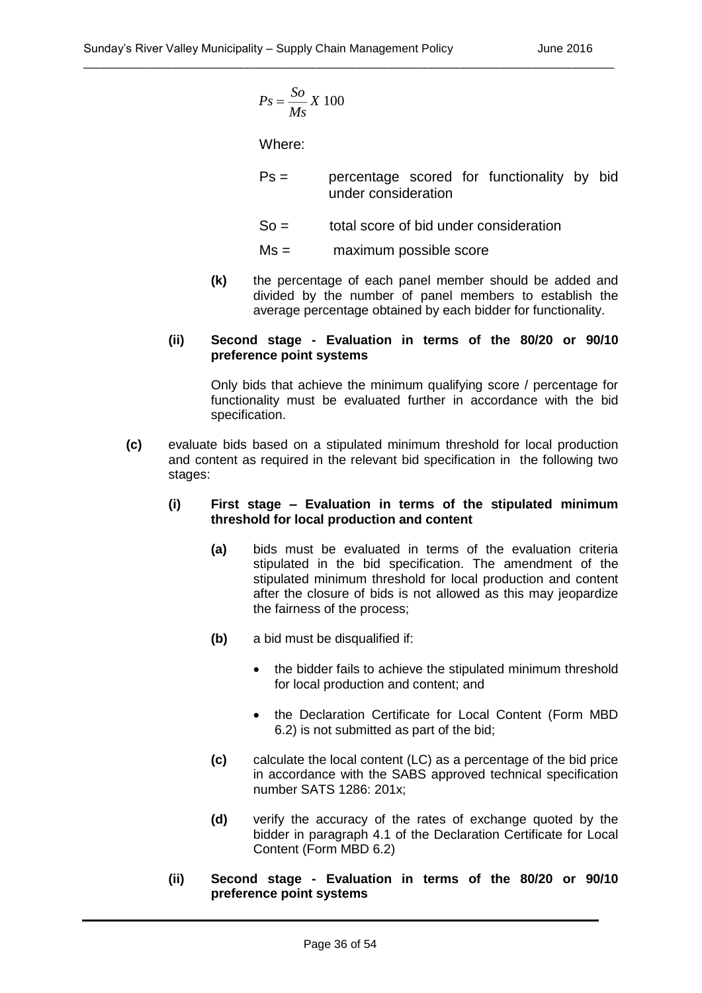$$
Ps = \frac{So}{Ms} X 100
$$

Where:

- Ps = percentage scored for functionality by bid under consideration
- $So =$  total score of bid under consideration
- Ms = maximum possible score
- **(k)** the percentage of each panel member should be added and divided by the number of panel members to establish the average percentage obtained by each bidder for functionality.

#### **(ii) Second stage - Evaluation in terms of the 80/20 or 90/10 preference point systems**

Only bids that achieve the minimum qualifying score / percentage for functionality must be evaluated further in accordance with the bid specification.

**(c)** evaluate bids based on a stipulated minimum threshold for local production and content as required in the relevant bid specification in the following two stages:

#### **(i) First stage – Evaluation in terms of the stipulated minimum threshold for local production and content**

- X 100<br>
Percent<br>
Under C<br>
S<br>
Percent under c<br>
total sc<br>
maxim<br>
entage of ea<br>
maxim<br>
entage of ea<br>
by the num<br>
percentage of<br>
 **Evaluation**<br>
to state of the relev<br> **Evaluation**<br>
a stipulated in the relev<br> **Evaluation**<br>
a st **(a)** bids must be evaluated in terms of the evaluation criteria stipulated in the bid specification. The amendment of the stipulated minimum threshold for local production and content after the closure of bids is not allowed as this may jeopardize the fairness of the process;
- **(b)** a bid must be disqualified if:
	- the bidder fails to achieve the stipulated minimum threshold for local production and content; and
	- the Declaration Certificate for Local Content (Form MBD 6.2) is not submitted as part of the bid;
- **(c)** calculate the local content (LC) as a percentage of the bid price in accordance with the SABS approved technical specification number SATS 1286: 201x;
- **(d)** verify the accuracy of the rates of exchange quoted by the bidder in paragraph 4.1 of the Declaration Certificate for Local Content (Form MBD 6.2)
- **(ii) Second stage - Evaluation in terms of the 80/20 or 90/10 preference point systems**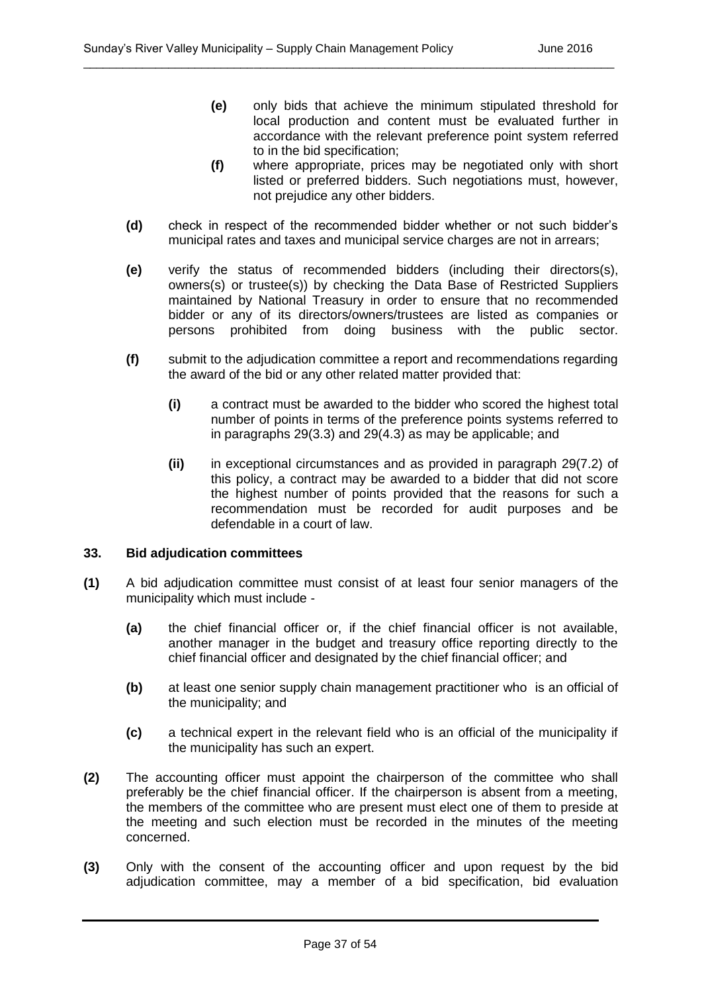- **(e)** only bids that achieve the minimum stipulated threshold for local production and content must be evaluated further in accordance with the relevant preference point system referred to in the bid specification;
- **(f)** where appropriate, prices may be negotiated only with short listed or preferred bidders. Such negotiations must, however, not prejudice any other bidders.
- **(d)** check in respect of the recommended bidder whether or not such bidder's municipal rates and taxes and municipal service charges are not in arrears;

- **(e)** verify the status of recommended bidders (including their directors(s), owners(s) or trustee(s)) by checking the Data Base of Restricted Suppliers maintained by National Treasury in order to ensure that no recommended bidder or any of its directors/owners/trustees are listed as companies or persons prohibited from doing business with the public sector.
- **(f)** submit to the adjudication committee a report and recommendations regarding the award of the bid or any other related matter provided that:
	- **(i)** a contract must be awarded to the bidder who scored the highest total number of points in terms of the preference points systems referred to in paragraphs 29(3.3) and 29(4.3) as may be applicable; and
	- **(ii)** in exceptional circumstances and as provided in paragraph 29(7.2) of this policy, a contract may be awarded to a bidder that did not score the highest number of points provided that the reasons for such a recommendation must be recorded for audit purposes and be defendable in a court of law.

#### **33. Bid adjudication committees**

- **(1)** A bid adjudication committee must consist of at least four senior managers of the municipality which must include -
	- **(a)** the chief financial officer or, if the chief financial officer is not available, another manager in the budget and treasury office reporting directly to the chief financial officer and designated by the chief financial officer; and
	- **(b)** at least one senior supply chain management practitioner who is an official of the municipality; and
	- **(c)** a technical expert in the relevant field who is an official of the municipality if the municipality has such an expert.
- **(2)** The accounting officer must appoint the chairperson of the committee who shall preferably be the chief financial officer. If the chairperson is absent from a meeting, the members of the committee who are present must elect one of them to preside at the meeting and such election must be recorded in the minutes of the meeting concerned.
- **(3)** Only with the consent of the accounting officer and upon request by the bid adjudication committee, may a member of a bid specification, bid evaluation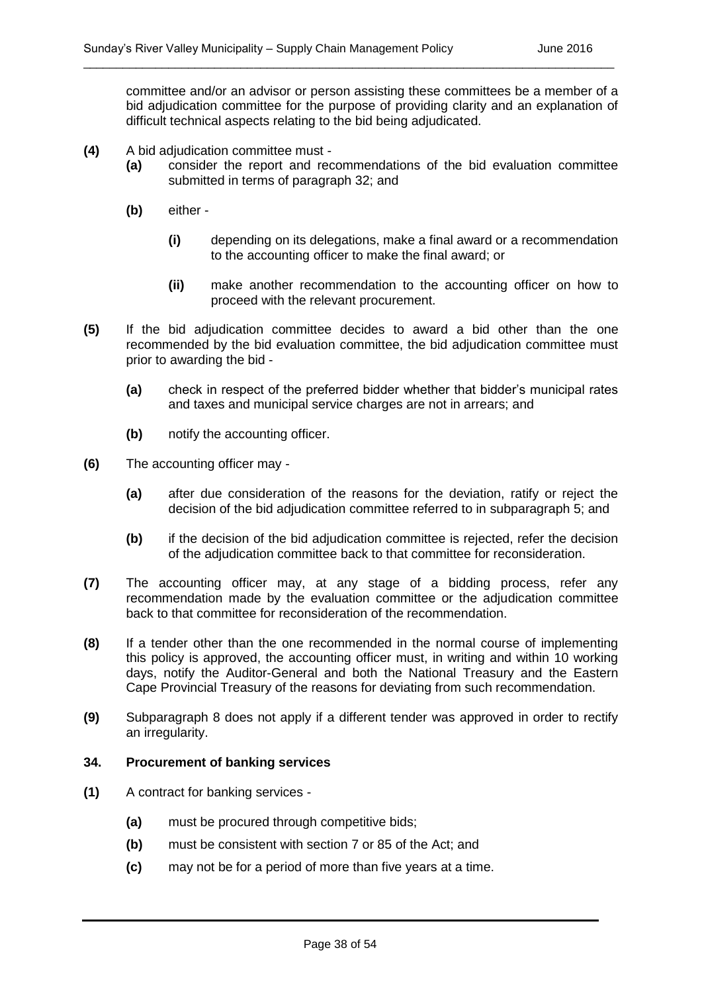committee and/or an advisor or person assisting these committees be a member of a bid adjudication committee for the purpose of providing clarity and an explanation of difficult technical aspects relating to the bid being adjudicated.

\_\_\_\_\_\_\_\_\_\_\_\_\_\_\_\_\_\_\_\_\_\_\_\_\_\_\_\_\_\_\_\_\_\_\_\_\_\_\_\_\_\_\_\_\_\_\_\_\_\_\_\_\_\_\_\_\_\_\_\_\_\_\_\_\_\_\_\_\_\_\_\_\_\_\_\_\_\_\_\_\_

- **(4)** A bid adjudication committee must
	- **(a)** consider the report and recommendations of the bid evaluation committee submitted in terms of paragraph 32; and
	- **(b)** either
		- **(i)** depending on its delegations, make a final award or a recommendation to the accounting officer to make the final award; or
		- **(ii)** make another recommendation to the accounting officer on how to proceed with the relevant procurement.
- **(5)** If the bid adjudication committee decides to award a bid other than the one recommended by the bid evaluation committee, the bid adjudication committee must prior to awarding the bid -
	- **(a)** check in respect of the preferred bidder whether that bidder's municipal rates and taxes and municipal service charges are not in arrears; and
	- **(b)** notify the accounting officer.
- **(6)** The accounting officer may
	- **(a)** after due consideration of the reasons for the deviation, ratify or reject the decision of the bid adjudication committee referred to in subparagraph 5; and
	- **(b)** if the decision of the bid adjudication committee is rejected, refer the decision of the adjudication committee back to that committee for reconsideration.
- **(7)** The accounting officer may, at any stage of a bidding process, refer any recommendation made by the evaluation committee or the adjudication committee back to that committee for reconsideration of the recommendation.
- **(8)** If a tender other than the one recommended in the normal course of implementing this policy is approved, the accounting officer must, in writing and within 10 working days, notify the Auditor-General and both the National Treasury and the Eastern Cape Provincial Treasury of the reasons for deviating from such recommendation.
- **(9)** Subparagraph 8 does not apply if a different tender was approved in order to rectify an irregularity.

#### **34. Procurement of banking services**

- **(1)** A contract for banking services
	- **(a)** must be procured through competitive bids;
	- **(b)** must be consistent with section 7 or 85 of the Act; and
	- **(c)** may not be for a period of more than five years at a time.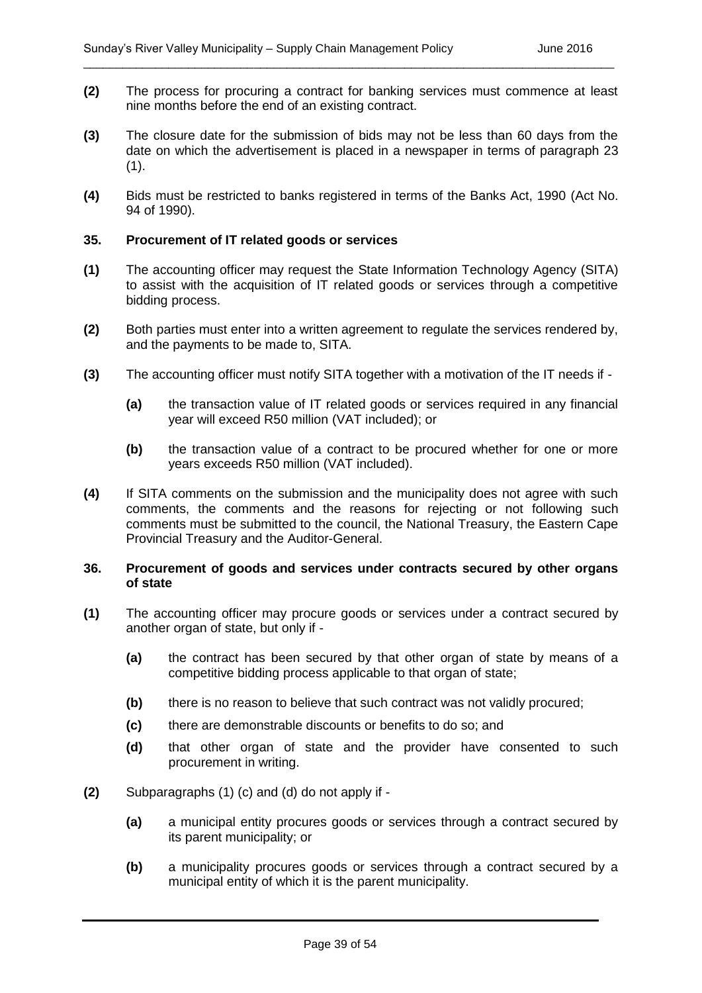**(2)** The process for procuring a contract for banking services must commence at least nine months before the end of an existing contract.

\_\_\_\_\_\_\_\_\_\_\_\_\_\_\_\_\_\_\_\_\_\_\_\_\_\_\_\_\_\_\_\_\_\_\_\_\_\_\_\_\_\_\_\_\_\_\_\_\_\_\_\_\_\_\_\_\_\_\_\_\_\_\_\_\_\_\_\_\_\_\_\_\_\_\_\_\_\_\_\_\_

- **(3)** The closure date for the submission of bids may not be less than 60 days from the date on which the advertisement is placed in a newspaper in terms of paragraph 23  $(1).$
- **(4)** Bids must be restricted to banks registered in terms of the Banks Act, 1990 (Act No. 94 of 1990).

#### **35. Procurement of IT related goods or services**

- **(1)** The accounting officer may request the State Information Technology Agency (SITA) to assist with the acquisition of IT related goods or services through a competitive bidding process.
- **(2)** Both parties must enter into a written agreement to regulate the services rendered by, and the payments to be made to, SITA.
- **(3)** The accounting officer must notify SITA together with a motivation of the IT needs if
	- **(a)** the transaction value of IT related goods or services required in any financial year will exceed R50 million (VAT included); or
	- **(b)** the transaction value of a contract to be procured whether for one or more years exceeds R50 million (VAT included).
- **(4)** If SITA comments on the submission and the municipality does not agree with such comments, the comments and the reasons for rejecting or not following such comments must be submitted to the council, the National Treasury, the Eastern Cape Provincial Treasury and the Auditor-General.

#### **36. Procurement of goods and services under contracts secured by other organs of state**

- **(1)** The accounting officer may procure goods or services under a contract secured by another organ of state, but only if -
	- **(a)** the contract has been secured by that other organ of state by means of a competitive bidding process applicable to that organ of state;
	- **(b)** there is no reason to believe that such contract was not validly procured;
	- **(c)** there are demonstrable discounts or benefits to do so; and
	- **(d)** that other organ of state and the provider have consented to such procurement in writing.
- **(2)** Subparagraphs (1) (c) and (d) do not apply if
	- **(a)** a municipal entity procures goods or services through a contract secured by its parent municipality; or
	- **(b)** a municipality procures goods or services through a contract secured by a municipal entity of which it is the parent municipality.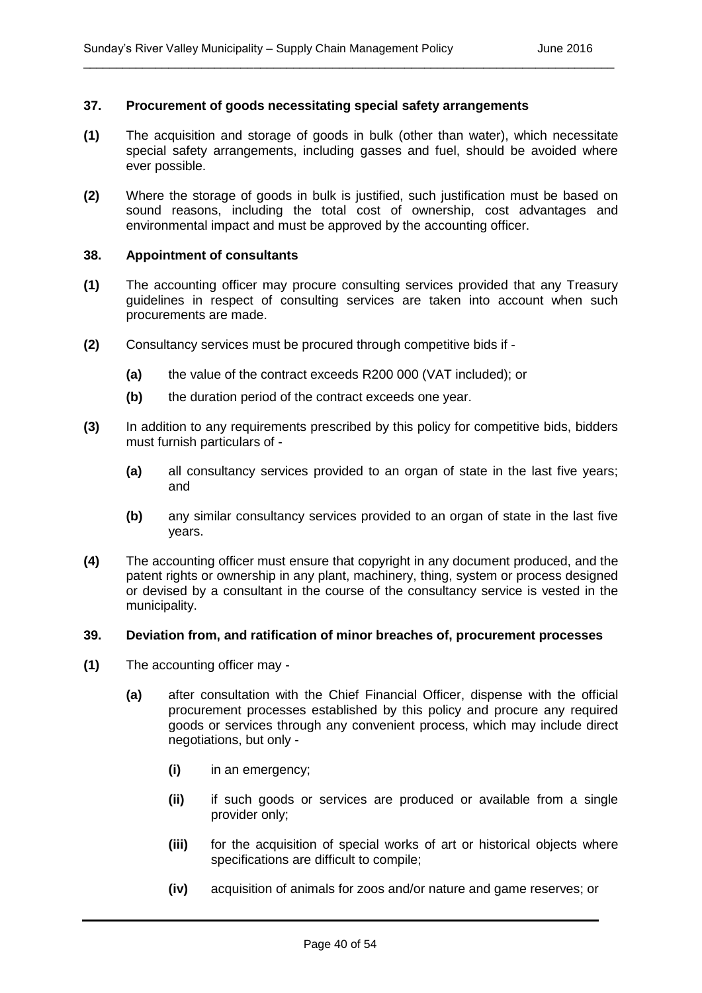#### **37. Procurement of goods necessitating special safety arrangements**

**(1)** The acquisition and storage of goods in bulk (other than water), which necessitate special safety arrangements, including gasses and fuel, should be avoided where ever possible.

\_\_\_\_\_\_\_\_\_\_\_\_\_\_\_\_\_\_\_\_\_\_\_\_\_\_\_\_\_\_\_\_\_\_\_\_\_\_\_\_\_\_\_\_\_\_\_\_\_\_\_\_\_\_\_\_\_\_\_\_\_\_\_\_\_\_\_\_\_\_\_\_\_\_\_\_\_\_\_\_\_

**(2)** Where the storage of goods in bulk is justified, such justification must be based on sound reasons, including the total cost of ownership, cost advantages and environmental impact and must be approved by the accounting officer.

#### **38. Appointment of consultants**

- **(1)** The accounting officer may procure consulting services provided that any Treasury guidelines in respect of consulting services are taken into account when such procurements are made.
- **(2)** Consultancy services must be procured through competitive bids if
	- **(a)** the value of the contract exceeds R200 000 (VAT included); or
	- **(b)** the duration period of the contract exceeds one year.
- **(3)** In addition to any requirements prescribed by this policy for competitive bids, bidders must furnish particulars of -
	- **(a)** all consultancy services provided to an organ of state in the last five years; and
	- **(b)** any similar consultancy services provided to an organ of state in the last five years.
- **(4)** The accounting officer must ensure that copyright in any document produced, and the patent rights or ownership in any plant, machinery, thing, system or process designed or devised by a consultant in the course of the consultancy service is vested in the municipality.

#### **39. Deviation from, and ratification of minor breaches of, procurement processes**

- **(1)** The accounting officer may
	- **(a)** after consultation with the Chief Financial Officer, dispense with the official procurement processes established by this policy and procure any required goods or services through any convenient process, which may include direct negotiations, but only -
		- **(i)** in an emergency;
		- **(ii)** if such goods or services are produced or available from a single provider only;
		- **(iii)** for the acquisition of special works of art or historical objects where specifications are difficult to compile;
		- **(iv)** acquisition of animals for zoos and/or nature and game reserves; or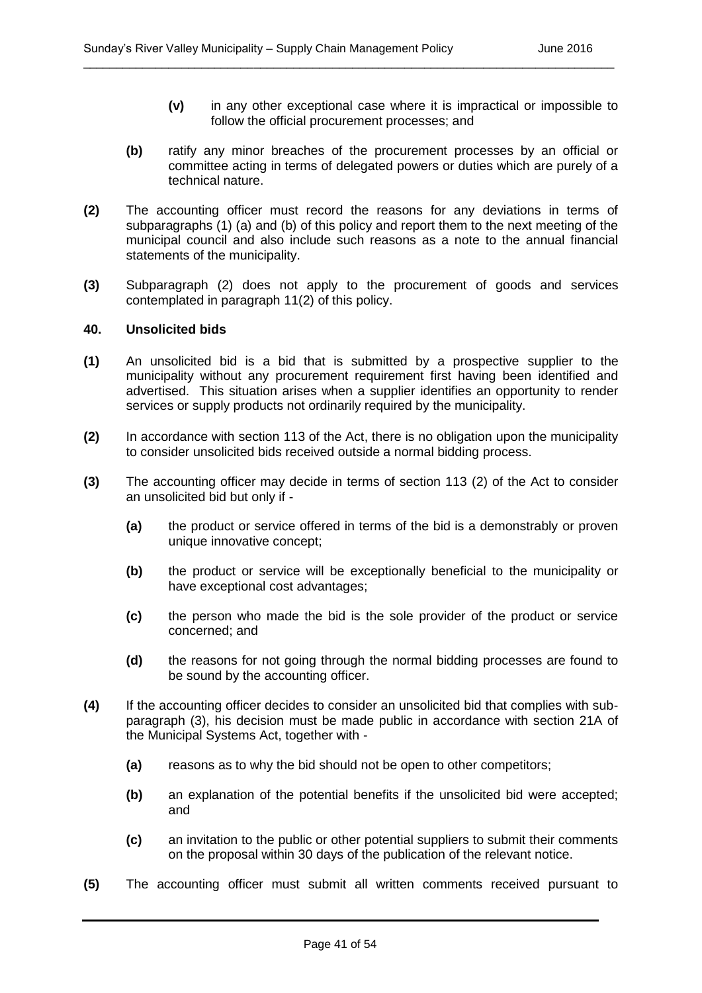- **(v)** in any other exceptional case where it is impractical or impossible to follow the official procurement processes; and
- **(b)** ratify any minor breaches of the procurement processes by an official or committee acting in terms of delegated powers or duties which are purely of a technical nature.
- **(2)** The accounting officer must record the reasons for any deviations in terms of subparagraphs (1) (a) and (b) of this policy and report them to the next meeting of the municipal council and also include such reasons as a note to the annual financial statements of the municipality.

**(3)** Subparagraph (2) does not apply to the procurement of goods and services contemplated in paragraph 11(2) of this policy.

#### **40. Unsolicited bids**

- **(1)** An unsolicited bid is a bid that is submitted by a prospective supplier to the municipality without any procurement requirement first having been identified and advertised. This situation arises when a supplier identifies an opportunity to render services or supply products not ordinarily required by the municipality.
- **(2)** In accordance with section 113 of the Act, there is no obligation upon the municipality to consider unsolicited bids received outside a normal bidding process.
- **(3)** The accounting officer may decide in terms of section 113 (2) of the Act to consider an unsolicited bid but only if -
	- **(a)** the product or service offered in terms of the bid is a demonstrably or proven unique innovative concept;
	- **(b)** the product or service will be exceptionally beneficial to the municipality or have exceptional cost advantages;
	- **(c)** the person who made the bid is the sole provider of the product or service concerned; and
	- **(d)** the reasons for not going through the normal bidding processes are found to be sound by the accounting officer.
- **(4)** If the accounting officer decides to consider an unsolicited bid that complies with subparagraph (3), his decision must be made public in accordance with section 21A of the Municipal Systems Act, together with -
	- **(a)** reasons as to why the bid should not be open to other competitors;
	- **(b)** an explanation of the potential benefits if the unsolicited bid were accepted; and
	- **(c)** an invitation to the public or other potential suppliers to submit their comments on the proposal within 30 days of the publication of the relevant notice.
- **(5)** The accounting officer must submit all written comments received pursuant to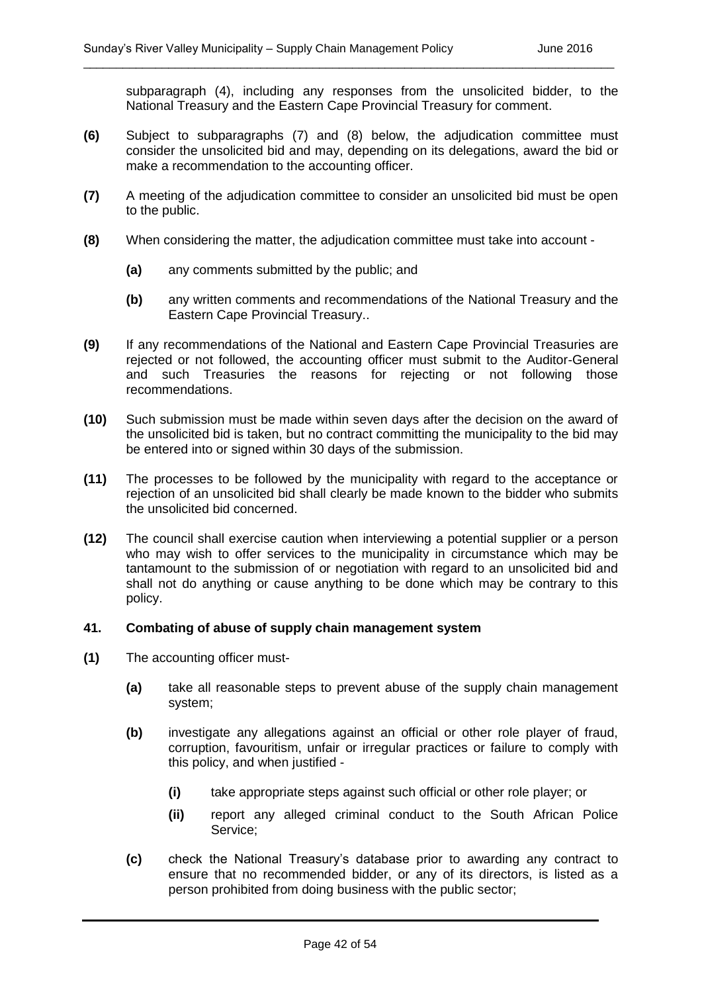subparagraph (4), including any responses from the unsolicited bidder, to the National Treasury and the Eastern Cape Provincial Treasury for comment.

**(6)** Subject to subparagraphs (7) and (8) below, the adjudication committee must consider the unsolicited bid and may, depending on its delegations, award the bid or make a recommendation to the accounting officer.

\_\_\_\_\_\_\_\_\_\_\_\_\_\_\_\_\_\_\_\_\_\_\_\_\_\_\_\_\_\_\_\_\_\_\_\_\_\_\_\_\_\_\_\_\_\_\_\_\_\_\_\_\_\_\_\_\_\_\_\_\_\_\_\_\_\_\_\_\_\_\_\_\_\_\_\_\_\_\_\_\_

- **(7)** A meeting of the adjudication committee to consider an unsolicited bid must be open to the public.
- **(8)** When considering the matter, the adjudication committee must take into account
	- **(a)** any comments submitted by the public; and
	- **(b)** any written comments and recommendations of the National Treasury and the Eastern Cape Provincial Treasury..
- **(9)** If any recommendations of the National and Eastern Cape Provincial Treasuries are rejected or not followed, the accounting officer must submit to the Auditor-General and such Treasuries the reasons for rejecting or not following those recommendations.
- **(10)** Such submission must be made within seven days after the decision on the award of the unsolicited bid is taken, but no contract committing the municipality to the bid may be entered into or signed within 30 days of the submission.
- **(11)** The processes to be followed by the municipality with regard to the acceptance or rejection of an unsolicited bid shall clearly be made known to the bidder who submits the unsolicited bid concerned.
- **(12)** The council shall exercise caution when interviewing a potential supplier or a person who may wish to offer services to the municipality in circumstance which may be tantamount to the submission of or negotiation with regard to an unsolicited bid and shall not do anything or cause anything to be done which may be contrary to this policy.

#### **41. Combating of abuse of supply chain management system**

- **(1)** The accounting officer must-
	- **(a)** take all reasonable steps to prevent abuse of the supply chain management system;
	- **(b)** investigate any allegations against an official or other role player of fraud, corruption, favouritism, unfair or irregular practices or failure to comply with this policy, and when justified -
		- **(i)** take appropriate steps against such official or other role player; or
		- **(ii)** report any alleged criminal conduct to the South African Police Service;
	- **(c)** check the National Treasury's database prior to awarding any contract to ensure that no recommended bidder, or any of its directors, is listed as a person prohibited from doing business with the public sector;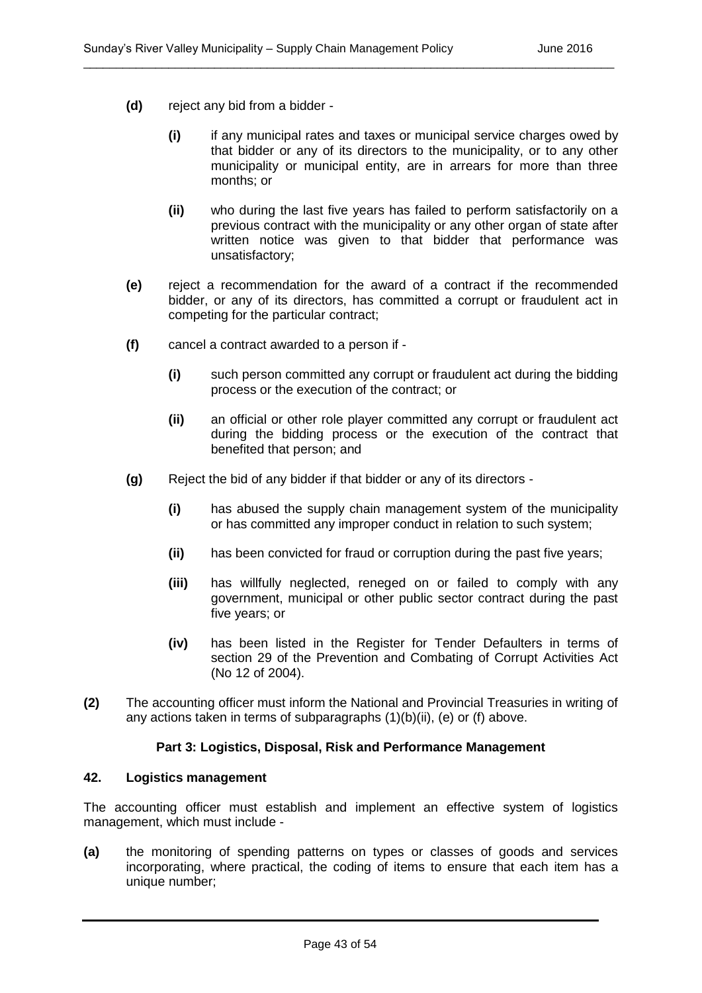- **(d)** reject any bid from a bidder
	- **(i)** if any municipal rates and taxes or municipal service charges owed by that bidder or any of its directors to the municipality, or to any other municipality or municipal entity, are in arrears for more than three months; or

- **(ii)** who during the last five years has failed to perform satisfactorily on a previous contract with the municipality or any other organ of state after written notice was given to that bidder that performance was unsatisfactory;
- **(e)** reject a recommendation for the award of a contract if the recommended bidder, or any of its directors, has committed a corrupt or fraudulent act in competing for the particular contract;
- **(f)** cancel a contract awarded to a person if
	- **(i)** such person committed any corrupt or fraudulent act during the bidding process or the execution of the contract; or
	- **(ii)** an official or other role player committed any corrupt or fraudulent act during the bidding process or the execution of the contract that benefited that person; and
- **(g)** Reject the bid of any bidder if that bidder or any of its directors
	- **(i)** has abused the supply chain management system of the municipality or has committed any improper conduct in relation to such system;
	- **(ii)** has been convicted for fraud or corruption during the past five years;
	- **(iii)** has willfully neglected, reneged on or failed to comply with any government, municipal or other public sector contract during the past five years; or
	- **(iv)** has been listed in the Register for Tender Defaulters in terms of section 29 of the Prevention and Combating of Corrupt Activities Act (No 12 of 2004).
- **(2)** The accounting officer must inform the National and Provincial Treasuries in writing of any actions taken in terms of subparagraphs (1)(b)(ii), (e) or (f) above.

#### **Part 3: Logistics, Disposal, Risk and Performance Management**

#### **42. Logistics management**

The accounting officer must establish and implement an effective system of logistics management, which must include -

**(a)** the monitoring of spending patterns on types or classes of goods and services incorporating, where practical, the coding of items to ensure that each item has a unique number;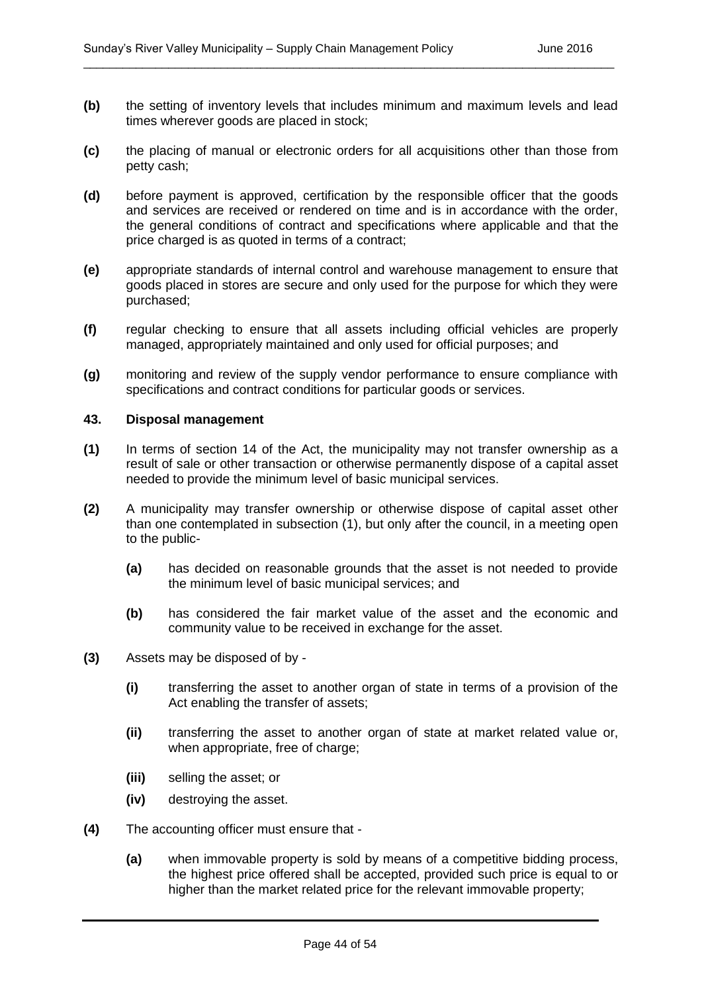**(b)** the setting of inventory levels that includes minimum and maximum levels and lead times wherever goods are placed in stock;

\_\_\_\_\_\_\_\_\_\_\_\_\_\_\_\_\_\_\_\_\_\_\_\_\_\_\_\_\_\_\_\_\_\_\_\_\_\_\_\_\_\_\_\_\_\_\_\_\_\_\_\_\_\_\_\_\_\_\_\_\_\_\_\_\_\_\_\_\_\_\_\_\_\_\_\_\_\_\_\_\_

- **(c)** the placing of manual or electronic orders for all acquisitions other than those from petty cash;
- **(d)** before payment is approved, certification by the responsible officer that the goods and services are received or rendered on time and is in accordance with the order, the general conditions of contract and specifications where applicable and that the price charged is as quoted in terms of a contract;
- **(e)** appropriate standards of internal control and warehouse management to ensure that goods placed in stores are secure and only used for the purpose for which they were purchased;
- **(f)** regular checking to ensure that all assets including official vehicles are properly managed, appropriately maintained and only used for official purposes; and
- **(g)** monitoring and review of the supply vendor performance to ensure compliance with specifications and contract conditions for particular goods or services.

#### **43. Disposal management**

- **(1)** In terms of section 14 of the Act, the municipality may not transfer ownership as a result of sale or other transaction or otherwise permanently dispose of a capital asset needed to provide the minimum level of basic municipal services.
- **(2)** A municipality may transfer ownership or otherwise dispose of capital asset other than one contemplated in subsection (1), but only after the council, in a meeting open to the public-
	- **(a)** has decided on reasonable grounds that the asset is not needed to provide the minimum level of basic municipal services; and
	- **(b)** has considered the fair market value of the asset and the economic and community value to be received in exchange for the asset.
- **(3)** Assets may be disposed of by
	- **(i)** transferring the asset to another organ of state in terms of a provision of the Act enabling the transfer of assets;
	- **(ii)** transferring the asset to another organ of state at market related value or, when appropriate, free of charge;
	- **(iii)** selling the asset; or
	- **(iv)** destroying the asset.
- **(4)** The accounting officer must ensure that
	- **(a)** when immovable property is sold by means of a competitive bidding process, the highest price offered shall be accepted, provided such price is equal to or higher than the market related price for the relevant immovable property;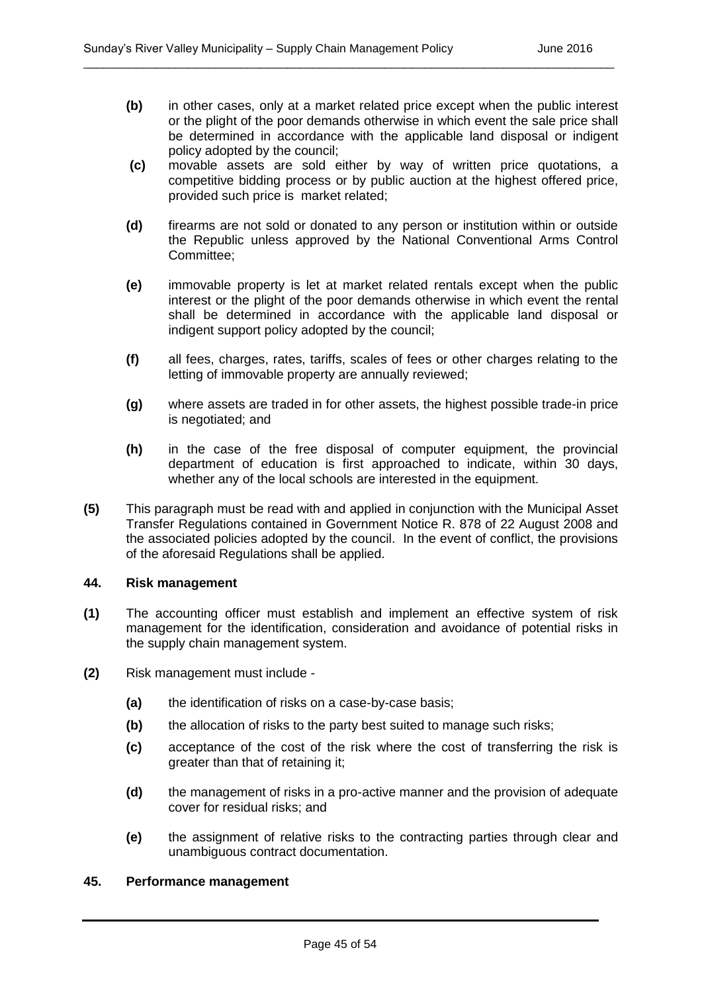**(b)** in other cases, only at a market related price except when the public interest or the plight of the poor demands otherwise in which event the sale price shall be determined in accordance with the applicable land disposal or indigent policy adopted by the council;

\_\_\_\_\_\_\_\_\_\_\_\_\_\_\_\_\_\_\_\_\_\_\_\_\_\_\_\_\_\_\_\_\_\_\_\_\_\_\_\_\_\_\_\_\_\_\_\_\_\_\_\_\_\_\_\_\_\_\_\_\_\_\_\_\_\_\_\_\_\_\_\_\_\_\_\_\_\_\_\_\_

- **(c)** movable assets are sold either by way of written price quotations, a competitive bidding process or by public auction at the highest offered price, provided such price is market related;
- **(d)** firearms are not sold or donated to any person or institution within or outside the Republic unless approved by the National Conventional Arms Control Committee;
- **(e)** immovable property is let at market related rentals except when the public interest or the plight of the poor demands otherwise in which event the rental shall be determined in accordance with the applicable land disposal or indigent support policy adopted by the council;
- **(f)** all fees, charges, rates, tariffs, scales of fees or other charges relating to the letting of immovable property are annually reviewed;
- **(g)** where assets are traded in for other assets, the highest possible trade-in price is negotiated; and
- **(h)** in the case of the free disposal of computer equipment, the provincial department of education is first approached to indicate, within 30 days, whether any of the local schools are interested in the equipment.
- **(5)** This paragraph must be read with and applied in conjunction with the Municipal Asset Transfer Regulations contained in Government Notice R. 878 of 22 August 2008 and the associated policies adopted by the council. In the event of conflict, the provisions of the aforesaid Regulations shall be applied.

#### **44. Risk management**

- **(1)** The accounting officer must establish and implement an effective system of risk management for the identification, consideration and avoidance of potential risks in the supply chain management system.
- **(2)** Risk management must include
	- **(a)** the identification of risks on a case-by-case basis;
	- **(b)** the allocation of risks to the party best suited to manage such risks;
	- **(c)** acceptance of the cost of the risk where the cost of transferring the risk is greater than that of retaining it;
	- **(d)** the management of risks in a pro-active manner and the provision of adequate cover for residual risks; and
	- **(e)** the assignment of relative risks to the contracting parties through clear and unambiguous contract documentation.

#### **45. Performance management**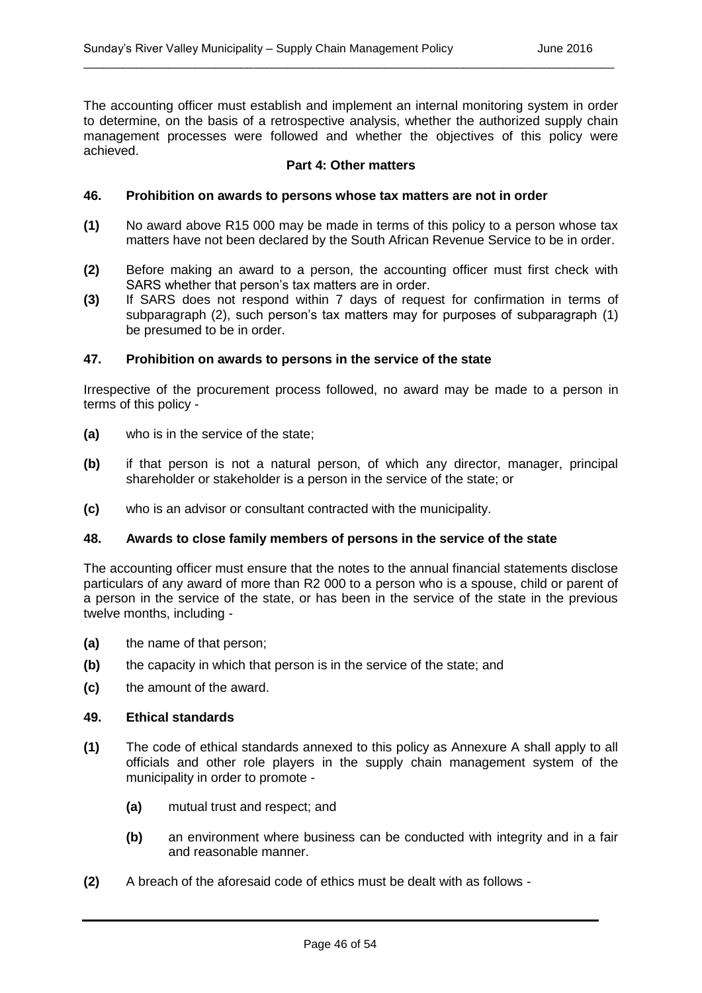The accounting officer must establish and implement an internal monitoring system in order to determine, on the basis of a retrospective analysis, whether the authorized supply chain management processes were followed and whether the objectives of this policy were achieved.

\_\_\_\_\_\_\_\_\_\_\_\_\_\_\_\_\_\_\_\_\_\_\_\_\_\_\_\_\_\_\_\_\_\_\_\_\_\_\_\_\_\_\_\_\_\_\_\_\_\_\_\_\_\_\_\_\_\_\_\_\_\_\_\_\_\_\_\_\_\_\_\_\_\_\_\_\_\_\_\_\_

#### **Part 4: Other matters**

#### **46. Prohibition on awards to persons whose tax matters are not in order**

- **(1)** No award above R15 000 may be made in terms of this policy to a person whose tax matters have not been declared by the South African Revenue Service to be in order.
- **(2)** Before making an award to a person, the accounting officer must first check with SARS whether that person's tax matters are in order.
- **(3)** If SARS does not respond within 7 days of request for confirmation in terms of subparagraph (2), such person's tax matters may for purposes of subparagraph (1) be presumed to be in order.

#### **47. Prohibition on awards to persons in the service of the state**

Irrespective of the procurement process followed, no award may be made to a person in terms of this policy -

- **(a)** who is in the service of the state;
- **(b)** if that person is not a natural person, of which any director, manager, principal shareholder or stakeholder is a person in the service of the state; or
- **(c)** who is an advisor or consultant contracted with the municipality.

#### **48. Awards to close family members of persons in the service of the state**

The accounting officer must ensure that the notes to the annual financial statements disclose particulars of any award of more than R2 000 to a person who is a spouse, child or parent of a person in the service of the state, or has been in the service of the state in the previous twelve months, including -

- **(a)** the name of that person;
- **(b)** the capacity in which that person is in the service of the state; and
- **(c)** the amount of the award.

#### **49. Ethical standards**

- **(1)** The code of ethical standards annexed to this policy as Annexure A shall apply to all officials and other role players in the supply chain management system of the municipality in order to promote -
	- **(a)** mutual trust and respect; and
	- **(b)** an environment where business can be conducted with integrity and in a fair and reasonable manner.
- **(2)** A breach of the aforesaid code of ethics must be dealt with as follows -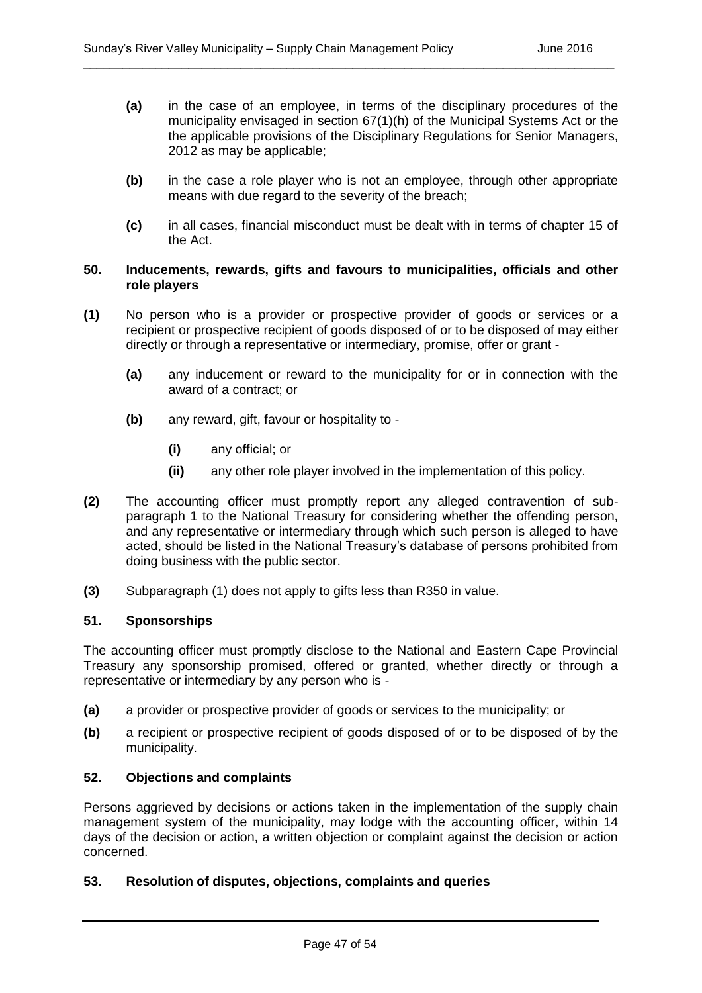**(a)** in the case of an employee, in terms of the disciplinary procedures of the municipality envisaged in section 67(1)(h) of the Municipal Systems Act or the the applicable provisions of the Disciplinary Regulations for Senior Managers, 2012 as may be applicable;

\_\_\_\_\_\_\_\_\_\_\_\_\_\_\_\_\_\_\_\_\_\_\_\_\_\_\_\_\_\_\_\_\_\_\_\_\_\_\_\_\_\_\_\_\_\_\_\_\_\_\_\_\_\_\_\_\_\_\_\_\_\_\_\_\_\_\_\_\_\_\_\_\_\_\_\_\_\_\_\_\_

- **(b)** in the case a role player who is not an employee, through other appropriate means with due regard to the severity of the breach;
- **(c)** in all cases, financial misconduct must be dealt with in terms of chapter 15 of the Act.

#### **50. Inducements, rewards, gifts and favours to municipalities, officials and other role players**

- **(1)** No person who is a provider or prospective provider of goods or services or a recipient or prospective recipient of goods disposed of or to be disposed of may either directly or through a representative or intermediary, promise, offer or grant -
	- **(a)** any inducement or reward to the municipality for or in connection with the award of a contract; or
	- **(b)** any reward, gift, favour or hospitality to
		- **(i)** any official; or
		- **(ii)** any other role player involved in the implementation of this policy.
- **(2)** The accounting officer must promptly report any alleged contravention of subparagraph 1 to the National Treasury for considering whether the offending person, and any representative or intermediary through which such person is alleged to have acted, should be listed in the National Treasury's database of persons prohibited from doing business with the public sector.
- **(3)** Subparagraph (1) does not apply to gifts less than R350 in value.

#### **51. Sponsorships**

The accounting officer must promptly disclose to the National and Eastern Cape Provincial Treasury any sponsorship promised, offered or granted, whether directly or through a representative or intermediary by any person who is -

- **(a)** a provider or prospective provider of goods or services to the municipality; or
- **(b)** a recipient or prospective recipient of goods disposed of or to be disposed of by the municipality.

#### **52. Objections and complaints**

Persons aggrieved by decisions or actions taken in the implementation of the supply chain management system of the municipality, may lodge with the accounting officer, within 14 days of the decision or action, a written objection or complaint against the decision or action concerned.

#### **53. Resolution of disputes, objections, complaints and queries**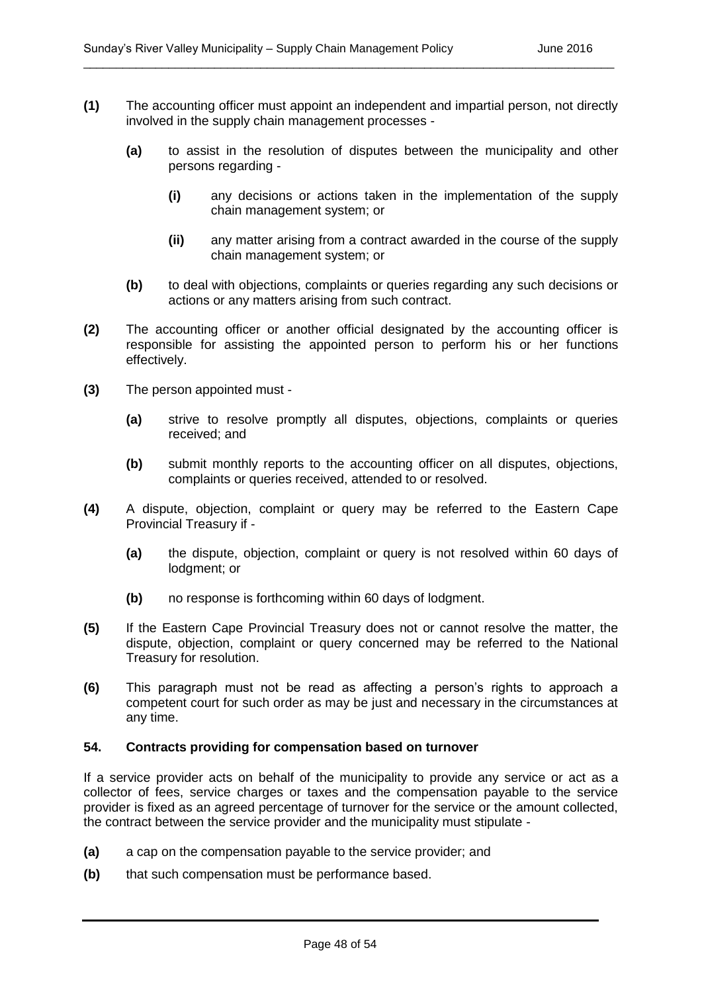**(1)** The accounting officer must appoint an independent and impartial person, not directly involved in the supply chain management processes -

\_\_\_\_\_\_\_\_\_\_\_\_\_\_\_\_\_\_\_\_\_\_\_\_\_\_\_\_\_\_\_\_\_\_\_\_\_\_\_\_\_\_\_\_\_\_\_\_\_\_\_\_\_\_\_\_\_\_\_\_\_\_\_\_\_\_\_\_\_\_\_\_\_\_\_\_\_\_\_\_\_

- **(a)** to assist in the resolution of disputes between the municipality and other persons regarding -
	- **(i)** any decisions or actions taken in the implementation of the supply chain management system; or
	- **(ii)** any matter arising from a contract awarded in the course of the supply chain management system; or
- **(b)** to deal with objections, complaints or queries regarding any such decisions or actions or any matters arising from such contract.
- **(2)** The accounting officer or another official designated by the accounting officer is responsible for assisting the appointed person to perform his or her functions effectively.
- **(3)** The person appointed must
	- **(a)** strive to resolve promptly all disputes, objections, complaints or queries received; and
	- **(b)** submit monthly reports to the accounting officer on all disputes, objections, complaints or queries received, attended to or resolved.
- **(4)** A dispute, objection, complaint or query may be referred to the Eastern Cape Provincial Treasury if -
	- **(a)** the dispute, objection, complaint or query is not resolved within 60 days of lodgment; or
	- **(b)** no response is forthcoming within 60 days of lodgment.
- **(5)** If the Eastern Cape Provincial Treasury does not or cannot resolve the matter, the dispute, objection, complaint or query concerned may be referred to the National Treasury for resolution.
- **(6)** This paragraph must not be read as affecting a person's rights to approach a competent court for such order as may be just and necessary in the circumstances at any time.

#### **54. Contracts providing for compensation based on turnover**

If a service provider acts on behalf of the municipality to provide any service or act as a collector of fees, service charges or taxes and the compensation payable to the service provider is fixed as an agreed percentage of turnover for the service or the amount collected, the contract between the service provider and the municipality must stipulate -

- **(a)** a cap on the compensation payable to the service provider; and
- **(b)** that such compensation must be performance based.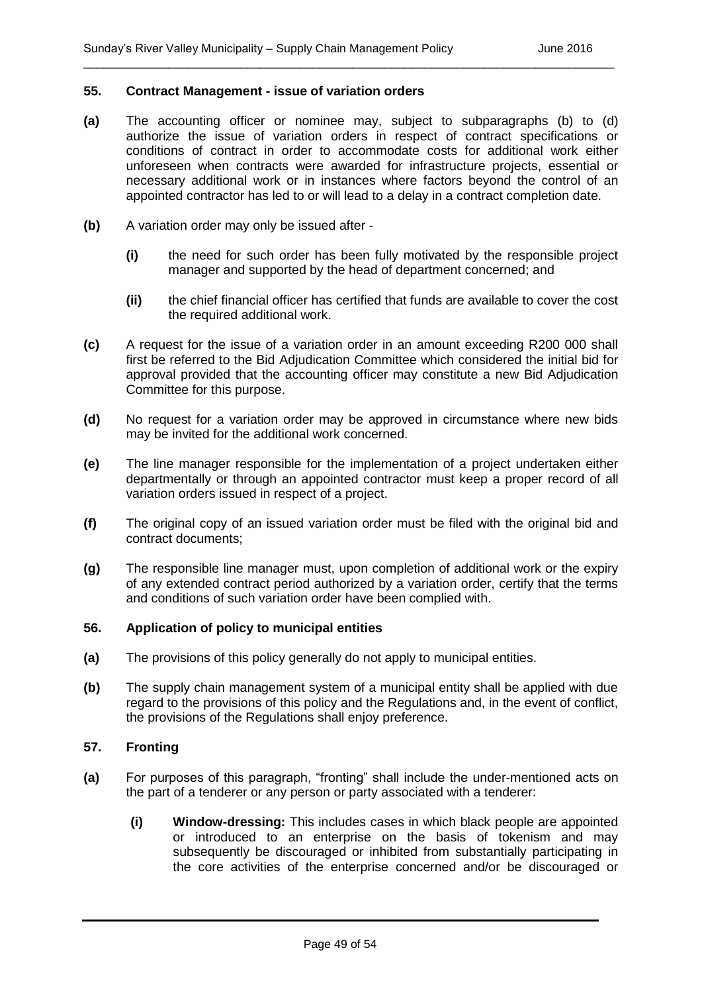#### **55. Contract Management - issue of variation orders**

**(a)** The accounting officer or nominee may, subject to subparagraphs (b) to (d) authorize the issue of variation orders in respect of contract specifications or conditions of contract in order to accommodate costs for additional work either unforeseen when contracts were awarded for infrastructure projects, essential or necessary additional work or in instances where factors beyond the control of an appointed contractor has led to or will lead to a delay in a contract completion date.

\_\_\_\_\_\_\_\_\_\_\_\_\_\_\_\_\_\_\_\_\_\_\_\_\_\_\_\_\_\_\_\_\_\_\_\_\_\_\_\_\_\_\_\_\_\_\_\_\_\_\_\_\_\_\_\_\_\_\_\_\_\_\_\_\_\_\_\_\_\_\_\_\_\_\_\_\_\_\_\_\_

- **(b)** A variation order may only be issued after
	- **(i)** the need for such order has been fully motivated by the responsible project manager and supported by the head of department concerned; and
	- **(ii)** the chief financial officer has certified that funds are available to cover the cost the required additional work.
- **(c)** A request for the issue of a variation order in an amount exceeding R200 000 shall first be referred to the Bid Adjudication Committee which considered the initial bid for approval provided that the accounting officer may constitute a new Bid Adjudication Committee for this purpose.
- **(d)** No request for a variation order may be approved in circumstance where new bids may be invited for the additional work concerned.
- **(e)** The line manager responsible for the implementation of a project undertaken either departmentally or through an appointed contractor must keep a proper record of all variation orders issued in respect of a project.
- **(f)** The original copy of an issued variation order must be filed with the original bid and contract documents;
- **(g)** The responsible line manager must, upon completion of additional work or the expiry of any extended contract period authorized by a variation order, certify that the terms and conditions of such variation order have been complied with.

#### **56. Application of policy to municipal entities**

- **(a)** The provisions of this policy generally do not apply to municipal entities.
- **(b)** The supply chain management system of a municipal entity shall be applied with due regard to the provisions of this policy and the Regulations and, in the event of conflict, the provisions of the Regulations shall enjoy preference.

#### **57. Fronting**

- **(a)** For purposes of this paragraph, "fronting" shall include the under-mentioned acts on the part of a tenderer or any person or party associated with a tenderer:
	- **(i) Window-dressing:** This includes cases in which black people are appointed or introduced to an enterprise on the basis of tokenism and may subsequently be discouraged or inhibited from substantially participating in the core activities of the enterprise concerned and/or be discouraged or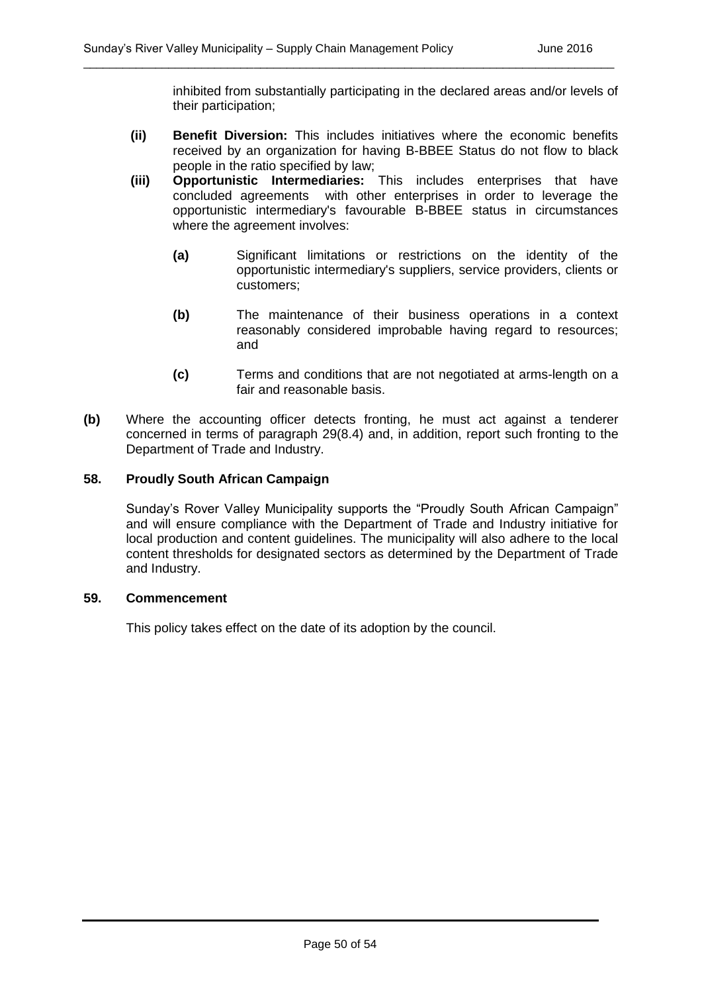inhibited from substantially participating in the declared areas and/or levels of their participation;

**(ii) Benefit Diversion:** This includes initiatives where the economic benefits received by an organization for having B-BBEE Status do not flow to black people in the ratio specified by law;

\_\_\_\_\_\_\_\_\_\_\_\_\_\_\_\_\_\_\_\_\_\_\_\_\_\_\_\_\_\_\_\_\_\_\_\_\_\_\_\_\_\_\_\_\_\_\_\_\_\_\_\_\_\_\_\_\_\_\_\_\_\_\_\_\_\_\_\_\_\_\_\_\_\_\_\_\_\_\_\_\_

- **(iii) Opportunistic Intermediaries:** This includes enterprises that have concluded agreements with other enterprises in order to leverage the opportunistic intermediary's favourable B-BBEE status in circumstances where the agreement involves:
	- **(a)** Significant limitations or restrictions on the identity of the opportunistic intermediary's suppliers, service providers, clients or customers;
	- **(b)** The maintenance of their business operations in a context reasonably considered improbable having regard to resources; and
	- **(c)** Terms and conditions that are not negotiated at arms-length on a fair and reasonable basis.
- **(b)** Where the accounting officer detects fronting, he must act against a tenderer concerned in terms of paragraph 29(8.4) and, in addition, report such fronting to the Department of Trade and Industry.

#### **58. Proudly South African Campaign**

Sunday's Rover Valley Municipality supports the "Proudly South African Campaign" and will ensure compliance with the Department of Trade and Industry initiative for local production and content guidelines. The municipality will also adhere to the local content thresholds for designated sectors as determined by the Department of Trade and Industry.

#### **59. Commencement**

This policy takes effect on the date of its adoption by the council.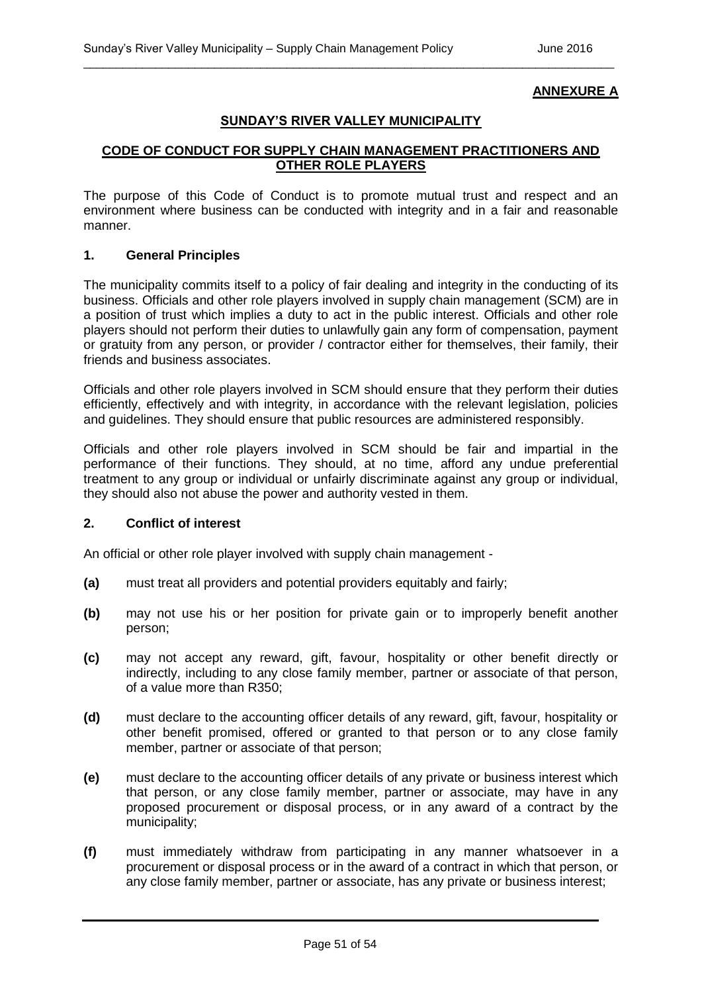### **ANNEXURE A**

#### **SUNDAY'S RIVER VALLEY MUNICIPALITY**

\_\_\_\_\_\_\_\_\_\_\_\_\_\_\_\_\_\_\_\_\_\_\_\_\_\_\_\_\_\_\_\_\_\_\_\_\_\_\_\_\_\_\_\_\_\_\_\_\_\_\_\_\_\_\_\_\_\_\_\_\_\_\_\_\_\_\_\_\_\_\_\_\_\_\_\_\_\_\_\_\_

#### **CODE OF CONDUCT FOR SUPPLY CHAIN MANAGEMENT PRACTITIONERS AND OTHER ROLE PLAYERS**

The purpose of this Code of Conduct is to promote mutual trust and respect and an environment where business can be conducted with integrity and in a fair and reasonable manner.

#### **1. General Principles**

The municipality commits itself to a policy of fair dealing and integrity in the conducting of its business. Officials and other role players involved in supply chain management (SCM) are in a position of trust which implies a duty to act in the public interest. Officials and other role players should not perform their duties to unlawfully gain any form of compensation, payment or gratuity from any person, or provider / contractor either for themselves, their family, their friends and business associates.

Officials and other role players involved in SCM should ensure that they perform their duties efficiently, effectively and with integrity, in accordance with the relevant legislation, policies and guidelines. They should ensure that public resources are administered responsibly.

Officials and other role players involved in SCM should be fair and impartial in the performance of their functions. They should, at no time, afford any undue preferential treatment to any group or individual or unfairly discriminate against any group or individual, they should also not abuse the power and authority vested in them.

#### **2. Conflict of interest**

An official or other role player involved with supply chain management -

- **(a)** must treat all providers and potential providers equitably and fairly;
- **(b)** may not use his or her position for private gain or to improperly benefit another person;
- **(c)** may not accept any reward, gift, favour, hospitality or other benefit directly or indirectly, including to any close family member, partner or associate of that person, of a value more than R350;
- **(d)** must declare to the accounting officer details of any reward, gift, favour, hospitality or other benefit promised, offered or granted to that person or to any close family member, partner or associate of that person;
- **(e)** must declare to the accounting officer details of any private or business interest which that person, or any close family member, partner or associate, may have in any proposed procurement or disposal process, or in any award of a contract by the municipality;
- **(f)** must immediately withdraw from participating in any manner whatsoever in a procurement or disposal process or in the award of a contract in which that person, or any close family member, partner or associate, has any private or business interest;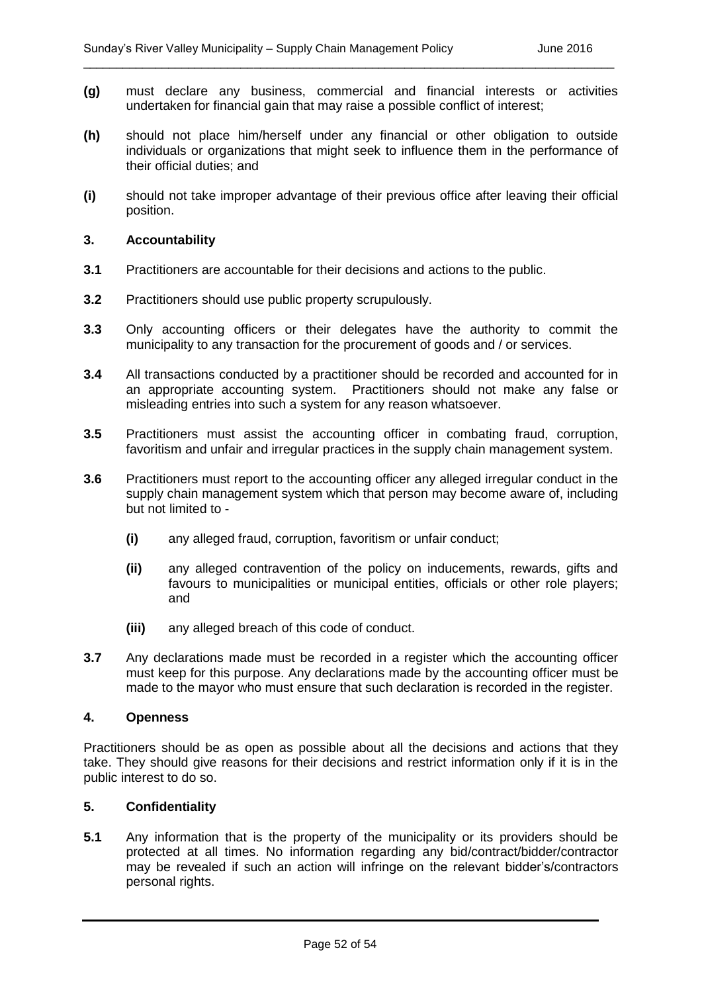**(g)** must declare any business, commercial and financial interests or activities undertaken for financial gain that may raise a possible conflict of interest;

\_\_\_\_\_\_\_\_\_\_\_\_\_\_\_\_\_\_\_\_\_\_\_\_\_\_\_\_\_\_\_\_\_\_\_\_\_\_\_\_\_\_\_\_\_\_\_\_\_\_\_\_\_\_\_\_\_\_\_\_\_\_\_\_\_\_\_\_\_\_\_\_\_\_\_\_\_\_\_\_\_

- **(h)** should not place him/herself under any financial or other obligation to outside individuals or organizations that might seek to influence them in the performance of their official duties; and
- **(i)** should not take improper advantage of their previous office after leaving their official position.

#### **3. Accountability**

- **3.1** Practitioners are accountable for their decisions and actions to the public.
- **3.2** Practitioners should use public property scrupulously.
- **3.3** Only accounting officers or their delegates have the authority to commit the municipality to any transaction for the procurement of goods and / or services.
- **3.4** All transactions conducted by a practitioner should be recorded and accounted for in an appropriate accounting system. Practitioners should not make any false or misleading entries into such a system for any reason whatsoever.
- **3.5** Practitioners must assist the accounting officer in combating fraud, corruption, favoritism and unfair and irregular practices in the supply chain management system.
- **3.6** Practitioners must report to the accounting officer any alleged irregular conduct in the supply chain management system which that person may become aware of, including but not limited to -
	- **(i)** any alleged fraud, corruption, favoritism or unfair conduct;
	- **(ii)** any alleged contravention of the policy on inducements, rewards, gifts and favours to municipalities or municipal entities, officials or other role players; and
	- **(iii)** any alleged breach of this code of conduct.
- **3.7** Any declarations made must be recorded in a register which the accounting officer must keep for this purpose. Any declarations made by the accounting officer must be made to the mayor who must ensure that such declaration is recorded in the register.

#### **4. Openness**

Practitioners should be as open as possible about all the decisions and actions that they take. They should give reasons for their decisions and restrict information only if it is in the public interest to do so.

#### **5. Confidentiality**

**5.1** Any information that is the property of the municipality or its providers should be protected at all times. No information regarding any bid/contract/bidder/contractor may be revealed if such an action will infringe on the relevant bidder's/contractors personal rights.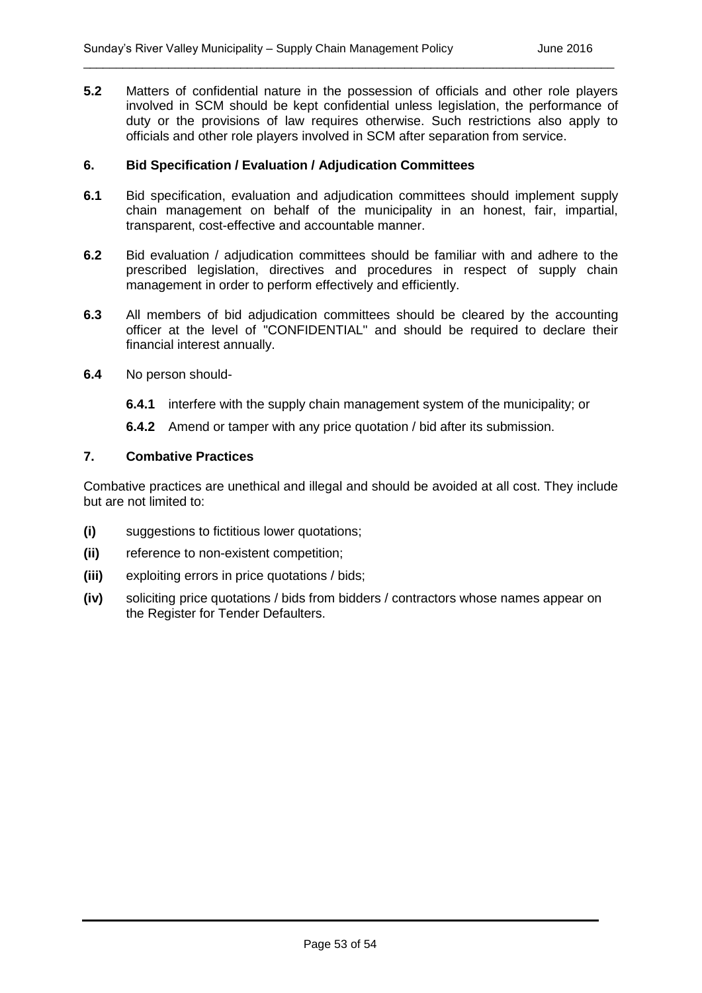**5.2** Matters of confidential nature in the possession of officials and other role players involved in SCM should be kept confidential unless legislation, the performance of duty or the provisions of law requires otherwise. Such restrictions also apply to officials and other role players involved in SCM after separation from service.

\_\_\_\_\_\_\_\_\_\_\_\_\_\_\_\_\_\_\_\_\_\_\_\_\_\_\_\_\_\_\_\_\_\_\_\_\_\_\_\_\_\_\_\_\_\_\_\_\_\_\_\_\_\_\_\_\_\_\_\_\_\_\_\_\_\_\_\_\_\_\_\_\_\_\_\_\_\_\_\_\_

#### **6. Bid Specification / Evaluation / Adjudication Committees**

- **6.1** Bid specification, evaluation and adjudication committees should implement supply chain management on behalf of the municipality in an honest, fair, impartial, transparent, cost-effective and accountable manner.
- **6.2** Bid evaluation / adjudication committees should be familiar with and adhere to the prescribed legislation, directives and procedures in respect of supply chain management in order to perform effectively and efficiently.
- **6.3** All members of bid adjudication committees should be cleared by the accounting officer at the level of "CONFIDENTIAL" and should be required to declare their financial interest annually.
- **6.4** No person should-
	- **6.4.1** interfere with the supply chain management system of the municipality; or
	- **6.4.2** Amend or tamper with any price quotation / bid after its submission.

#### **7. Combative Practices**

Combative practices are unethical and illegal and should be avoided at all cost. They include but are not limited to:

- **(i)** suggestions to fictitious lower quotations;
- **(ii)** reference to non-existent competition;
- **(iii)** exploiting errors in price quotations / bids;
- **(iv)** soliciting price quotations / bids from bidders / contractors whose names appear on the Register for Tender Defaulters.